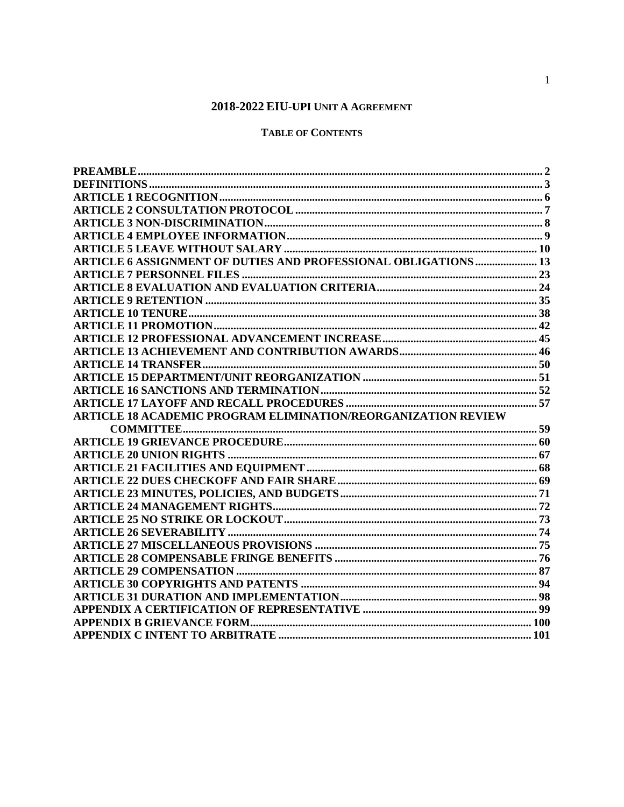# 2018-2022 EIU-UPI UNIT A AGREEMENT

# **TABLE OF CONTENTS**

<span id="page-0-0"></span>

| <b>ARTICLE 6 ASSIGNMENT OF DUTIES AND PROFESSIONAL OBLIGATIONS  13</b> |  |
|------------------------------------------------------------------------|--|
|                                                                        |  |
|                                                                        |  |
|                                                                        |  |
|                                                                        |  |
|                                                                        |  |
|                                                                        |  |
|                                                                        |  |
|                                                                        |  |
|                                                                        |  |
|                                                                        |  |
|                                                                        |  |
| <b>ARTICLE 18 ACADEMIC PROGRAM ELIMINATION/REORGANIZATION REVIEW</b>   |  |
|                                                                        |  |
|                                                                        |  |
|                                                                        |  |
|                                                                        |  |
|                                                                        |  |
|                                                                        |  |
|                                                                        |  |
|                                                                        |  |
|                                                                        |  |
|                                                                        |  |
|                                                                        |  |
|                                                                        |  |
|                                                                        |  |
|                                                                        |  |
|                                                                        |  |
|                                                                        |  |
|                                                                        |  |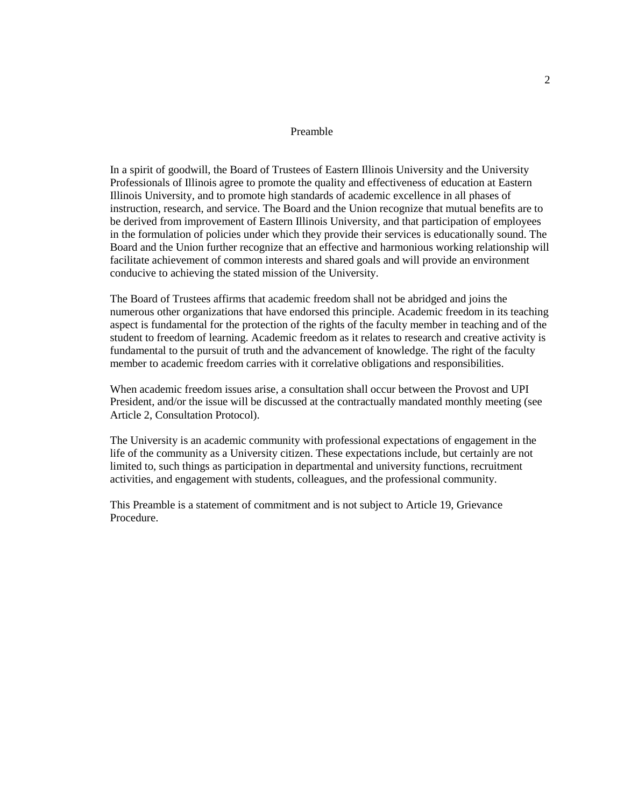#### Preamble

In a spirit of goodwill, the Board of Trustees of Eastern Illinois University and the University Professionals of Illinois agree to promote the quality and effectiveness of education at Eastern Illinois University, and to promote high standards of academic excellence in all phases of instruction, research, and service. The Board and the Union recognize that mutual benefits are to be derived from improvement of Eastern Illinois University, and that participation of employees in the formulation of policies under which they provide their services is educationally sound. The Board and the Union further recognize that an effective and harmonious working relationship will facilitate achievement of common interests and shared goals and will provide an environment conducive to achieving the stated mission of the University.

The Board of Trustees affirms that academic freedom shall not be abridged and joins the numerous other organizations that have endorsed this principle. Academic freedom in its teaching aspect is fundamental for the protection of the rights of the faculty member in teaching and of the student to freedom of learning. Academic freedom as it relates to research and creative activity is fundamental to the pursuit of truth and the advancement of knowledge. The right of the faculty member to academic freedom carries with it correlative obligations and responsibilities.

When academic freedom issues arise, a consultation shall occur between the Provost and UPI President, and/or the issue will be discussed at the contractually mandated monthly meeting (see Article 2, Consultation Protocol).

The University is an academic community with professional expectations of engagement in the life of the community as a University citizen. These expectations include, but certainly are not limited to, such things as participation in departmental and university functions, recruitment activities, and engagement with students, colleagues, and the professional community.

This Preamble is a statement of commitment and is not subject to Article 19, Grievance Procedure.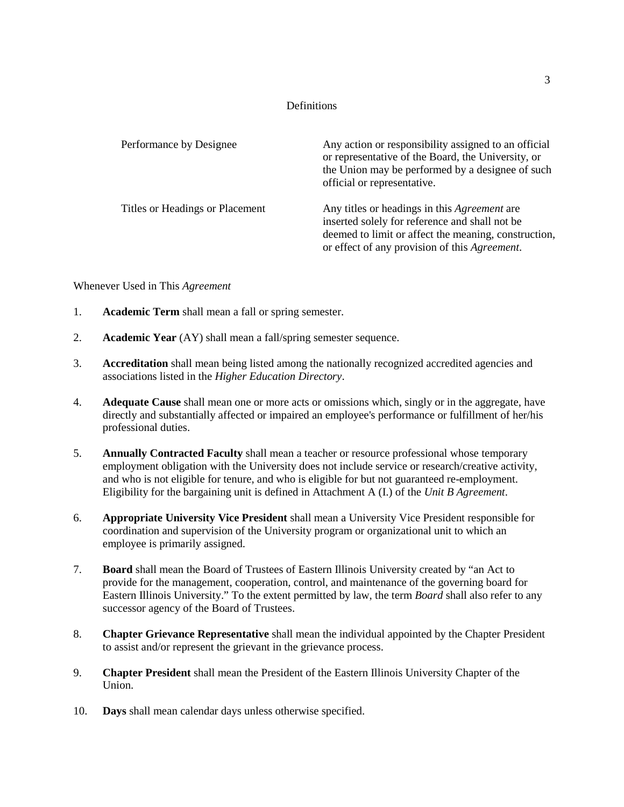#### Definitions

<span id="page-2-0"></span>

| Performance by Designee         | Any action or responsibility assigned to an official<br>or representative of the Board, the University, or<br>the Union may be performed by a designee of such<br>official or representative.                  |
|---------------------------------|----------------------------------------------------------------------------------------------------------------------------------------------------------------------------------------------------------------|
| Titles or Headings or Placement | Any titles or headings in this <i>Agreement</i> are<br>inserted solely for reference and shall not be<br>deemed to limit or affect the meaning, construction,<br>or effect of any provision of this Agreement. |

Whenever Used in This *Agreement*

- 1. **Academic Term** shall mean a fall or spring semester.
- 2. **Academic Year** (AY) shall mean a fall/spring semester sequence.
- 3. **Accreditation** shall mean being listed among the nationally recognized accredited agencies and associations listed in the *Higher Education Directory*.
- 4. **Adequate Cause** shall mean one or more acts or omissions which, singly or in the aggregate, have directly and substantially affected or impaired an employee's performance or fulfillment of her/his professional duties.
- 5. **Annually Contracted Faculty** shall mean a teacher or resource professional whose temporary employment obligation with the University does not include service or research/creative activity, and who is not eligible for tenure, and who is eligible for but not guaranteed re-employment. Eligibility for the bargaining unit is defined in Attachment A (I.) of the *Unit B Agreement*.
- 6. **Appropriate University Vice President** shall mean a University Vice President responsible for coordination and supervision of the University program or organizational unit to which an employee is primarily assigned.
- 7. **Board** shall mean the Board of Trustees of Eastern Illinois University created by "an Act to provide for the management, cooperation, control, and maintenance of the governing board for Eastern Illinois University." To the extent permitted by law, the term *Board* shall also refer to any successor agency of the Board of Trustees.
- 8. **Chapter Grievance Representative** shall mean the individual appointed by the Chapter President to assist and/or represent the grievant in the grievance process.
- 9. **Chapter President** shall mean the President of the Eastern Illinois University Chapter of the Union.
- 10. **Days** shall mean calendar days unless otherwise specified.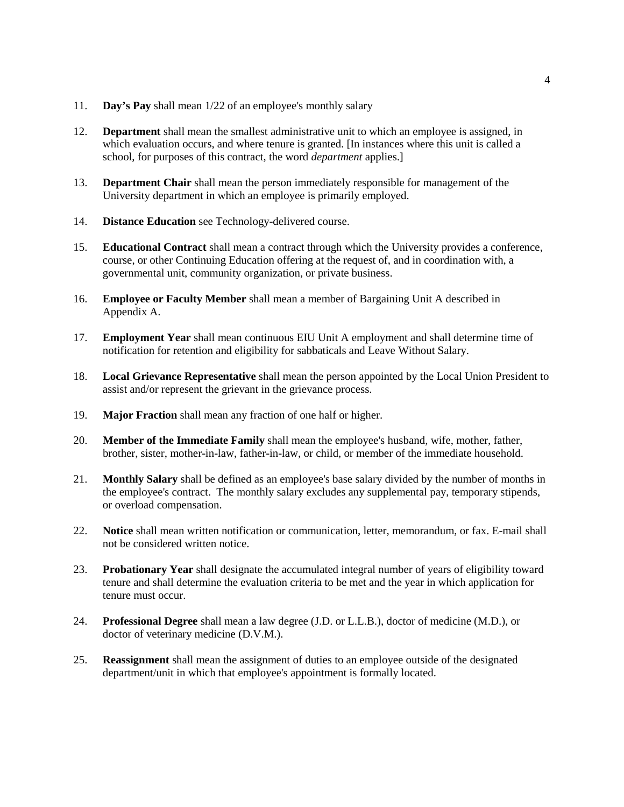- 11. **Day's Pay** shall mean 1/22 of an employee's monthly salary
- 12. **Department** shall mean the smallest administrative unit to which an employee is assigned, in which evaluation occurs, and where tenure is granted. [In instances where this unit is called a school, for purposes of this contract, the word *department* applies.]
- 13. **Department Chair** shall mean the person immediately responsible for management of the University department in which an employee is primarily employed.
- 14. **Distance Education** see Technology-delivered course.
- 15. **Educational Contract** shall mean a contract through which the University provides a conference, course, or other Continuing Education offering at the request of, and in coordination with, a governmental unit, community organization, or private business.
- 16. **Employee or Faculty Member** shall mean a member of Bargaining Unit A described in Appendix A.
- 17. **Employment Year** shall mean continuous EIU Unit A employment and shall determine time of notification for retention and eligibility for sabbaticals and Leave Without Salary.
- 18. **Local Grievance Representative** shall mean the person appointed by the Local Union President to assist and/or represent the grievant in the grievance process.
- 19. **Major Fraction** shall mean any fraction of one half or higher.
- 20. **Member of the Immediate Family** shall mean the employee's husband, wife, mother, father, brother, sister, mother-in-law, father-in-law, or child, or member of the immediate household.
- 21. **Monthly Salary** shall be defined as an employee's base salary divided by the number of months in the employee's contract. The monthly salary excludes any supplemental pay, temporary stipends, or overload compensation.
- 22. **Notice** shall mean written notification or communication, letter, memorandum, or fax. E-mail shall not be considered written notice.
- 23. **Probationary Year** shall designate the accumulated integral number of years of eligibility toward tenure and shall determine the evaluation criteria to be met and the year in which application for tenure must occur.
- 24. **Professional Degree** shall mean a law degree (J.D. or L.L.B.), doctor of medicine (M.D.), or doctor of veterinary medicine (D.V.M.).
- 25. **Reassignment** shall mean the assignment of duties to an employee outside of the designated department/unit in which that employee's appointment is formally located.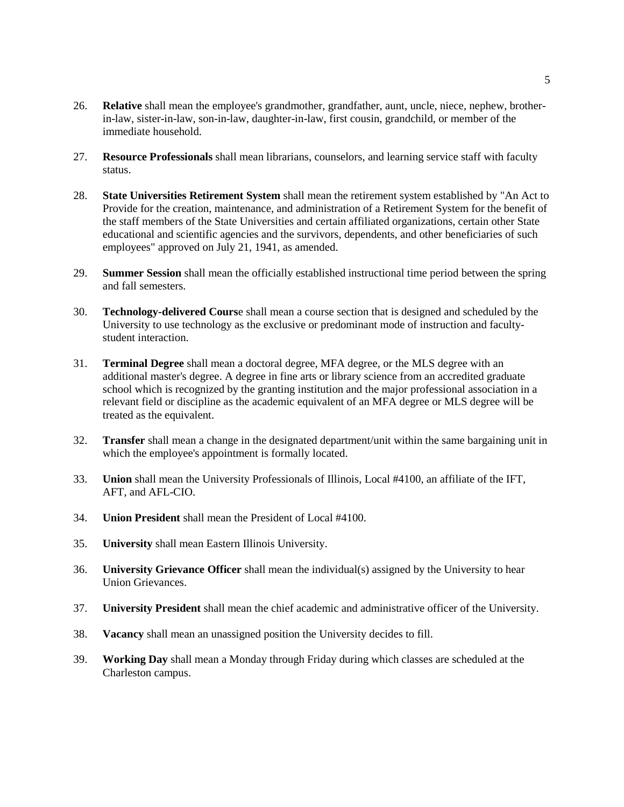- 26. **Relative** shall mean the employee's grandmother, grandfather, aunt, uncle, niece, nephew, brotherin-law, sister-in-law, son-in-law, daughter-in-law, first cousin, grandchild, or member of the immediate household.
- 27. **Resource Professionals** shall mean librarians, counselors, and learning service staff with faculty status.
- 28. **State Universities Retirement System** shall mean the retirement system established by "An Act to Provide for the creation, maintenance, and administration of a Retirement System for the benefit of the staff members of the State Universities and certain affiliated organizations, certain other State educational and scientific agencies and the survivors, dependents, and other beneficiaries of such employees" approved on July 21, 1941, as amended.
- 29. **Summer Session** shall mean the officially established instructional time period between the spring and fall semesters.
- 30. **Technology-delivered Cours**e shall mean a course section that is designed and scheduled by the University to use technology as the exclusive or predominant mode of instruction and facultystudent interaction.
- 31. **Terminal Degree** shall mean a doctoral degree, MFA degree, or the MLS degree with an additional master's degree. A degree in fine arts or library science from an accredited graduate school which is recognized by the granting institution and the major professional association in a relevant field or discipline as the academic equivalent of an MFA degree or MLS degree will be treated as the equivalent.
- 32. **Transfer** shall mean a change in the designated department/unit within the same bargaining unit in which the employee's appointment is formally located.
- 33. **Union** shall mean the University Professionals of Illinois, Local #4100, an affiliate of the IFT, AFT, and AFL-CIO.
- 34. **Union President** shall mean the President of Local #4100.
- 35. **University** shall mean Eastern Illinois University.
- 36. **University Grievance Officer** shall mean the individual(s) assigned by the University to hear Union Grievances.
- 37. **University President** shall mean the chief academic and administrative officer of the University.
- 38. **Vacancy** shall mean an unassigned position the University decides to fill.
- <span id="page-4-0"></span>39. **Working Day** shall mean a Monday through Friday during which classes are scheduled at the Charleston campus.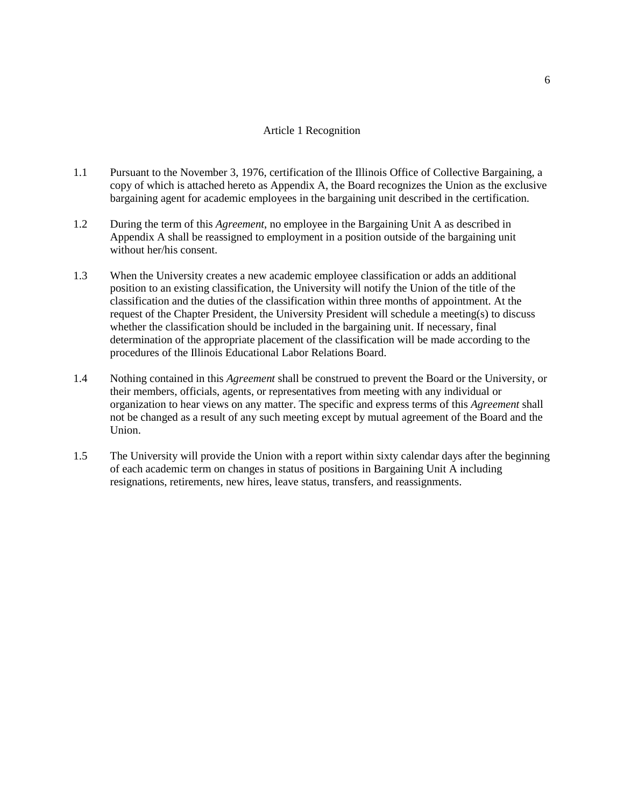### Article 1 Recognition

- 1.1 Pursuant to the November 3, 1976, certification of the Illinois Office of Collective Bargaining, a copy of which is attached hereto as Appendix A, the Board recognizes the Union as the exclusive bargaining agent for academic employees in the bargaining unit described in the certification.
- 1.2 During the term of this *Agreement*, no employee in the Bargaining Unit A as described in Appendix A shall be reassigned to employment in a position outside of the bargaining unit without her/his consent.
- 1.3 When the University creates a new academic employee classification or adds an additional position to an existing classification, the University will notify the Union of the title of the classification and the duties of the classification within three months of appointment. At the request of the Chapter President, the University President will schedule a meeting(s) to discuss whether the classification should be included in the bargaining unit. If necessary, final determination of the appropriate placement of the classification will be made according to the procedures of the Illinois Educational Labor Relations Board.
- 1.4 Nothing contained in this *Agreement* shall be construed to prevent the Board or the University, or their members, officials, agents, or representatives from meeting with any individual or organization to hear views on any matter. The specific and express terms of this *Agreement* shall not be changed as a result of any such meeting except by mutual agreement of the Board and the Union.
- 1.5 The University will provide the Union with a report within sixty calendar days after the beginning of each academic term on changes in status of positions in Bargaining Unit A including resignations, retirements, new hires, leave status, transfers, and reassignments.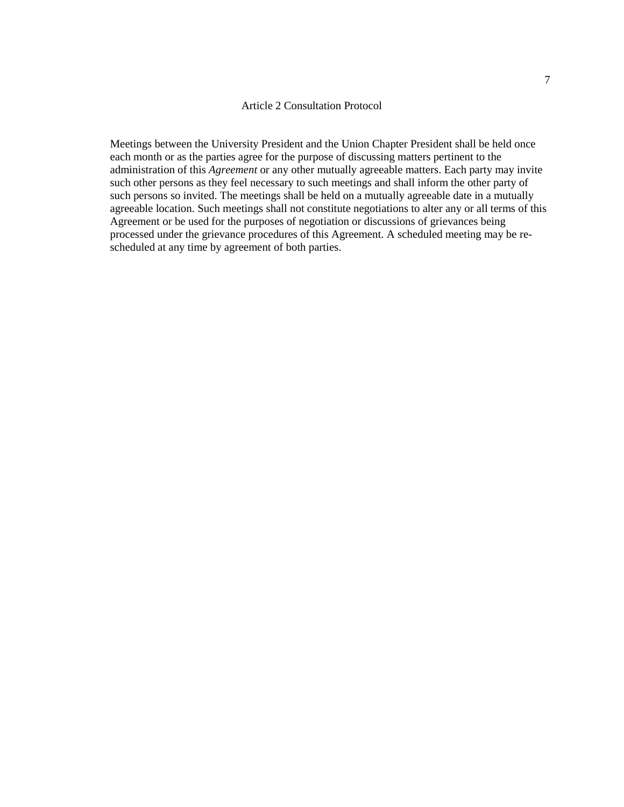#### <span id="page-6-1"></span>Article 2 Consultation Protocol

<span id="page-6-0"></span>Meetings between the University President and the Union Chapter President shall be held once each month or as the parties agree for the purpose of discussing matters pertinent to the administration of this *Agreement* or any other mutually agreeable matters. Each party may invite such other persons as they feel necessary to such meetings and shall inform the other party of such persons so invited. The meetings shall be held on a mutually agreeable date in a mutually agreeable location. Such meetings shall not constitute negotiations to alter any or all terms of this Agreement or be used for the purposes of negotiation or discussions of grievances being processed under the grievance procedures of this Agreement. A scheduled meeting may be rescheduled at any time by agreement of both parties.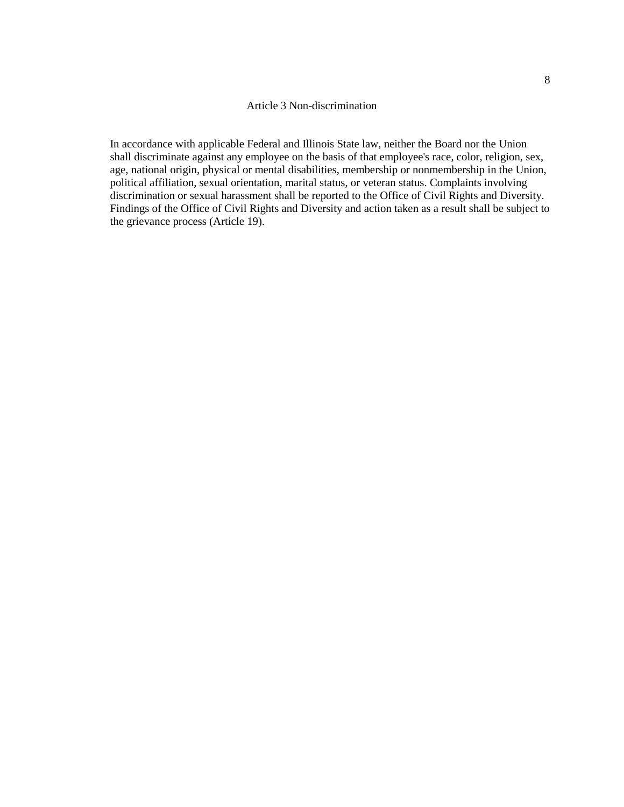#### Article 3 Non-discrimination

In accordance with applicable Federal and Illinois State law, neither the Board nor the Union shall discriminate against any employee on the basis of that employee's race, color, religion, sex, age, national origin, physical or mental disabilities, membership or nonmembership in the Union, political affiliation, sexual orientation, marital status, or veteran status. Complaints involving discrimination or sexual harassment shall be reported to the Office of Civil Rights and Diversity. Findings of the Office of Civil Rights and Diversity and action taken as a result shall be subject to the grievance process (Article 19).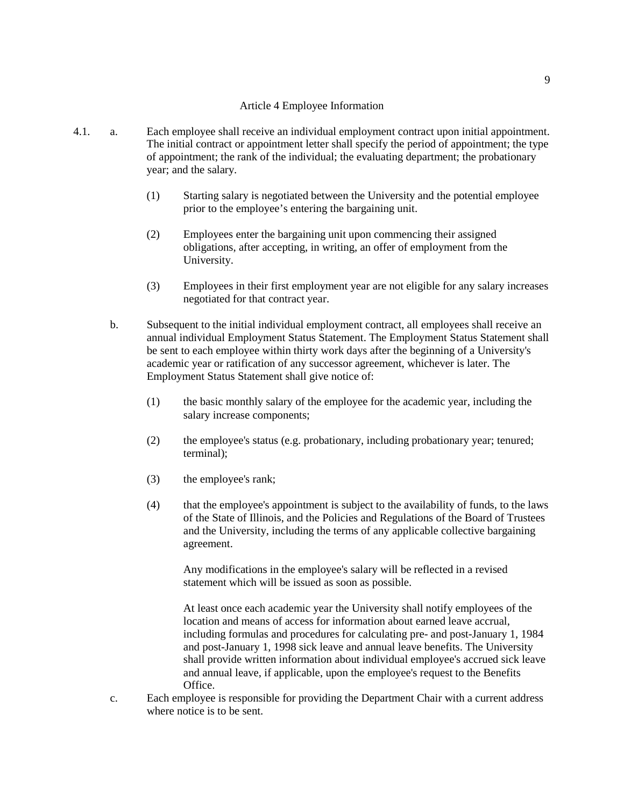# Article 4 Employee Information

- <span id="page-8-0"></span>4.1. a. Each employee shall receive an individual employment contract upon initial appointment. The initial contract or appointment letter shall specify the period of appointment; the type of appointment; the rank of the individual; the evaluating department; the probationary year; and the salary.
	- (1) Starting salary is negotiated between the University and the potential employee prior to the employee's entering the bargaining unit.
	- (2) Employees enter the bargaining unit upon commencing their assigned obligations, after accepting, in writing, an offer of employment from the University.
	- (3) Employees in their first employment year are not eligible for any salary increases negotiated for that contract year.
	- b. Subsequent to the initial individual employment contract, all employees shall receive an annual individual Employment Status Statement. The Employment Status Statement shall be sent to each employee within thirty work days after the beginning of a University's academic year or ratification of any successor agreement, whichever is later. The Employment Status Statement shall give notice of:
		- (1) the basic monthly salary of the employee for the academic year, including the salary increase components;
		- (2) the employee's status (e.g. probationary, including probationary year; tenured; terminal);
		- (3) the employee's rank;
		- (4) that the employee's appointment is subject to the availability of funds, to the laws of the State of Illinois, and the Policies and Regulations of the Board of Trustees and the University, including the terms of any applicable collective bargaining agreement.

Any modifications in the employee's salary will be reflected in a revised statement which will be issued as soon as possible.

At least once each academic year the University shall notify employees of the location and means of access for information about earned leave accrual, including formulas and procedures for calculating pre- and post-January 1, 1984 and post-January 1, 1998 sick leave and annual leave benefits. The University shall provide written information about individual employee's accrued sick leave and annual leave, if applicable, upon the employee's request to the Benefits Office.

c. Each employee is responsible for providing the Department Chair with a current address where notice is to be sent.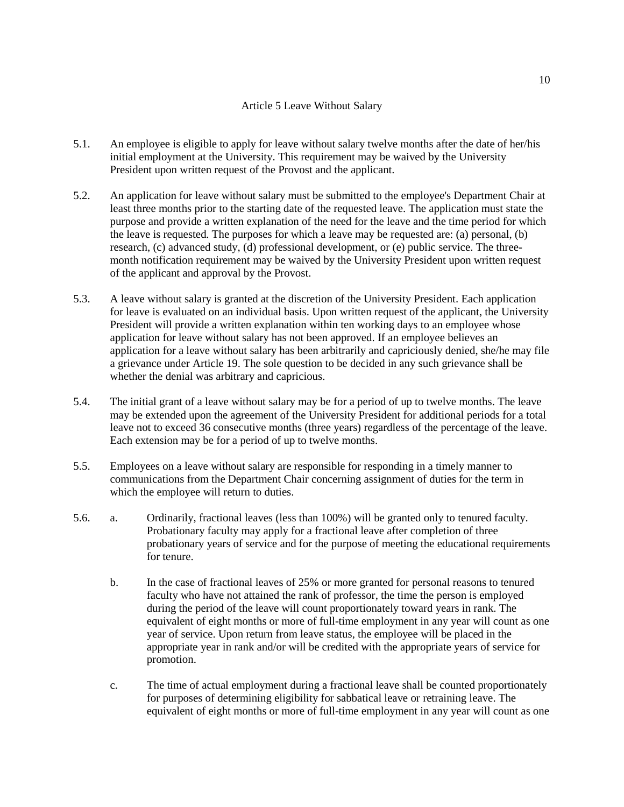### Article 5 Leave Without Salary

- <span id="page-9-0"></span>5.1. An employee is eligible to apply for leave without salary twelve months after the date of her/his initial employment at the University. This requirement may be waived by the University President upon written request of the Provost and the applicant.
- 5.2. An application for leave without salary must be submitted to the employee's Department Chair at least three months prior to the starting date of the requested leave. The application must state the purpose and provide a written explanation of the need for the leave and the time period for which the leave is requested. The purposes for which a leave may be requested are: (a) personal, (b) research, (c) advanced study, (d) professional development, or (e) public service. The threemonth notification requirement may be waived by the University President upon written request of the applicant and approval by the Provost.
- 5.3. A leave without salary is granted at the discretion of the University President. Each application for leave is evaluated on an individual basis. Upon written request of the applicant, the University President will provide a written explanation within ten working days to an employee whose application for leave without salary has not been approved. If an employee believes an application for a leave without salary has been arbitrarily and capriciously denied, she/he may file a grievance under Article 19. The sole question to be decided in any such grievance shall be whether the denial was arbitrary and capricious.
- 5.4. The initial grant of a leave without salary may be for a period of up to twelve months. The leave may be extended upon the agreement of the University President for additional periods for a total leave not to exceed 36 consecutive months (three years) regardless of the percentage of the leave. Each extension may be for a period of up to twelve months.
- 5.5. Employees on a leave without salary are responsible for responding in a timely manner to communications from the Department Chair concerning assignment of duties for the term in which the employee will return to duties.
- 5.6. a. Ordinarily, fractional leaves (less than 100%) will be granted only to tenured faculty. Probationary faculty may apply for a fractional leave after completion of three probationary years of service and for the purpose of meeting the educational requirements for tenure.
	- b. In the case of fractional leaves of 25% or more granted for personal reasons to tenured faculty who have not attained the rank of professor, the time the person is employed during the period of the leave will count proportionately toward years in rank. The equivalent of eight months or more of full-time employment in any year will count as one year of service. Upon return from leave status, the employee will be placed in the appropriate year in rank and/or will be credited with the appropriate years of service for promotion.
	- c. The time of actual employment during a fractional leave shall be counted proportionately for purposes of determining eligibility for sabbatical leave or retraining leave. The equivalent of eight months or more of full-time employment in any year will count as one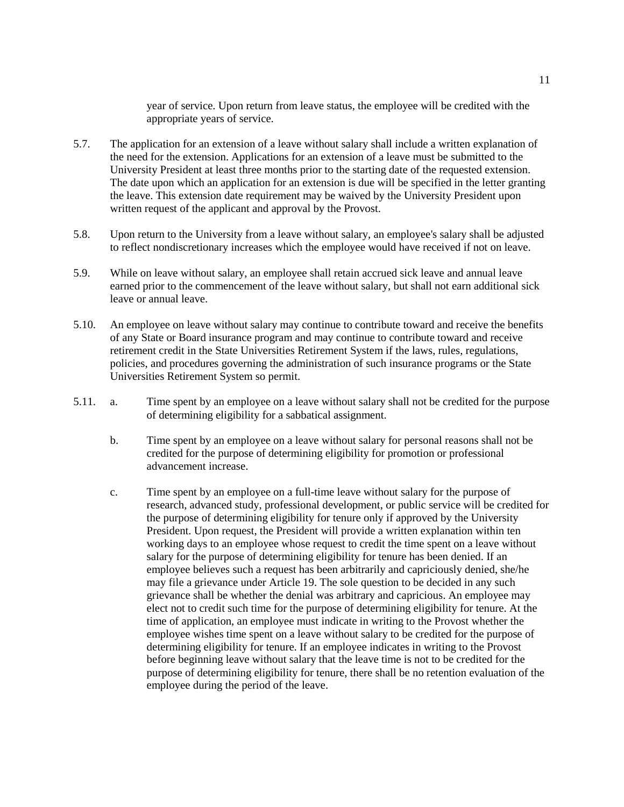year of service. Upon return from leave status, the employee will be credited with the appropriate years of service.

- 5.7. The application for an extension of a leave without salary shall include a written explanation of the need for the extension. Applications for an extension of a leave must be submitted to the University President at least three months prior to the starting date of the requested extension. The date upon which an application for an extension is due will be specified in the letter granting the leave. This extension date requirement may be waived by the University President upon written request of the applicant and approval by the Provost.
- 5.8. Upon return to the University from a leave without salary, an employee's salary shall be adjusted to reflect nondiscretionary increases which the employee would have received if not on leave.
- 5.9. While on leave without salary, an employee shall retain accrued sick leave and annual leave earned prior to the commencement of the leave without salary, but shall not earn additional sick leave or annual leave.
- 5.10. An employee on leave without salary may continue to contribute toward and receive the benefits of any State or Board insurance program and may continue to contribute toward and receive retirement credit in the State Universities Retirement System if the laws, rules, regulations, policies, and procedures governing the administration of such insurance programs or the State Universities Retirement System so permit.
- 5.11. a. Time spent by an employee on a leave without salary shall not be credited for the purpose of determining eligibility for a sabbatical assignment.
	- b. Time spent by an employee on a leave without salary for personal reasons shall not be credited for the purpose of determining eligibility for promotion or professional advancement increase.
	- c. Time spent by an employee on a full-time leave without salary for the purpose of research, advanced study, professional development, or public service will be credited for the purpose of determining eligibility for tenure only if approved by the University President. Upon request, the President will provide a written explanation within ten working days to an employee whose request to credit the time spent on a leave without salary for the purpose of determining eligibility for tenure has been denied. If an employee believes such a request has been arbitrarily and capriciously denied, she/he may file a grievance under Article 19. The sole question to be decided in any such grievance shall be whether the denial was arbitrary and capricious. An employee may elect not to credit such time for the purpose of determining eligibility for tenure. At the time of application, an employee must indicate in writing to the Provost whether the employee wishes time spent on a leave without salary to be credited for the purpose of determining eligibility for tenure. If an employee indicates in writing to the Provost before beginning leave without salary that the leave time is not to be credited for the purpose of determining eligibility for tenure, there shall be no retention evaluation of the employee during the period of the leave.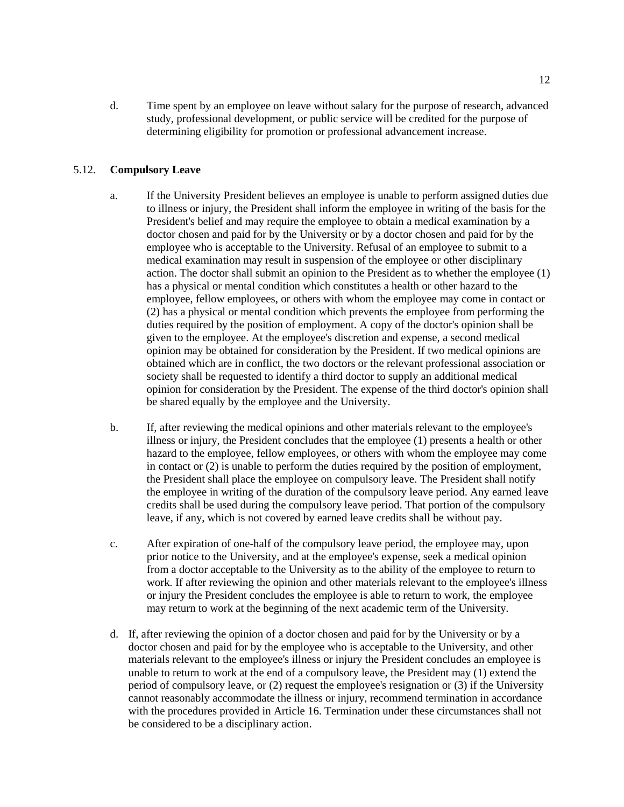d. Time spent by an employee on leave without salary for the purpose of research, advanced study, professional development, or public service will be credited for the purpose of determining eligibility for promotion or professional advancement increase.

### 5.12. **Compulsory Leave**

- a. If the University President believes an employee is unable to perform assigned duties due to illness or injury, the President shall inform the employee in writing of the basis for the President's belief and may require the employee to obtain a medical examination by a doctor chosen and paid for by the University or by a doctor chosen and paid for by the employee who is acceptable to the University. Refusal of an employee to submit to a medical examination may result in suspension of the employee or other disciplinary action. The doctor shall submit an opinion to the President as to whether the employee (1) has a physical or mental condition which constitutes a health or other hazard to the employee, fellow employees, or others with whom the employee may come in contact or (2) has a physical or mental condition which prevents the employee from performing the duties required by the position of employment. A copy of the doctor's opinion shall be given to the employee. At the employee's discretion and expense, a second medical opinion may be obtained for consideration by the President. If two medical opinions are obtained which are in conflict, the two doctors or the relevant professional association or society shall be requested to identify a third doctor to supply an additional medical opinion for consideration by the President. The expense of the third doctor's opinion shall be shared equally by the employee and the University.
- b. If, after reviewing the medical opinions and other materials relevant to the employee's illness or injury, the President concludes that the employee (1) presents a health or other hazard to the employee, fellow employees, or others with whom the employee may come in contact or (2) is unable to perform the duties required by the position of employment, the President shall place the employee on compulsory leave. The President shall notify the employee in writing of the duration of the compulsory leave period. Any earned leave credits shall be used during the compulsory leave period. That portion of the compulsory leave, if any, which is not covered by earned leave credits shall be without pay.
- c. After expiration of one-half of the compulsory leave period, the employee may, upon prior notice to the University, and at the employee's expense, seek a medical opinion from a doctor acceptable to the University as to the ability of the employee to return to work. If after reviewing the opinion and other materials relevant to the employee's illness or injury the President concludes the employee is able to return to work, the employee may return to work at the beginning of the next academic term of the University.
- d. If, after reviewing the opinion of a doctor chosen and paid for by the University or by a doctor chosen and paid for by the employee who is acceptable to the University, and other materials relevant to the employee's illness or injury the President concludes an employee is unable to return to work at the end of a compulsory leave, the President may (1) extend the period of compulsory leave, or (2) request the employee's resignation or (3) if the University cannot reasonably accommodate the illness or injury, recommend termination in accordance with the procedures provided in Article 16. Termination under these circumstances shall not be considered to be a disciplinary action.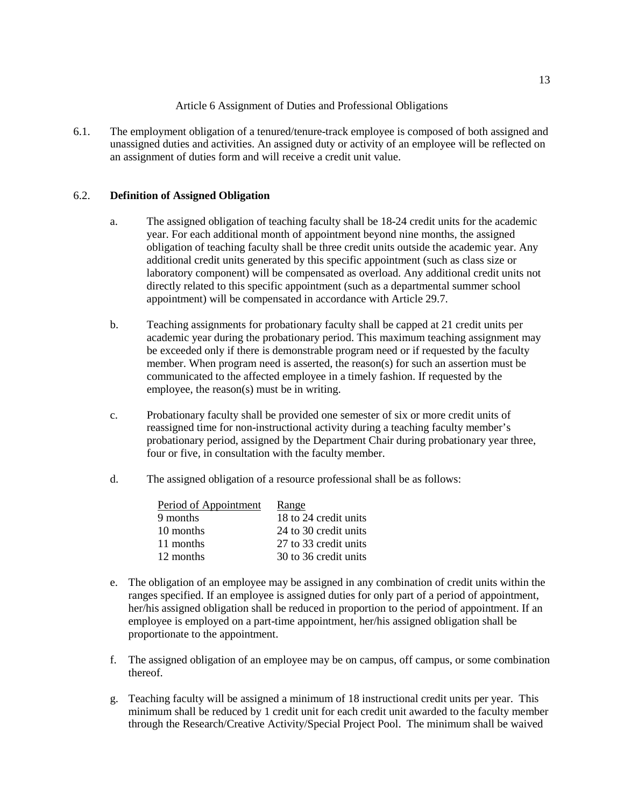Article 6 Assignment of Duties and Professional Obligations

<span id="page-12-0"></span>6.1. The employment obligation of a tenured/tenure-track employee is composed of both assigned and unassigned duties and activities. An assigned duty or activity of an employee will be reflected on an assignment of duties form and will receive a credit unit value.

# 6.2. **Definition of Assigned Obligation**

- a. The assigned obligation of teaching faculty shall be 18-24 credit units for the academic year. For each additional month of appointment beyond nine months, the assigned obligation of teaching faculty shall be three credit units outside the academic year. Any additional credit units generated by this specific appointment (such as class size or laboratory component) will be compensated as overload. Any additional credit units not directly related to this specific appointment (such as a departmental summer school appointment) will be compensated in accordance with Article 29.7.
- b. Teaching assignments for probationary faculty shall be capped at 21 credit units per academic year during the probationary period. This maximum teaching assignment may be exceeded only if there is demonstrable program need or if requested by the faculty member. When program need is asserted, the reason(s) for such an assertion must be communicated to the affected employee in a timely fashion. If requested by the employee, the reason(s) must be in writing.
- c. Probationary faculty shall be provided one semester of six or more credit units of reassigned time for non-instructional activity during a teaching faculty member's probationary period, assigned by the Department Chair during probationary year three, four or five, in consultation with the faculty member.
- d. The assigned obligation of a resource professional shall be as follows:

| Period of Appointment | Range                 |
|-----------------------|-----------------------|
| 9 months              | 18 to 24 credit units |
| 10 months             | 24 to 30 credit units |
| 11 months             | 27 to 33 credit units |
| 12 months             | 30 to 36 credit units |

- e. The obligation of an employee may be assigned in any combination of credit units within the ranges specified. If an employee is assigned duties for only part of a period of appointment, her/his assigned obligation shall be reduced in proportion to the period of appointment. If an employee is employed on a part-time appointment, her/his assigned obligation shall be proportionate to the appointment.
- f. The assigned obligation of an employee may be on campus, off campus, or some combination thereof.
- g. Teaching faculty will be assigned a minimum of 18 instructional credit units per year. This minimum shall be reduced by 1 credit unit for each credit unit awarded to the faculty member through the Research/Creative Activity/Special Project Pool. The minimum shall be waived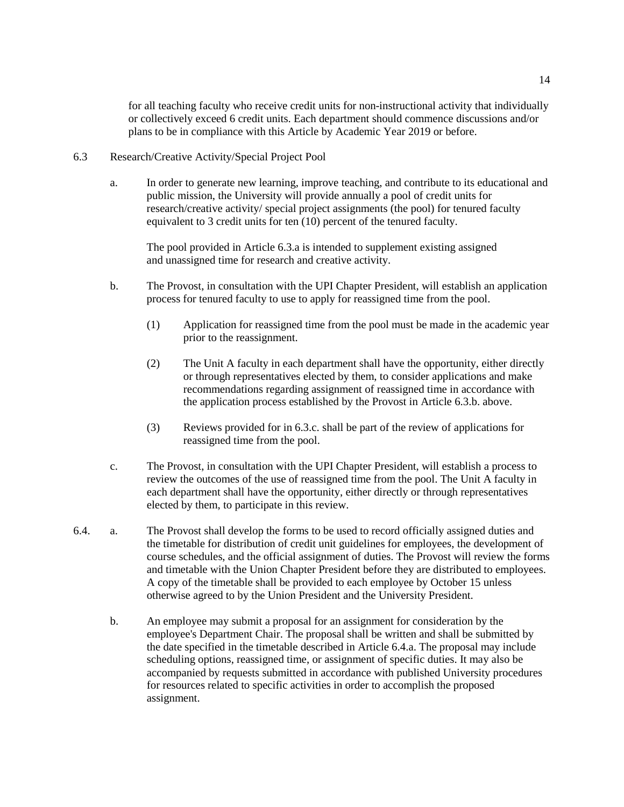for all teaching faculty who receive credit units for non-instructional activity that individually or collectively exceed 6 credit units. Each department should commence discussions and/or plans to be in compliance with this Article by Academic Year 2019 or before.

- 6.3 Research/Creative Activity/Special Project Pool
	- a. In order to generate new learning, improve teaching, and contribute to its educational and public mission, the University will provide annually a pool of credit units for research/creative activity/ special project assignments (the pool) for tenured faculty equivalent to 3 credit units for ten (10) percent of the tenured faculty.

The pool provided in Article 6.3.a is intended to supplement existing assigned and unassigned time for research and creative activity.

- b. The Provost, in consultation with the UPI Chapter President, will establish an application process for tenured faculty to use to apply for reassigned time from the pool.
	- (1) Application for reassigned time from the pool must be made in the academic year prior to the reassignment.
	- (2) The Unit A faculty in each department shall have the opportunity, either directly or through representatives elected by them, to consider applications and make recommendations regarding assignment of reassigned time in accordance with the application process established by the Provost in Article 6.3.b. above.
	- (3) Reviews provided for in 6.3.c. shall be part of the review of applications for reassigned time from the pool.
- c. The Provost, in consultation with the UPI Chapter President, will establish a process to review the outcomes of the use of reassigned time from the pool. The Unit A faculty in each department shall have the opportunity, either directly or through representatives elected by them, to participate in this review.
- 6.4. a. The Provost shall develop the forms to be used to record officially assigned duties and the timetable for distribution of credit unit guidelines for employees, the development of course schedules, and the official assignment of duties. The Provost will review the forms and timetable with the Union Chapter President before they are distributed to employees. A copy of the timetable shall be provided to each employee by October 15 unless otherwise agreed to by the Union President and the University President.
	- b. An employee may submit a proposal for an assignment for consideration by the employee's Department Chair. The proposal shall be written and shall be submitted by the date specified in the timetable described in Article 6.4.a. The proposal may include scheduling options, reassigned time, or assignment of specific duties. It may also be accompanied by requests submitted in accordance with published University procedures for resources related to specific activities in order to accomplish the proposed assignment.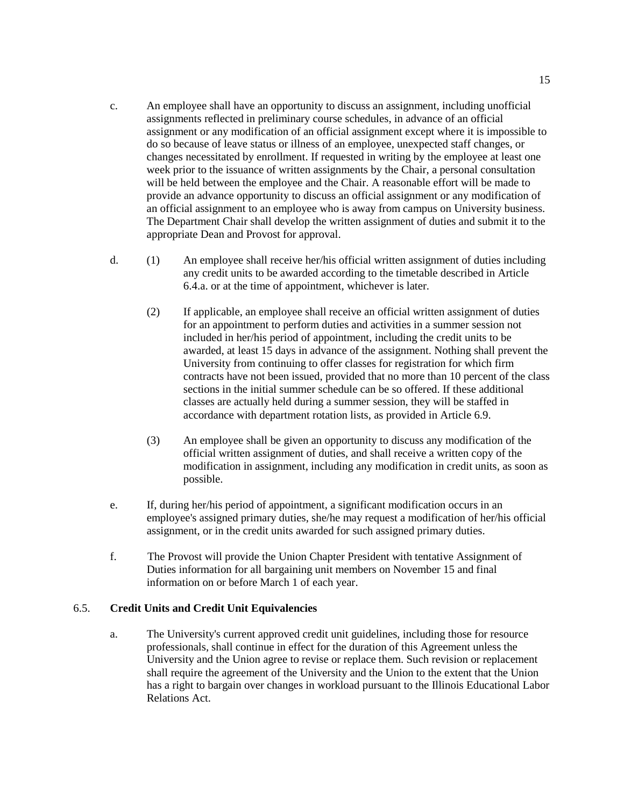- c. An employee shall have an opportunity to discuss an assignment, including unofficial assignments reflected in preliminary course schedules, in advance of an official assignment or any modification of an official assignment except where it is impossible to do so because of leave status or illness of an employee, unexpected staff changes, or changes necessitated by enrollment. If requested in writing by the employee at least one week prior to the issuance of written assignments by the Chair, a personal consultation will be held between the employee and the Chair. A reasonable effort will be made to provide an advance opportunity to discuss an official assignment or any modification of an official assignment to an employee who is away from campus on University business. The Department Chair shall develop the written assignment of duties and submit it to the appropriate Dean and Provost for approval.
- d. (1) An employee shall receive her/his official written assignment of duties including any credit units to be awarded according to the timetable described in Article 6.4.a. or at the time of appointment, whichever is later.
	- (2) If applicable, an employee shall receive an official written assignment of duties for an appointment to perform duties and activities in a summer session not included in her/his period of appointment, including the credit units to be awarded, at least 15 days in advance of the assignment. Nothing shall prevent the University from continuing to offer classes for registration for which firm contracts have not been issued, provided that no more than 10 percent of the class sections in the initial summer schedule can be so offered. If these additional classes are actually held during a summer session, they will be staffed in accordance with department rotation lists, as provided in Article 6.9.
	- (3) An employee shall be given an opportunity to discuss any modification of the official written assignment of duties, and shall receive a written copy of the modification in assignment, including any modification in credit units, as soon as possible.
- e. If, during her/his period of appointment, a significant modification occurs in an employee's assigned primary duties, she/he may request a modification of her/his official assignment, or in the credit units awarded for such assigned primary duties.
- f. The Provost will provide the Union Chapter President with tentative Assignment of Duties information for all bargaining unit members on November 15 and final information on or before March 1 of each year.

# 6.5. **Credit Units and Credit Unit Equivalencies**

a. The University's current approved credit unit guidelines, including those for resource professionals, shall continue in effect for the duration of this Agreement unless the University and the Union agree to revise or replace them. Such revision or replacement shall require the agreement of the University and the Union to the extent that the Union has a right to bargain over changes in workload pursuant to the Illinois Educational Labor Relations Act.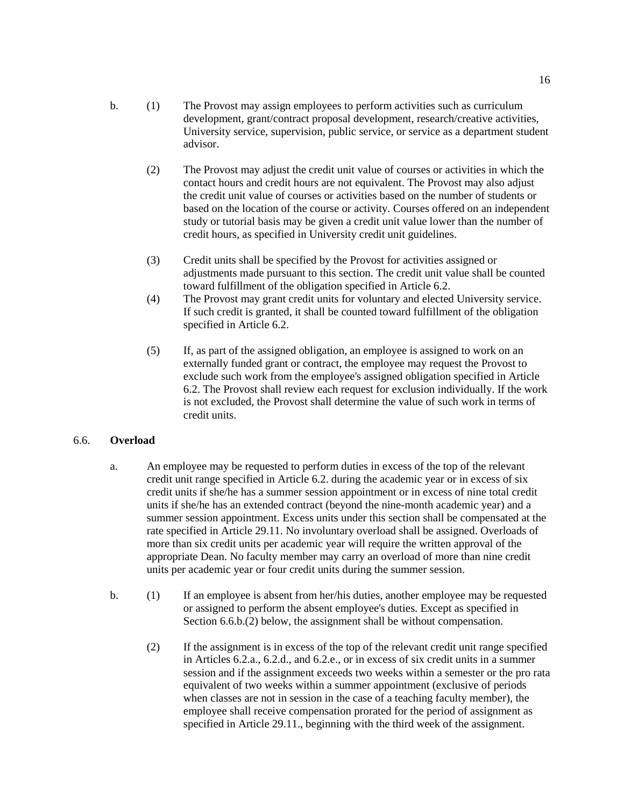- b. (1) The Provost may assign employees to perform activities such as curriculum development, grant/contract proposal development, research/creative activities, University service, supervision, public service, or service as a department student advisor.
	- (2) The Provost may adjust the credit unit value of courses or activities in which the contact hours and credit hours are not equivalent. The Provost may also adjust the credit unit value of courses or activities based on the number of students or based on the location of the course or activity. Courses offered on an independent study or tutorial basis may be given a credit unit value lower than the number of credit hours, as specified in University credit unit guidelines.
	- (3) Credit units shall be specified by the Provost for activities assigned or adjustments made pursuant to this section. The credit unit value shall be counted toward fulfillment of the obligation specified in Article 6.2.
	- (4) The Provost may grant credit units for voluntary and elected University service. If such credit is granted, it shall be counted toward fulfillment of the obligation specified in Article 6.2.
	- (5) If, as part of the assigned obligation, an employee is assigned to work on an externally funded grant or contract, the employee may request the Provost to exclude such work from the employee's assigned obligation specified in Article 6.2. The Provost shall review each request for exclusion individually. If the work is not excluded, the Provost shall determine the value of such work in terms of credit units.

# 6.6. **Overload**

- a. An employee may be requested to perform duties in excess of the top of the relevant credit unit range specified in Article 6.2. during the academic year or in excess of six credit units if she/he has a summer session appointment or in excess of nine total credit units if she/he has an extended contract (beyond the nine-month academic year) and a summer session appointment. Excess units under this section shall be compensated at the rate specified in Article 29.11. No involuntary overload shall be assigned. Overloads of more than six credit units per academic year will require the written approval of the appropriate Dean. No faculty member may carry an overload of more than nine credit units per academic year or four credit units during the summer session.
- b. (1) If an employee is absent from her/his duties, another employee may be requested or assigned to perform the absent employee's duties. Except as specified in Section 6.6.b.(2) below, the assignment shall be without compensation.
	- (2) If the assignment is in excess of the top of the relevant credit unit range specified in Articles 6.2.a., 6.2.d., and 6.2.e., or in excess of six credit units in a summer session and if the assignment exceeds two weeks within a semester or the pro rata equivalent of two weeks within a summer appointment (exclusive of periods when classes are not in session in the case of a teaching faculty member), the employee shall receive compensation prorated for the period of assignment as specified in Article 29.11., beginning with the third week of the assignment.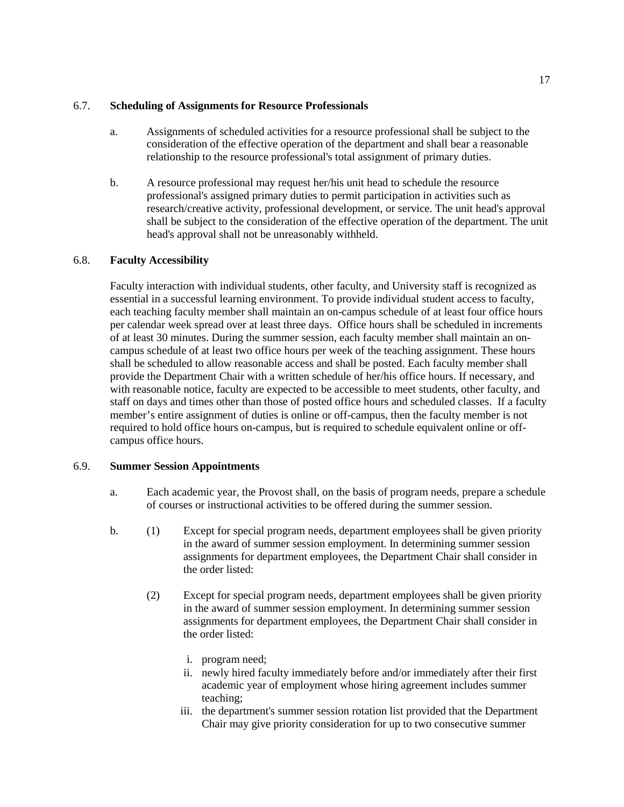### 6.7. **Scheduling of Assignments for Resource Professionals**

- a. Assignments of scheduled activities for a resource professional shall be subject to the consideration of the effective operation of the department and shall bear a reasonable relationship to the resource professional's total assignment of primary duties.
- b. A resource professional may request her/his unit head to schedule the resource professional's assigned primary duties to permit participation in activities such as research/creative activity, professional development, or service. The unit head's approval shall be subject to the consideration of the effective operation of the department. The unit head's approval shall not be unreasonably withheld.

# 6.8. **Faculty Accessibility**

Faculty interaction with individual students, other faculty, and University staff is recognized as essential in a successful learning environment. To provide individual student access to faculty, each teaching faculty member shall maintain an on-campus schedule of at least four office hours per calendar week spread over at least three days. Office hours shall be scheduled in increments of at least 30 minutes. During the summer session, each faculty member shall maintain an oncampus schedule of at least two office hours per week of the teaching assignment. These hours shall be scheduled to allow reasonable access and shall be posted. Each faculty member shall provide the Department Chair with a written schedule of her/his office hours. If necessary, and with reasonable notice, faculty are expected to be accessible to meet students, other faculty, and staff on days and times other than those of posted office hours and scheduled classes. If a faculty member's entire assignment of duties is online or off-campus, then the faculty member is not required to hold office hours on-campus, but is required to schedule equivalent online or offcampus office hours.

# 6.9. **Summer Session Appointments**

- a. Each academic year, the Provost shall, on the basis of program needs, prepare a schedule of courses or instructional activities to be offered during the summer session.
- b. (1) Except for special program needs, department employees shall be given priority in the award of summer session employment. In determining summer session assignments for department employees, the Department Chair shall consider in the order listed:
	- (2) Except for special program needs, department employees shall be given priority in the award of summer session employment. In determining summer session assignments for department employees, the Department Chair shall consider in the order listed:
		- i. program need;
		- ii. newly hired faculty immediately before and/or immediately after their first academic year of employment whose hiring agreement includes summer teaching;
		- iii. the department's summer session rotation list provided that the Department Chair may give priority consideration for up to two consecutive summer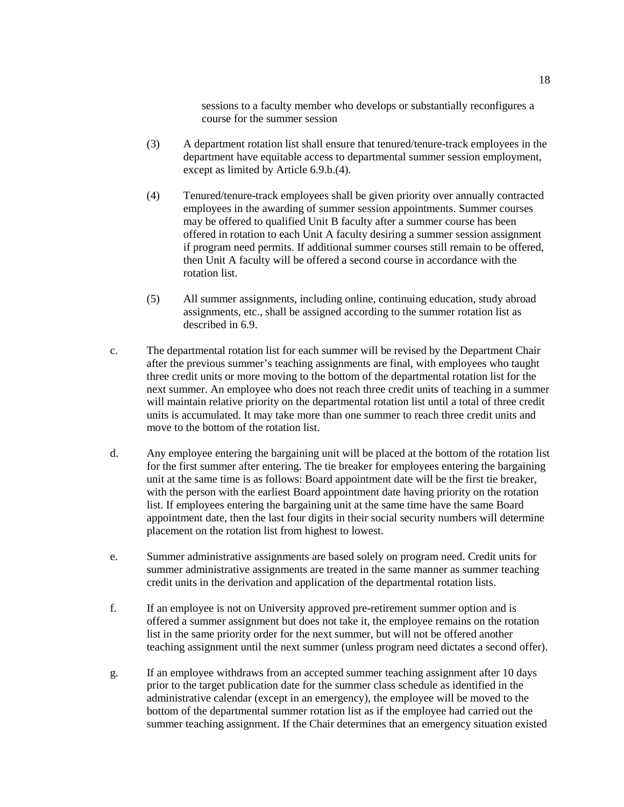sessions to a faculty member who develops or substantially reconfigures a course for the summer session

- (3) A department rotation list shall ensure that tenured/tenure-track employees in the department have equitable access to departmental summer session employment, except as limited by Article 6.9.b.(4).
- (4) Tenured/tenure-track employees shall be given priority over annually contracted employees in the awarding of summer session appointments. Summer courses may be offered to qualified Unit B faculty after a summer course has been offered in rotation to each Unit A faculty desiring a summer session assignment if program need permits. If additional summer courses still remain to be offered, then Unit A faculty will be offered a second course in accordance with the rotation list.
- (5) All summer assignments, including online, continuing education, study abroad assignments, etc., shall be assigned according to the summer rotation list as described in 6.9.
- c. The departmental rotation list for each summer will be revised by the Department Chair after the previous summer's teaching assignments are final, with employees who taught three credit units or more moving to the bottom of the departmental rotation list for the next summer. An employee who does not reach three credit units of teaching in a summer will maintain relative priority on the departmental rotation list until a total of three credit units is accumulated. It may take more than one summer to reach three credit units and move to the bottom of the rotation list.
- d. Any employee entering the bargaining unit will be placed at the bottom of the rotation list for the first summer after entering. The tie breaker for employees entering the bargaining unit at the same time is as follows: Board appointment date will be the first tie breaker, with the person with the earliest Board appointment date having priority on the rotation list. If employees entering the bargaining unit at the same time have the same Board appointment date, then the last four digits in their social security numbers will determine placement on the rotation list from highest to lowest.
- e. Summer administrative assignments are based solely on program need. Credit units for summer administrative assignments are treated in the same manner as summer teaching credit units in the derivation and application of the departmental rotation lists.
- f. If an employee is not on University approved pre-retirement summer option and is offered a summer assignment but does not take it, the employee remains on the rotation list in the same priority order for the next summer, but will not be offered another teaching assignment until the next summer (unless program need dictates a second offer).
- g. If an employee withdraws from an accepted summer teaching assignment after 10 days prior to the target publication date for the summer class schedule as identified in the administrative calendar (except in an emergency), the employee will be moved to the bottom of the departmental summer rotation list as if the employee had carried out the summer teaching assignment. If the Chair determines that an emergency situation existed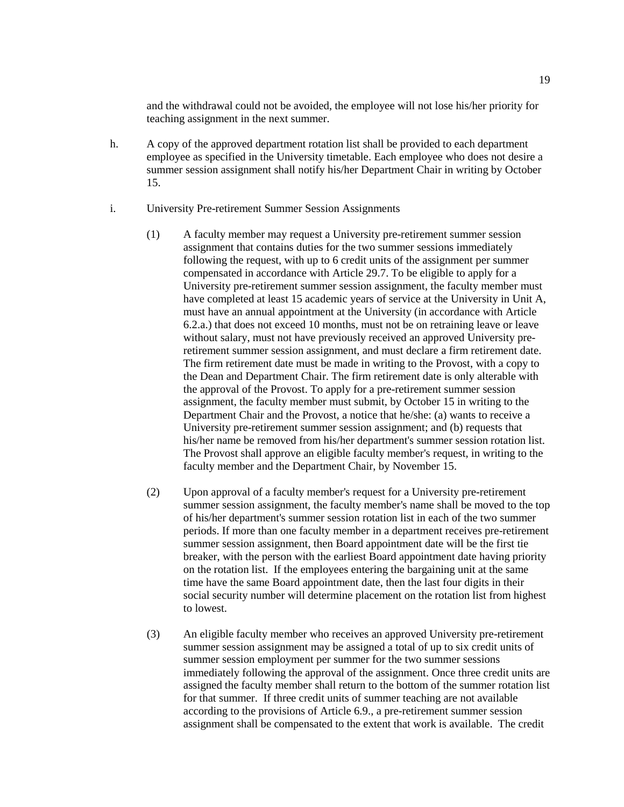and the withdrawal could not be avoided, the employee will not lose his/her priority for teaching assignment in the next summer.

- h. A copy of the approved department rotation list shall be provided to each department employee as specified in the University timetable. Each employee who does not desire a summer session assignment shall notify his/her Department Chair in writing by October 15.
- i. University Pre-retirement Summer Session Assignments
	- (1) A faculty member may request a University pre-retirement summer session assignment that contains duties for the two summer sessions immediately following the request, with up to 6 credit units of the assignment per summer compensated in accordance with Article 29.7. To be eligible to apply for a University pre-retirement summer session assignment, the faculty member must have completed at least 15 academic years of service at the University in Unit A, must have an annual appointment at the University (in accordance with Article 6.2.a.) that does not exceed 10 months, must not be on retraining leave or leave without salary, must not have previously received an approved University preretirement summer session assignment, and must declare a firm retirement date. The firm retirement date must be made in writing to the Provost, with a copy to the Dean and Department Chair. The firm retirement date is only alterable with the approval of the Provost. To apply for a pre-retirement summer session assignment, the faculty member must submit, by October 15 in writing to the Department Chair and the Provost, a notice that he/she: (a) wants to receive a University pre-retirement summer session assignment; and (b) requests that his/her name be removed from his/her department's summer session rotation list. The Provost shall approve an eligible faculty member's request, in writing to the faculty member and the Department Chair, by November 15.
	- (2) Upon approval of a faculty member's request for a University pre-retirement summer session assignment, the faculty member's name shall be moved to the top of his/her department's summer session rotation list in each of the two summer periods. If more than one faculty member in a department receives pre-retirement summer session assignment, then Board appointment date will be the first tie breaker, with the person with the earliest Board appointment date having priority on the rotation list. If the employees entering the bargaining unit at the same time have the same Board appointment date, then the last four digits in their social security number will determine placement on the rotation list from highest to lowest.
	- (3) An eligible faculty member who receives an approved University pre-retirement summer session assignment may be assigned a total of up to six credit units of summer session employment per summer for the two summer sessions immediately following the approval of the assignment. Once three credit units are assigned the faculty member shall return to the bottom of the summer rotation list for that summer. If three credit units of summer teaching are not available according to the provisions of Article 6.9., a pre-retirement summer session assignment shall be compensated to the extent that work is available. The credit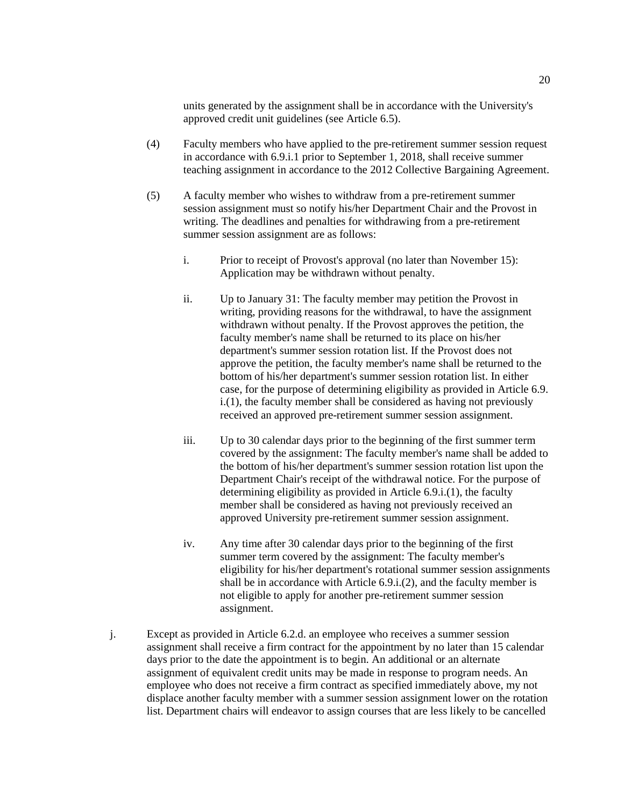units generated by the assignment shall be in accordance with the University's approved credit unit guidelines (see Article 6.5).

- (4) Faculty members who have applied to the pre-retirement summer session request in accordance with 6.9.i.1 prior to September 1, 2018, shall receive summer teaching assignment in accordance to the 2012 Collective Bargaining Agreement.
- (5) A faculty member who wishes to withdraw from a pre-retirement summer session assignment must so notify his/her Department Chair and the Provost in writing. The deadlines and penalties for withdrawing from a pre-retirement summer session assignment are as follows:
	- i. Prior to receipt of Provost's approval (no later than November 15): Application may be withdrawn without penalty.
	- ii. Up to January 31: The faculty member may petition the Provost in writing, providing reasons for the withdrawal, to have the assignment withdrawn without penalty. If the Provost approves the petition, the faculty member's name shall be returned to its place on his/her department's summer session rotation list. If the Provost does not approve the petition, the faculty member's name shall be returned to the bottom of his/her department's summer session rotation list. In either case, for the purpose of determining eligibility as provided in Article 6.9. i.(1), the faculty member shall be considered as having not previously received an approved pre-retirement summer session assignment.
	- iii. Up to 30 calendar days prior to the beginning of the first summer term covered by the assignment: The faculty member's name shall be added to the bottom of his/her department's summer session rotation list upon the Department Chair's receipt of the withdrawal notice. For the purpose of determining eligibility as provided in Article 6.9.i.(1), the faculty member shall be considered as having not previously received an approved University pre-retirement summer session assignment.
	- iv. Any time after 30 calendar days prior to the beginning of the first summer term covered by the assignment: The faculty member's eligibility for his/her department's rotational summer session assignments shall be in accordance with Article 6.9.i.(2), and the faculty member is not eligible to apply for another pre-retirement summer session assignment.
- j. Except as provided in Article 6.2.d. an employee who receives a summer session assignment shall receive a firm contract for the appointment by no later than 15 calendar days prior to the date the appointment is to begin. An additional or an alternate assignment of equivalent credit units may be made in response to program needs. An employee who does not receive a firm contract as specified immediately above, my not displace another faculty member with a summer session assignment lower on the rotation list. Department chairs will endeavor to assign courses that are less likely to be cancelled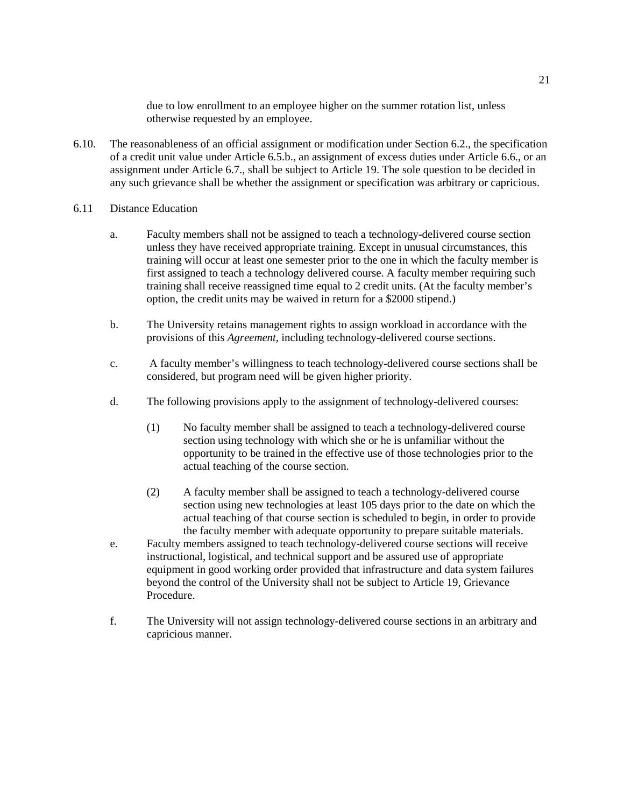due to low enrollment to an employee higher on the summer rotation list, unless otherwise requested by an employee.

- 6.10. The reasonableness of an official assignment or modification under Section 6.2., the specification of a credit unit value under Article 6.5.b., an assignment of excess duties under Article 6.6., or an assignment under Article 6.7., shall be subject to Article 19. The sole question to be decided in any such grievance shall be whether the assignment or specification was arbitrary or capricious.
- 6.11 Distance Education
	- a. Faculty members shall not be assigned to teach a technology-delivered course section unless they have received appropriate training. Except in unusual circumstances, this training will occur at least one semester prior to the one in which the faculty member is first assigned to teach a technology delivered course. A faculty member requiring such training shall receive reassigned time equal to 2 credit units. (At the faculty member's option, the credit units may be waived in return for a \$2000 stipend.)
	- b. The University retains management rights to assign workload in accordance with the provisions of this *Agreement*, including technology-delivered course sections.
	- c. A faculty member's willingness to teach technology-delivered course sections shall be considered, but program need will be given higher priority.
	- d. The following provisions apply to the assignment of technology-delivered courses:
		- (1) No faculty member shall be assigned to teach a technology-delivered course section using technology with which she or he is unfamiliar without the opportunity to be trained in the effective use of those technologies prior to the actual teaching of the course section.
		- (2) A faculty member shall be assigned to teach a technology-delivered course section using new technologies at least 105 days prior to the date on which the actual teaching of that course section is scheduled to begin, in order to provide the faculty member with adequate opportunity to prepare suitable materials.
	- e. Faculty members assigned to teach technology-delivered course sections will receive instructional, logistical, and technical support and be assured use of appropriate equipment in good working order provided that infrastructure and data system failures beyond the control of the University shall not be subject to Article 19, Grievance Procedure.
	- f. The University will not assign technology-delivered course sections in an arbitrary and capricious manner.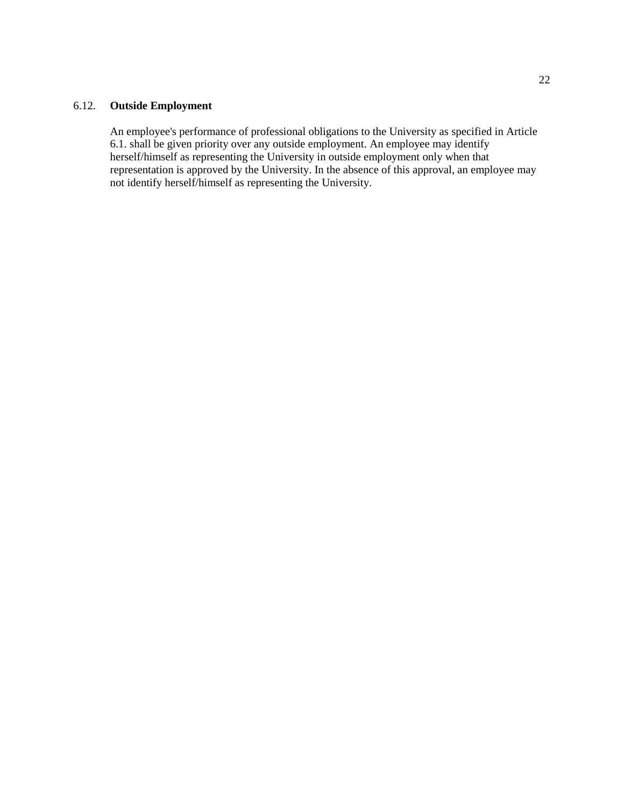### 6.12. **Outside Employment**

An employee's performance of professional obligations to the University as specified in Article 6.1. shall be given priority over any outside employment. An employee may identify herself/himself as representing the University in outside employment only when that representation is approved by the University. In the absence of this approval, an employee may not identify herself/himself as representing the University.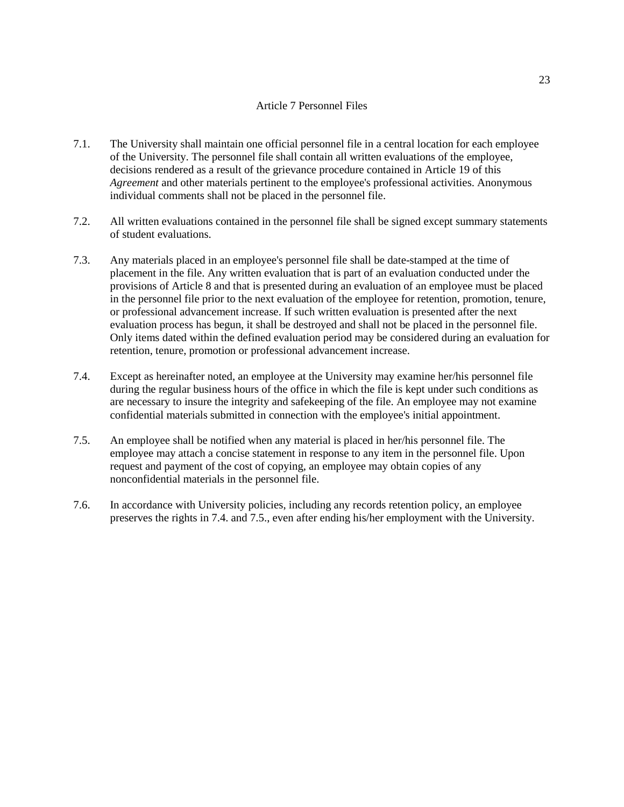#### Article 7 Personnel Files

- <span id="page-22-0"></span>7.1. The University shall maintain one official personnel file in a central location for each employee of the University. The personnel file shall contain all written evaluations of the employee, decisions rendered as a result of the grievance procedure contained in Article 19 of this *Agreement* and other materials pertinent to the employee's professional activities. Anonymous individual comments shall not be placed in the personnel file.
- 7.2. All written evaluations contained in the personnel file shall be signed except summary statements of student evaluations.
- 7.3. Any materials placed in an employee's personnel file shall be date-stamped at the time of placement in the file. Any written evaluation that is part of an evaluation conducted under the provisions of Article 8 and that is presented during an evaluation of an employee must be placed in the personnel file prior to the next evaluation of the employee for retention, promotion, tenure, or professional advancement increase. If such written evaluation is presented after the next evaluation process has begun, it shall be destroyed and shall not be placed in the personnel file. Only items dated within the defined evaluation period may be considered during an evaluation for retention, tenure, promotion or professional advancement increase.
- 7.4. Except as hereinafter noted, an employee at the University may examine her/his personnel file during the regular business hours of the office in which the file is kept under such conditions as are necessary to insure the integrity and safekeeping of the file. An employee may not examine confidential materials submitted in connection with the employee's initial appointment.
- 7.5. An employee shall be notified when any material is placed in her/his personnel file. The employee may attach a concise statement in response to any item in the personnel file. Upon request and payment of the cost of copying, an employee may obtain copies of any nonconfidential materials in the personnel file.
- 7.6. In accordance with University policies, including any records retention policy, an employee preserves the rights in 7.4. and 7.5., even after ending his/her employment with the University.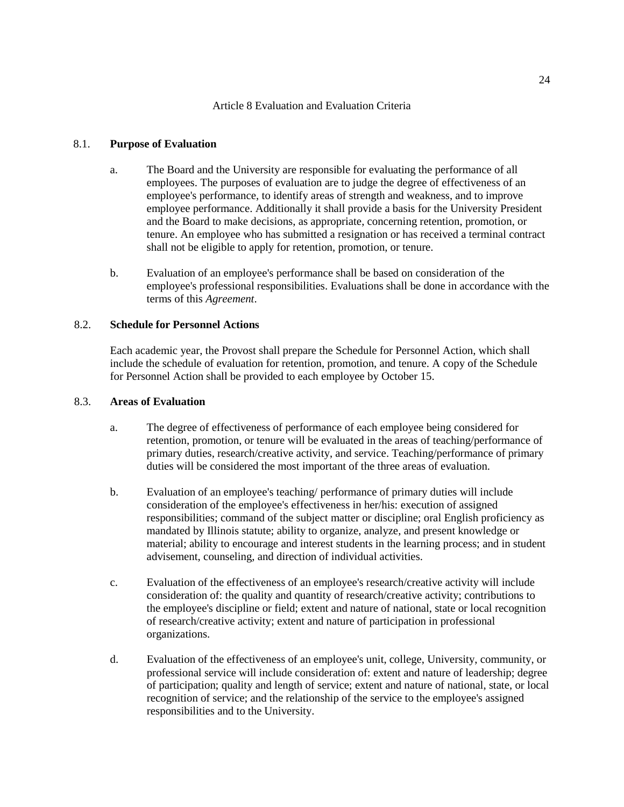#### Article 8 Evaluation and Evaluation Criteria

#### <span id="page-23-0"></span>8.1. **Purpose of Evaluation**

- a. The Board and the University are responsible for evaluating the performance of all employees. The purposes of evaluation are to judge the degree of effectiveness of an employee's performance, to identify areas of strength and weakness, and to improve employee performance. Additionally it shall provide a basis for the University President and the Board to make decisions, as appropriate, concerning retention, promotion, or tenure. An employee who has submitted a resignation or has received a terminal contract shall not be eligible to apply for retention, promotion, or tenure.
- b. Evaluation of an employee's performance shall be based on consideration of the employee's professional responsibilities. Evaluations shall be done in accordance with the terms of this *Agreement*.

### 8.2. **Schedule for Personnel Actions**

Each academic year, the Provost shall prepare the Schedule for Personnel Action, which shall include the schedule of evaluation for retention, promotion, and tenure. A copy of the Schedule for Personnel Action shall be provided to each employee by October 15.

#### 8.3. **Areas of Evaluation**

- a. The degree of effectiveness of performance of each employee being considered for retention, promotion, or tenure will be evaluated in the areas of teaching/performance of primary duties, research/creative activity, and service. Teaching/performance of primary duties will be considered the most important of the three areas of evaluation.
- b. Evaluation of an employee's teaching/ performance of primary duties will include consideration of the employee's effectiveness in her/his: execution of assigned responsibilities; command of the subject matter or discipline; oral English proficiency as mandated by Illinois statute; ability to organize, analyze, and present knowledge or material; ability to encourage and interest students in the learning process; and in student advisement, counseling, and direction of individual activities.
- c. Evaluation of the effectiveness of an employee's research/creative activity will include consideration of: the quality and quantity of research/creative activity; contributions to the employee's discipline or field; extent and nature of national, state or local recognition of research/creative activity; extent and nature of participation in professional organizations.
- d. Evaluation of the effectiveness of an employee's unit, college, University, community, or professional service will include consideration of: extent and nature of leadership; degree of participation; quality and length of service; extent and nature of national, state, or local recognition of service; and the relationship of the service to the employee's assigned responsibilities and to the University.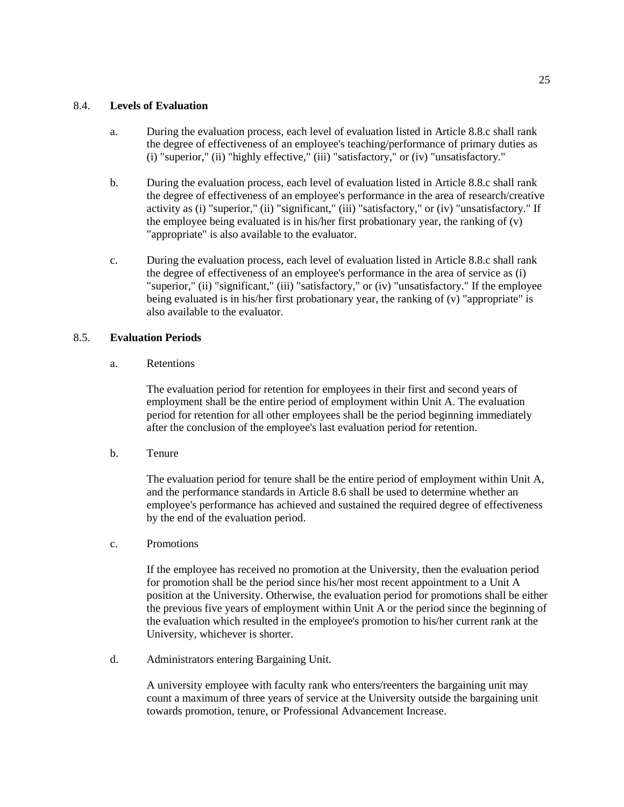### 8.4. **Levels of Evaluation**

- a. During the evaluation process, each level of evaluation listed in Article 8.8.c shall rank the degree of effectiveness of an employee's teaching/performance of primary duties as (i) "superior," (ii) "highly effective," (iii) "satisfactory," or (iv) "unsatisfactory."
- b. During the evaluation process, each level of evaluation listed in Article 8.8.c shall rank the degree of effectiveness of an employee's performance in the area of research/creative activity as (i) "superior," (ii) "significant," (iii) "satisfactory," or (iv) "unsatisfactory." If the employee being evaluated is in his/her first probationary year, the ranking of (v) "appropriate" is also available to the evaluator.
- c. During the evaluation process, each level of evaluation listed in Article 8.8.c shall rank the degree of effectiveness of an employee's performance in the area of service as (i) "superior," (ii) "significant," (iii) "satisfactory," or (iv) "unsatisfactory." If the employee being evaluated is in his/her first probationary year, the ranking of (v) "appropriate" is also available to the evaluator.

# 8.5. **Evaluation Periods**

a. Retentions

The evaluation period for retention for employees in their first and second years of employment shall be the entire period of employment within Unit A. The evaluation period for retention for all other employees shall be the period beginning immediately after the conclusion of the employee's last evaluation period for retention.

b. Tenure

The evaluation period for tenure shall be the entire period of employment within Unit A, and the performance standards in Article 8.6 shall be used to determine whether an employee's performance has achieved and sustained the required degree of effectiveness by the end of the evaluation period.

c. Promotions

If the employee has received no promotion at the University, then the evaluation period for promotion shall be the period since his/her most recent appointment to a Unit A position at the University. Otherwise, the evaluation period for promotions shall be either the previous five years of employment within Unit A or the period since the beginning of the evaluation which resulted in the employee's promotion to his/her current rank at the University, whichever is shorter.

d. Administrators entering Bargaining Unit.

A university employee with faculty rank who enters/reenters the bargaining unit may count a maximum of three years of service at the University outside the bargaining unit towards promotion, tenure, or Professional Advancement Increase.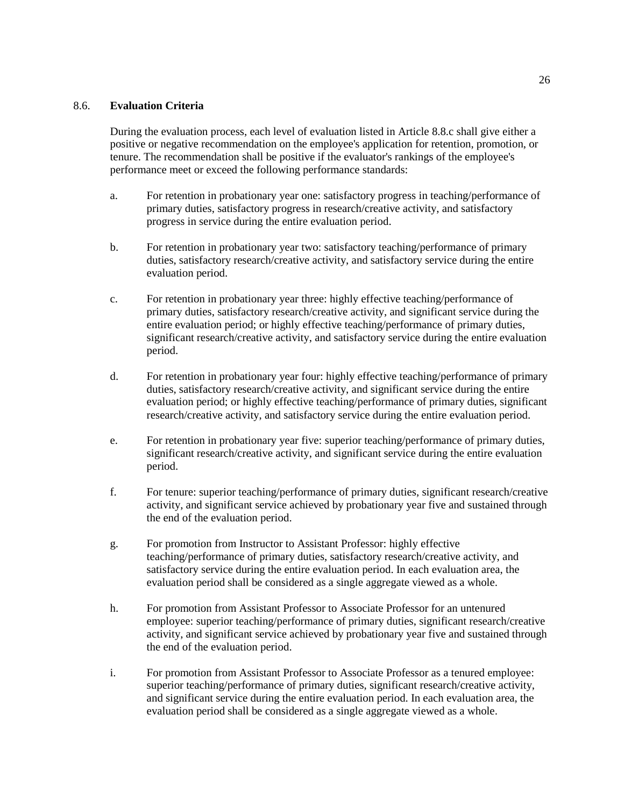### 8.6. **Evaluation Criteria**

During the evaluation process, each level of evaluation listed in Article 8.8.c shall give either a positive or negative recommendation on the employee's application for retention, promotion, or tenure. The recommendation shall be positive if the evaluator's rankings of the employee's performance meet or exceed the following performance standards:

- a. For retention in probationary year one: satisfactory progress in teaching/performance of primary duties, satisfactory progress in research/creative activity, and satisfactory progress in service during the entire evaluation period.
- b. For retention in probationary year two: satisfactory teaching/performance of primary duties, satisfactory research/creative activity, and satisfactory service during the entire evaluation period.
- c. For retention in probationary year three: highly effective teaching/performance of primary duties, satisfactory research/creative activity, and significant service during the entire evaluation period; or highly effective teaching/performance of primary duties, significant research/creative activity, and satisfactory service during the entire evaluation period.
- d. For retention in probationary year four: highly effective teaching/performance of primary duties, satisfactory research/creative activity, and significant service during the entire evaluation period; or highly effective teaching/performance of primary duties, significant research/creative activity, and satisfactory service during the entire evaluation period.
- e. For retention in probationary year five: superior teaching/performance of primary duties, significant research/creative activity, and significant service during the entire evaluation period.
- f. For tenure: superior teaching/performance of primary duties, significant research/creative activity, and significant service achieved by probationary year five and sustained through the end of the evaluation period.
- g. For promotion from Instructor to Assistant Professor: highly effective teaching/performance of primary duties, satisfactory research/creative activity, and satisfactory service during the entire evaluation period. In each evaluation area, the evaluation period shall be considered as a single aggregate viewed as a whole.
- h. For promotion from Assistant Professor to Associate Professor for an untenured employee: superior teaching/performance of primary duties, significant research/creative activity, and significant service achieved by probationary year five and sustained through the end of the evaluation period.
- i. For promotion from Assistant Professor to Associate Professor as a tenured employee: superior teaching/performance of primary duties, significant research/creative activity, and significant service during the entire evaluation period. In each evaluation area, the evaluation period shall be considered as a single aggregate viewed as a whole.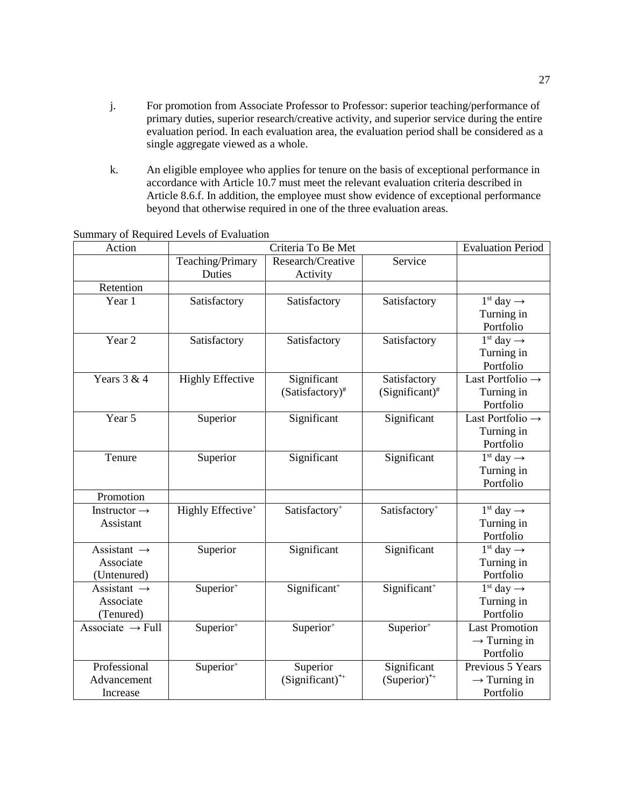- j. For promotion from Associate Professor to Professor: superior teaching/performance of primary duties, superior research/creative activity, and superior service during the entire evaluation period. In each evaluation area, the evaluation period shall be considered as a single aggregate viewed as a whole.
- k. An eligible employee who applies for tenure on the basis of exceptional performance in accordance with Article 10.7 must meet the relevant evaluation criteria described in Article 8.6.f. In addition, the employee must show evidence of exceptional performance beyond that otherwise required in one of the three evaluation areas.

| Action                       | Criteria To Be Met            |                           |                           | <b>Evaluation Period</b>                       |
|------------------------------|-------------------------------|---------------------------|---------------------------|------------------------------------------------|
|                              | Teaching/Primary              | Research/Creative         | Service                   |                                                |
|                              | Duties                        | Activity                  |                           |                                                |
| Retention                    |                               |                           |                           |                                                |
| Year 1                       | Satisfactory                  | Satisfactory              | Satisfactory              | $\overline{1}$ <sup>st</sup> day $\rightarrow$ |
|                              |                               |                           |                           | Turning in                                     |
|                              |                               |                           |                           | Portfolio                                      |
| Year <sub>2</sub>            | Satisfactory                  | Satisfactory              | Satisfactory              | $1st$ day $\rightarrow$                        |
|                              |                               |                           |                           | Turning in                                     |
|                              |                               |                           |                           | Portfolio                                      |
| Years $3 & 4$                | <b>Highly Effective</b>       | Significant               | Satisfactory              | Last Portfolio $\rightarrow$                   |
|                              |                               | $(Satisfactory)^*$        | $(Significant)^*$         | Turning in                                     |
|                              |                               |                           |                           | Portfolio                                      |
| Year 5                       | Superior                      | Significant               | Significant               | Last Portfolio $\rightarrow$                   |
|                              |                               |                           |                           | Turning in                                     |
|                              |                               |                           |                           | Portfolio                                      |
| Tenure                       | Superior                      | Significant               | Significant               | $1st$ day $\rightarrow$                        |
|                              |                               |                           |                           | Turning in                                     |
|                              |                               |                           |                           | Portfolio                                      |
| Promotion                    |                               |                           |                           |                                                |
| Instructor $\rightarrow$     | Highly Effective <sup>+</sup> | Satisfactory <sup>+</sup> | Satisfactory <sup>+</sup> | $1st$ day $\rightarrow$                        |
| Assistant                    |                               |                           |                           | Turning in                                     |
|                              |                               |                           |                           | Portfolio                                      |
| Assistant $\rightarrow$      | Superior                      | Significant               | Significant               | $1st$ day $\rightarrow$                        |
| Associate                    |                               |                           |                           | Turning in                                     |
| (Untenured)                  |                               |                           |                           | Portfolio                                      |
| Assistant $\rightarrow$      | Superior <sup>+</sup>         | Significant <sup>+</sup>  | Significant <sup>+</sup>  | $1^{\text{st}}$ day $\rightarrow$              |
| Associate                    |                               |                           |                           | Turning in                                     |
| (Tenured)                    |                               |                           |                           | Portfolio                                      |
| Associate $\rightarrow$ Full | Superior $\overline{r^+}$     | Superior <sup>+</sup>     | Superior <sup>+</sup>     | <b>Last Promotion</b>                          |
|                              |                               |                           |                           | $\rightarrow$ Turning in                       |
|                              |                               |                           |                           | Portfolio                                      |
| Professional                 | Superior <sup>+</sup>         | Superior                  | Significant               | Previous 5 Years                               |
| Advancement                  |                               | $(Significant)^{*+}$      | $(Superior)^{*+}$         | $\rightarrow$ Turning in                       |
| Increase                     |                               |                           |                           | Portfolio                                      |

Summary of Required Levels of Evaluation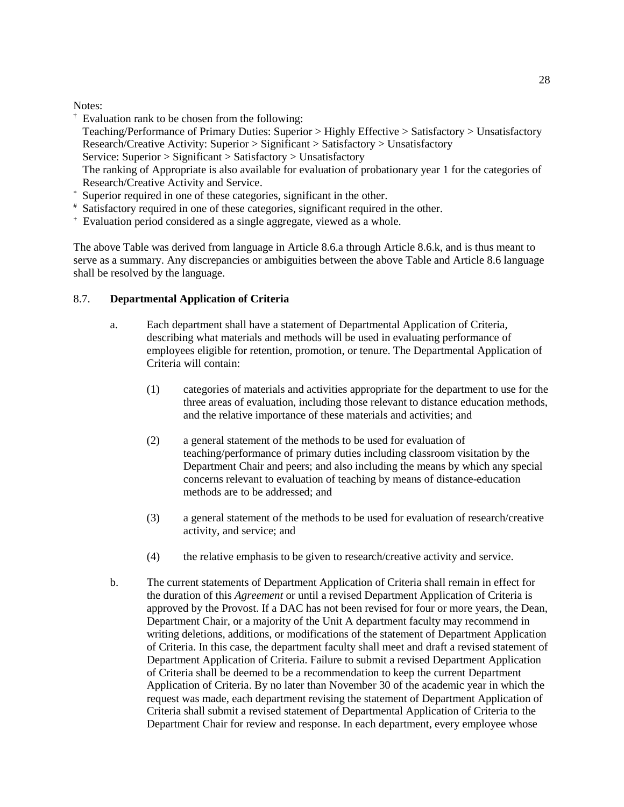### Notes:

† Evaluation rank to be chosen from the following:

Teaching/Performance of Primary Duties: Superior > Highly Effective > Satisfactory > Unsatisfactory Research/Creative Activity: Superior > Significant > Satisfactory > Unsatisfactory

Service: Superior > Significant > Satisfactory > Unsatisfactory

The ranking of Appropriate is also available for evaluation of probationary year 1 for the categories of Research/Creative Activity and Service.

- \* Superior required in one of these categories, significant in the other.
- # Satisfactory required in one of these categories, significant required in the other.
- + Evaluation period considered as a single aggregate, viewed as a whole.

The above Table was derived from language in Article 8.6.a through Article 8.6.k, and is thus meant to serve as a summary. Any discrepancies or ambiguities between the above Table and Article 8.6 language shall be resolved by the language.

# 8.7. **Departmental Application of Criteria**

- a. Each department shall have a statement of Departmental Application of Criteria, describing what materials and methods will be used in evaluating performance of employees eligible for retention, promotion, or tenure. The Departmental Application of Criteria will contain:
	- (1) categories of materials and activities appropriate for the department to use for the three areas of evaluation, including those relevant to distance education methods, and the relative importance of these materials and activities; and
	- (2) a general statement of the methods to be used for evaluation of teaching/performance of primary duties including classroom visitation by the Department Chair and peers; and also including the means by which any special concerns relevant to evaluation of teaching by means of distance-education methods are to be addressed; and
	- (3) a general statement of the methods to be used for evaluation of research/creative activity, and service; and
	- (4) the relative emphasis to be given to research/creative activity and service.
- b. The current statements of Department Application of Criteria shall remain in effect for the duration of this *Agreement* or until a revised Department Application of Criteria is approved by the Provost. If a DAC has not been revised for four or more years, the Dean, Department Chair, or a majority of the Unit A department faculty may recommend in writing deletions, additions, or modifications of the statement of Department Application of Criteria. In this case, the department faculty shall meet and draft a revised statement of Department Application of Criteria. Failure to submit a revised Department Application of Criteria shall be deemed to be a recommendation to keep the current Department Application of Criteria. By no later than November 30 of the academic year in which the request was made, each department revising the statement of Department Application of Criteria shall submit a revised statement of Departmental Application of Criteria to the Department Chair for review and response. In each department, every employee whose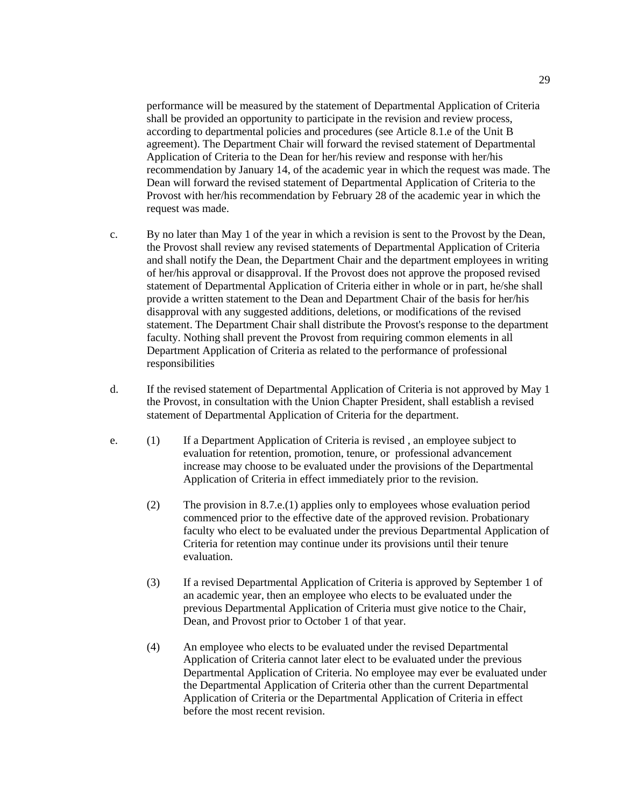performance will be measured by the statement of Departmental Application of Criteria shall be provided an opportunity to participate in the revision and review process, according to departmental policies and procedures (see Article 8.1.e of the Unit B agreement). The Department Chair will forward the revised statement of Departmental Application of Criteria to the Dean for her/his review and response with her/his recommendation by January 14, of the academic year in which the request was made. The Dean will forward the revised statement of Departmental Application of Criteria to the Provost with her/his recommendation by February 28 of the academic year in which the request was made.

- c. By no later than May 1 of the year in which a revision is sent to the Provost by the Dean, the Provost shall review any revised statements of Departmental Application of Criteria and shall notify the Dean, the Department Chair and the department employees in writing of her/his approval or disapproval. If the Provost does not approve the proposed revised statement of Departmental Application of Criteria either in whole or in part, he/she shall provide a written statement to the Dean and Department Chair of the basis for her/his disapproval with any suggested additions, deletions, or modifications of the revised statement. The Department Chair shall distribute the Provost's response to the department faculty. Nothing shall prevent the Provost from requiring common elements in all Department Application of Criteria as related to the performance of professional responsibilities
- d. If the revised statement of Departmental Application of Criteria is not approved by May 1 the Provost, in consultation with the Union Chapter President, shall establish a revised statement of Departmental Application of Criteria for the department.
- e. (1) If a Department Application of Criteria is revised , an employee subject to evaluation for retention, promotion, tenure, or professional advancement increase may choose to be evaluated under the provisions of the Departmental Application of Criteria in effect immediately prior to the revision.
	- (2) The provision in 8.7.e.(1) applies only to employees whose evaluation period commenced prior to the effective date of the approved revision. Probationary faculty who elect to be evaluated under the previous Departmental Application of Criteria for retention may continue under its provisions until their tenure evaluation.
	- (3) If a revised Departmental Application of Criteria is approved by September 1 of an academic year, then an employee who elects to be evaluated under the previous Departmental Application of Criteria must give notice to the Chair, Dean, and Provost prior to October 1 of that year.
	- (4) An employee who elects to be evaluated under the revised Departmental Application of Criteria cannot later elect to be evaluated under the previous Departmental Application of Criteria. No employee may ever be evaluated under the Departmental Application of Criteria other than the current Departmental Application of Criteria or the Departmental Application of Criteria in effect before the most recent revision.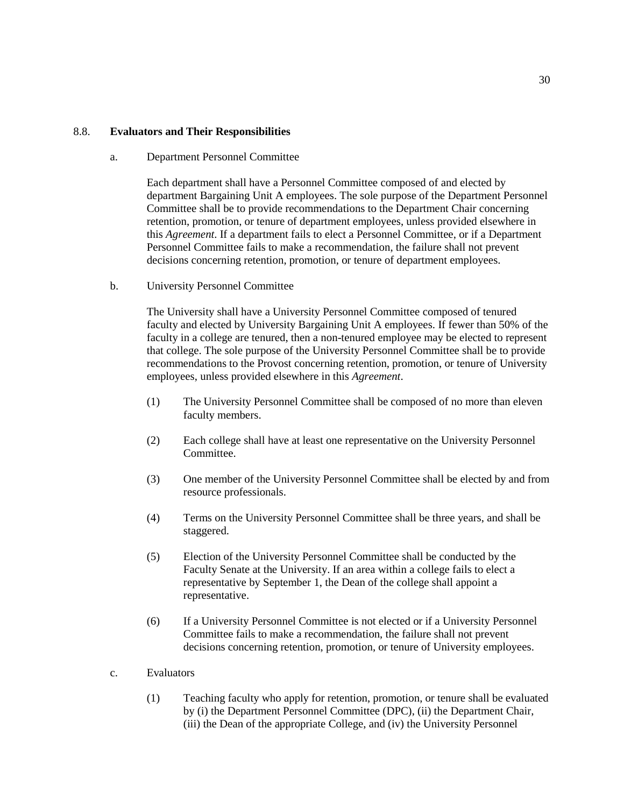### 8.8. **Evaluators and Their Responsibilities**

a. Department Personnel Committee

Each department shall have a Personnel Committee composed of and elected by department Bargaining Unit A employees. The sole purpose of the Department Personnel Committee shall be to provide recommendations to the Department Chair concerning retention, promotion, or tenure of department employees, unless provided elsewhere in this *Agreement*. If a department fails to elect a Personnel Committee, or if a Department Personnel Committee fails to make a recommendation, the failure shall not prevent decisions concerning retention, promotion, or tenure of department employees.

b. University Personnel Committee

The University shall have a University Personnel Committee composed of tenured faculty and elected by University Bargaining Unit A employees. If fewer than 50% of the faculty in a college are tenured, then a non-tenured employee may be elected to represent that college. The sole purpose of the University Personnel Committee shall be to provide recommendations to the Provost concerning retention, promotion, or tenure of University employees, unless provided elsewhere in this *Agreement*.

- (1) The University Personnel Committee shall be composed of no more than eleven faculty members.
- (2) Each college shall have at least one representative on the University Personnel **Committee**
- (3) One member of the University Personnel Committee shall be elected by and from resource professionals.
- (4) Terms on the University Personnel Committee shall be three years, and shall be staggered.
- (5) Election of the University Personnel Committee shall be conducted by the Faculty Senate at the University. If an area within a college fails to elect a representative by September 1, the Dean of the college shall appoint a representative.
- (6) If a University Personnel Committee is not elected or if a University Personnel Committee fails to make a recommendation, the failure shall not prevent decisions concerning retention, promotion, or tenure of University employees.
- c. Evaluators
	- (1) Teaching faculty who apply for retention, promotion, or tenure shall be evaluated by (i) the Department Personnel Committee (DPC), (ii) the Department Chair, (iii) the Dean of the appropriate College, and (iv) the University Personnel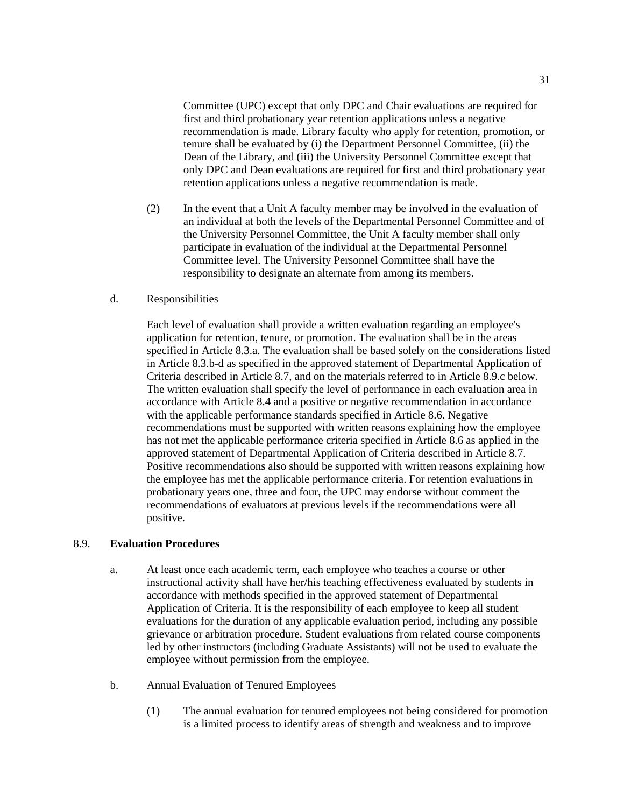Committee (UPC) except that only DPC and Chair evaluations are required for first and third probationary year retention applications unless a negative recommendation is made. Library faculty who apply for retention, promotion, or tenure shall be evaluated by (i) the Department Personnel Committee, (ii) the Dean of the Library, and (iii) the University Personnel Committee except that only DPC and Dean evaluations are required for first and third probationary year retention applications unless a negative recommendation is made.

(2) In the event that a Unit A faculty member may be involved in the evaluation of an individual at both the levels of the Departmental Personnel Committee and of the University Personnel Committee, the Unit A faculty member shall only participate in evaluation of the individual at the Departmental Personnel Committee level. The University Personnel Committee shall have the responsibility to designate an alternate from among its members.

### d. Responsibilities

Each level of evaluation shall provide a written evaluation regarding an employee's application for retention, tenure, or promotion. The evaluation shall be in the areas specified in Article 8.3.a. The evaluation shall be based solely on the considerations listed in Article 8.3.b-d as specified in the approved statement of Departmental Application of Criteria described in Article 8.7, and on the materials referred to in Article 8.9.c below. The written evaluation shall specify the level of performance in each evaluation area in accordance with Article 8.4 and a positive or negative recommendation in accordance with the applicable performance standards specified in Article 8.6. Negative recommendations must be supported with written reasons explaining how the employee has not met the applicable performance criteria specified in Article 8.6 as applied in the approved statement of Departmental Application of Criteria described in Article 8.7. Positive recommendations also should be supported with written reasons explaining how the employee has met the applicable performance criteria. For retention evaluations in probationary years one, three and four, the UPC may endorse without comment the recommendations of evaluators at previous levels if the recommendations were all positive.

# 8.9. **Evaluation Procedures**

- a. At least once each academic term, each employee who teaches a course or other instructional activity shall have her/his teaching effectiveness evaluated by students in accordance with methods specified in the approved statement of Departmental Application of Criteria. It is the responsibility of each employee to keep all student evaluations for the duration of any applicable evaluation period, including any possible grievance or arbitration procedure. Student evaluations from related course components led by other instructors (including Graduate Assistants) will not be used to evaluate the employee without permission from the employee.
- b. Annual Evaluation of Tenured Employees
	- (1) The annual evaluation for tenured employees not being considered for promotion is a limited process to identify areas of strength and weakness and to improve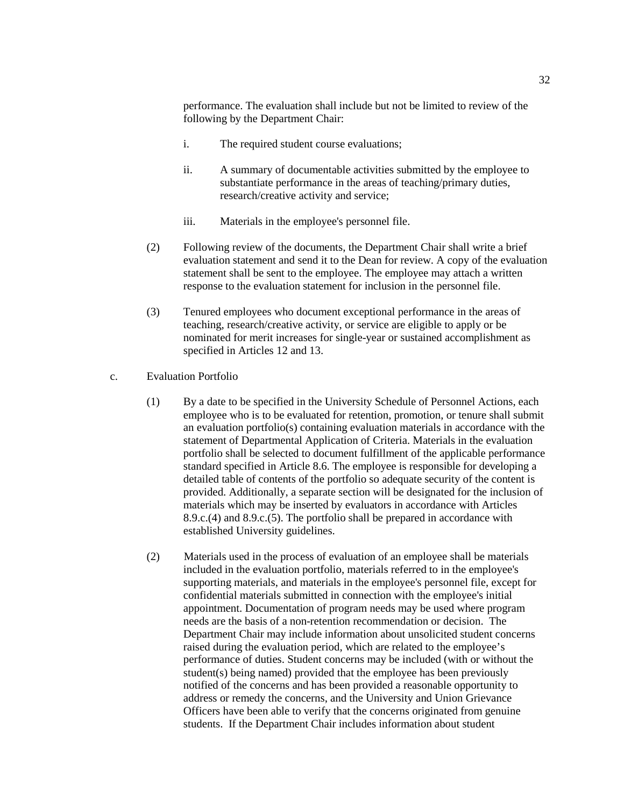performance. The evaluation shall include but not be limited to review of the following by the Department Chair:

- i. The required student course evaluations;
- ii. A summary of documentable activities submitted by the employee to substantiate performance in the areas of teaching/primary duties, research/creative activity and service;
- iii. Materials in the employee's personnel file.
- (2) Following review of the documents, the Department Chair shall write a brief evaluation statement and send it to the Dean for review. A copy of the evaluation statement shall be sent to the employee. The employee may attach a written response to the evaluation statement for inclusion in the personnel file.
- (3) Tenured employees who document exceptional performance in the areas of teaching, research/creative activity, or service are eligible to apply or be nominated for merit increases for single-year or sustained accomplishment as specified in Articles 12 and 13.
- c. Evaluation Portfolio
	- (1) By a date to be specified in the University Schedule of Personnel Actions, each employee who is to be evaluated for retention, promotion, or tenure shall submit an evaluation portfolio(s) containing evaluation materials in accordance with the statement of Departmental Application of Criteria. Materials in the evaluation portfolio shall be selected to document fulfillment of the applicable performance standard specified in Article 8.6. The employee is responsible for developing a detailed table of contents of the portfolio so adequate security of the content is provided. Additionally, a separate section will be designated for the inclusion of materials which may be inserted by evaluators in accordance with Articles 8.9.c.(4) and 8.9.c.(5). The portfolio shall be prepared in accordance with established University guidelines.
	- (2) Materials used in the process of evaluation of an employee shall be materials included in the evaluation portfolio, materials referred to in the employee's supporting materials, and materials in the employee's personnel file, except for confidential materials submitted in connection with the employee's initial appointment. Documentation of program needs may be used where program needs are the basis of a non-retention recommendation or decision. The Department Chair may include information about unsolicited student concerns raised during the evaluation period, which are related to the employee's performance of duties. Student concerns may be included (with or without the student(s) being named) provided that the employee has been previously notified of the concerns and has been provided a reasonable opportunity to address or remedy the concerns, and the University and Union Grievance Officers have been able to verify that the concerns originated from genuine students. If the Department Chair includes information about student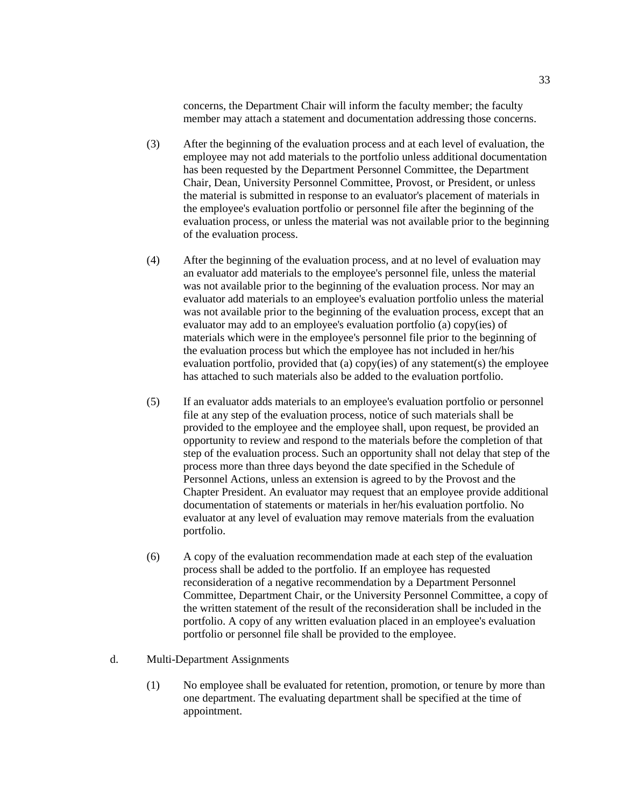concerns, the Department Chair will inform the faculty member; the faculty member may attach a statement and documentation addressing those concerns.

- (3) After the beginning of the evaluation process and at each level of evaluation, the employee may not add materials to the portfolio unless additional documentation has been requested by the Department Personnel Committee, the Department Chair, Dean, University Personnel Committee, Provost, or President, or unless the material is submitted in response to an evaluator's placement of materials in the employee's evaluation portfolio or personnel file after the beginning of the evaluation process, or unless the material was not available prior to the beginning of the evaluation process.
- (4) After the beginning of the evaluation process, and at no level of evaluation may an evaluator add materials to the employee's personnel file, unless the material was not available prior to the beginning of the evaluation process. Nor may an evaluator add materials to an employee's evaluation portfolio unless the material was not available prior to the beginning of the evaluation process, except that an evaluator may add to an employee's evaluation portfolio (a) copy(ies) of materials which were in the employee's personnel file prior to the beginning of the evaluation process but which the employee has not included in her/his evaluation portfolio, provided that (a) copy(ies) of any statement(s) the employee has attached to such materials also be added to the evaluation portfolio.
- (5) If an evaluator adds materials to an employee's evaluation portfolio or personnel file at any step of the evaluation process, notice of such materials shall be provided to the employee and the employee shall, upon request, be provided an opportunity to review and respond to the materials before the completion of that step of the evaluation process. Such an opportunity shall not delay that step of the process more than three days beyond the date specified in the Schedule of Personnel Actions, unless an extension is agreed to by the Provost and the Chapter President. An evaluator may request that an employee provide additional documentation of statements or materials in her/his evaluation portfolio. No evaluator at any level of evaluation may remove materials from the evaluation portfolio.
- (6) A copy of the evaluation recommendation made at each step of the evaluation process shall be added to the portfolio. If an employee has requested reconsideration of a negative recommendation by a Department Personnel Committee, Department Chair, or the University Personnel Committee, a copy of the written statement of the result of the reconsideration shall be included in the portfolio. A copy of any written evaluation placed in an employee's evaluation portfolio or personnel file shall be provided to the employee.

#### d. Multi-Department Assignments

(1) No employee shall be evaluated for retention, promotion, or tenure by more than one department. The evaluating department shall be specified at the time of appointment.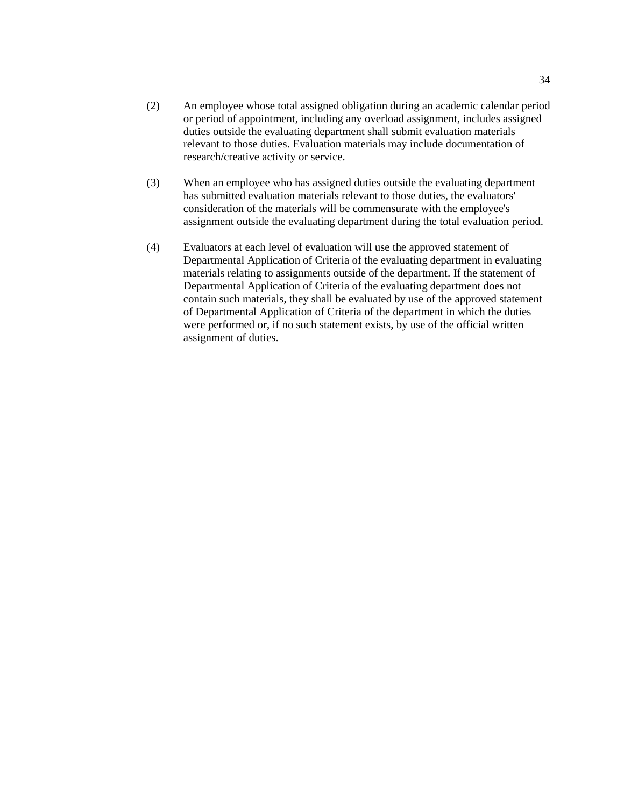- (2) An employee whose total assigned obligation during an academic calendar period or period of appointment, including any overload assignment, includes assigned duties outside the evaluating department shall submit evaluation materials relevant to those duties. Evaluation materials may include documentation of research/creative activity or service.
- (3) When an employee who has assigned duties outside the evaluating department has submitted evaluation materials relevant to those duties, the evaluators' consideration of the materials will be commensurate with the employee's assignment outside the evaluating department during the total evaluation period.
- (4) Evaluators at each level of evaluation will use the approved statement of Departmental Application of Criteria of the evaluating department in evaluating materials relating to assignments outside of the department. If the statement of Departmental Application of Criteria of the evaluating department does not contain such materials, they shall be evaluated by use of the approved statement of Departmental Application of Criteria of the department in which the duties were performed or, if no such statement exists, by use of the official written assignment of duties.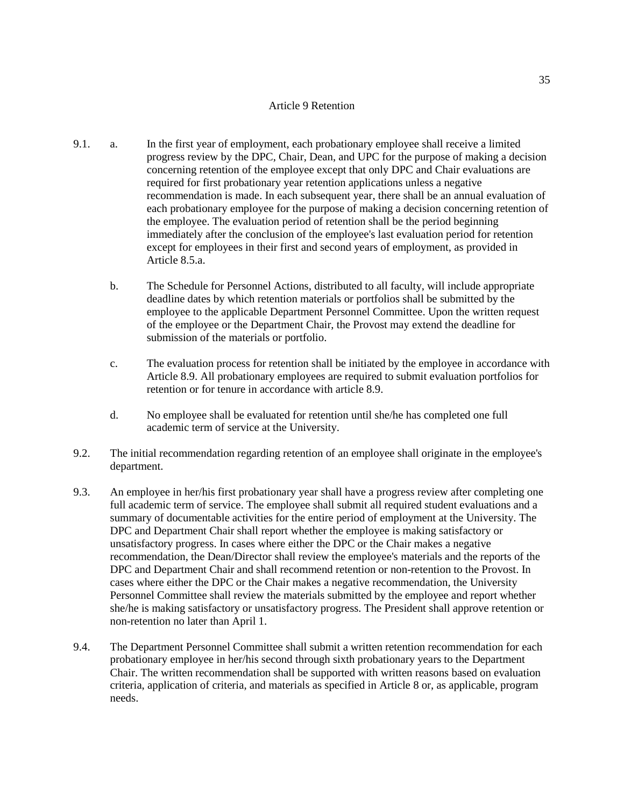#### Article 9 Retention

- <span id="page-34-0"></span>9.1. a. In the first year of employment, each probationary employee shall receive a limited progress review by the DPC, Chair, Dean, and UPC for the purpose of making a decision concerning retention of the employee except that only DPC and Chair evaluations are required for first probationary year retention applications unless a negative recommendation is made. In each subsequent year, there shall be an annual evaluation of each probationary employee for the purpose of making a decision concerning retention of the employee. The evaluation period of retention shall be the period beginning immediately after the conclusion of the employee's last evaluation period for retention except for employees in their first and second years of employment, as provided in Article 8.5.a.
	- b. The Schedule for Personnel Actions, distributed to all faculty, will include appropriate deadline dates by which retention materials or portfolios shall be submitted by the employee to the applicable Department Personnel Committee. Upon the written request of the employee or the Department Chair, the Provost may extend the deadline for submission of the materials or portfolio.
	- c. The evaluation process for retention shall be initiated by the employee in accordance with Article 8.9. All probationary employees are required to submit evaluation portfolios for retention or for tenure in accordance with article 8.9.
	- d. No employee shall be evaluated for retention until she/he has completed one full academic term of service at the University.
- 9.2. The initial recommendation regarding retention of an employee shall originate in the employee's department.
- 9.3. An employee in her/his first probationary year shall have a progress review after completing one full academic term of service. The employee shall submit all required student evaluations and a summary of documentable activities for the entire period of employment at the University. The DPC and Department Chair shall report whether the employee is making satisfactory or unsatisfactory progress. In cases where either the DPC or the Chair makes a negative recommendation, the Dean/Director shall review the employee's materials and the reports of the DPC and Department Chair and shall recommend retention or non-retention to the Provost. In cases where either the DPC or the Chair makes a negative recommendation, the University Personnel Committee shall review the materials submitted by the employee and report whether she/he is making satisfactory or unsatisfactory progress. The President shall approve retention or non-retention no later than April 1.
- 9.4. The Department Personnel Committee shall submit a written retention recommendation for each probationary employee in her/his second through sixth probationary years to the Department Chair. The written recommendation shall be supported with written reasons based on evaluation criteria, application of criteria, and materials as specified in Article 8 or, as applicable, program needs.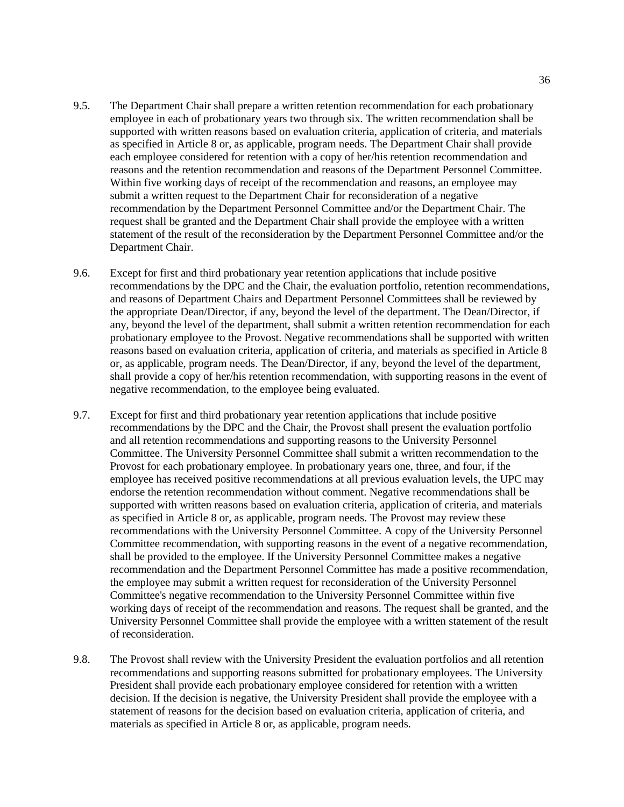- 9.5. The Department Chair shall prepare a written retention recommendation for each probationary employee in each of probationary years two through six. The written recommendation shall be supported with written reasons based on evaluation criteria, application of criteria, and materials as specified in Article 8 or, as applicable, program needs. The Department Chair shall provide each employee considered for retention with a copy of her/his retention recommendation and reasons and the retention recommendation and reasons of the Department Personnel Committee. Within five working days of receipt of the recommendation and reasons, an employee may submit a written request to the Department Chair for reconsideration of a negative recommendation by the Department Personnel Committee and/or the Department Chair. The request shall be granted and the Department Chair shall provide the employee with a written statement of the result of the reconsideration by the Department Personnel Committee and/or the Department Chair.
- 9.6. Except for first and third probationary year retention applications that include positive recommendations by the DPC and the Chair, the evaluation portfolio, retention recommendations, and reasons of Department Chairs and Department Personnel Committees shall be reviewed by the appropriate Dean/Director, if any, beyond the level of the department. The Dean/Director, if any, beyond the level of the department, shall submit a written retention recommendation for each probationary employee to the Provost. Negative recommendations shall be supported with written reasons based on evaluation criteria, application of criteria, and materials as specified in Article 8 or, as applicable, program needs. The Dean/Director, if any, beyond the level of the department, shall provide a copy of her/his retention recommendation, with supporting reasons in the event of negative recommendation, to the employee being evaluated.
- 9.7. Except for first and third probationary year retention applications that include positive recommendations by the DPC and the Chair, the Provost shall present the evaluation portfolio and all retention recommendations and supporting reasons to the University Personnel Committee. The University Personnel Committee shall submit a written recommendation to the Provost for each probationary employee. In probationary years one, three, and four, if the employee has received positive recommendations at all previous evaluation levels, the UPC may endorse the retention recommendation without comment. Negative recommendations shall be supported with written reasons based on evaluation criteria, application of criteria, and materials as specified in Article 8 or, as applicable, program needs. The Provost may review these recommendations with the University Personnel Committee. A copy of the University Personnel Committee recommendation, with supporting reasons in the event of a negative recommendation, shall be provided to the employee. If the University Personnel Committee makes a negative recommendation and the Department Personnel Committee has made a positive recommendation, the employee may submit a written request for reconsideration of the University Personnel Committee's negative recommendation to the University Personnel Committee within five working days of receipt of the recommendation and reasons. The request shall be granted, and the University Personnel Committee shall provide the employee with a written statement of the result of reconsideration.
- 9.8. The Provost shall review with the University President the evaluation portfolios and all retention recommendations and supporting reasons submitted for probationary employees. The University President shall provide each probationary employee considered for retention with a written decision. If the decision is negative, the University President shall provide the employee with a statement of reasons for the decision based on evaluation criteria, application of criteria, and materials as specified in Article 8 or, as applicable, program needs.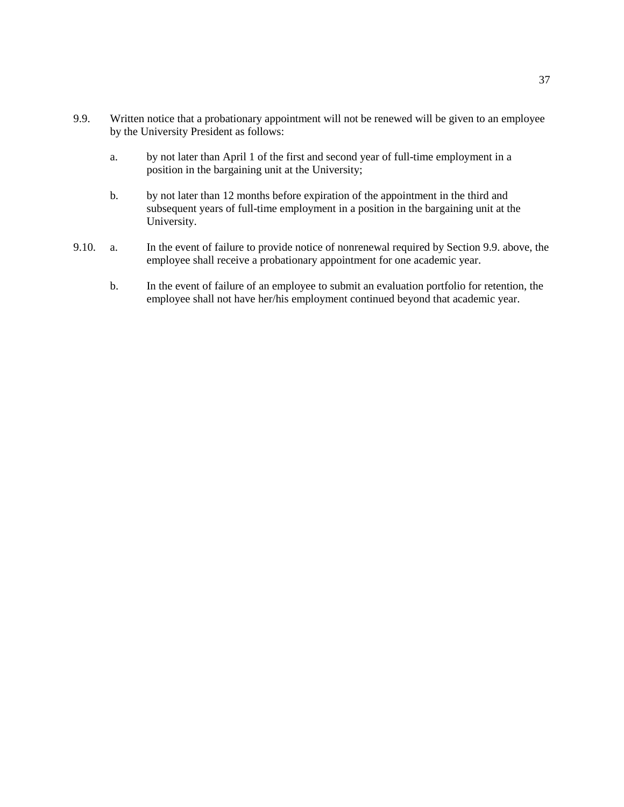- 9.9. Written notice that a probationary appointment will not be renewed will be given to an employee by the University President as follows:
	- a. by not later than April 1 of the first and second year of full-time employment in a position in the bargaining unit at the University;
	- b. by not later than 12 months before expiration of the appointment in the third and subsequent years of full-time employment in a position in the bargaining unit at the University.
- 9.10. a. In the event of failure to provide notice of nonrenewal required by Section 9.9. above, the employee shall receive a probationary appointment for one academic year.
	- b. In the event of failure of an employee to submit an evaluation portfolio for retention, the employee shall not have her/his employment continued beyond that academic year.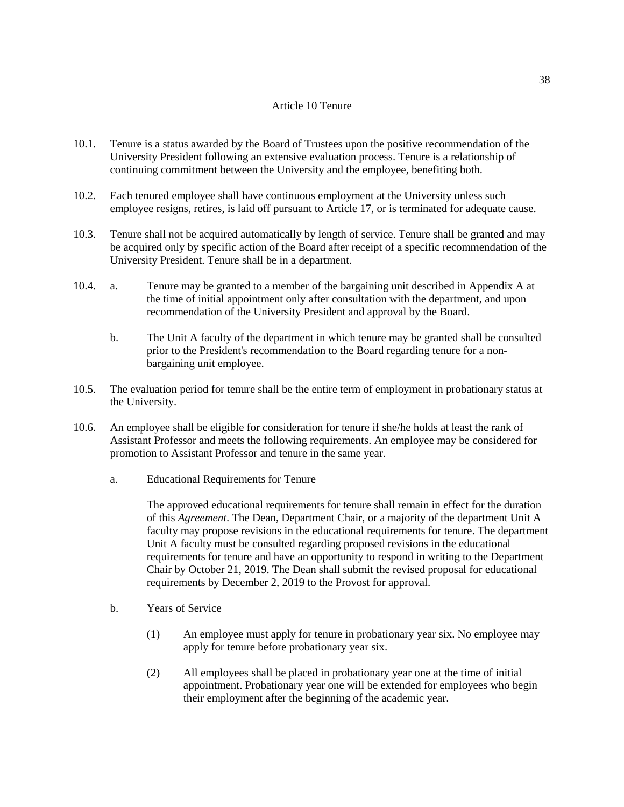## Article 10 Tenure

- 10.1. Tenure is a status awarded by the Board of Trustees upon the positive recommendation of the University President following an extensive evaluation process. Tenure is a relationship of continuing commitment between the University and the employee, benefiting both.
- 10.2. Each tenured employee shall have continuous employment at the University unless such employee resigns, retires, is laid off pursuant to Article 17, or is terminated for adequate cause.
- 10.3. Tenure shall not be acquired automatically by length of service. Tenure shall be granted and may be acquired only by specific action of the Board after receipt of a specific recommendation of the University President. Tenure shall be in a department.
- 10.4. a. Tenure may be granted to a member of the bargaining unit described in Appendix A at the time of initial appointment only after consultation with the department, and upon recommendation of the University President and approval by the Board.
	- b. The Unit A faculty of the department in which tenure may be granted shall be consulted prior to the President's recommendation to the Board regarding tenure for a nonbargaining unit employee.
- 10.5. The evaluation period for tenure shall be the entire term of employment in probationary status at the University.
- 10.6. An employee shall be eligible for consideration for tenure if she/he holds at least the rank of Assistant Professor and meets the following requirements. An employee may be considered for promotion to Assistant Professor and tenure in the same year.
	- a. Educational Requirements for Tenure

The approved educational requirements for tenure shall remain in effect for the duration of this *Agreement*. The Dean, Department Chair, or a majority of the department Unit A faculty may propose revisions in the educational requirements for tenure. The department Unit A faculty must be consulted regarding proposed revisions in the educational requirements for tenure and have an opportunity to respond in writing to the Department Chair by October 21, 2019. The Dean shall submit the revised proposal for educational requirements by December 2, 2019 to the Provost for approval.

- b. Years of Service
	- (1) An employee must apply for tenure in probationary year six. No employee may apply for tenure before probationary year six.
	- (2) All employees shall be placed in probationary year one at the time of initial appointment. Probationary year one will be extended for employees who begin their employment after the beginning of the academic year.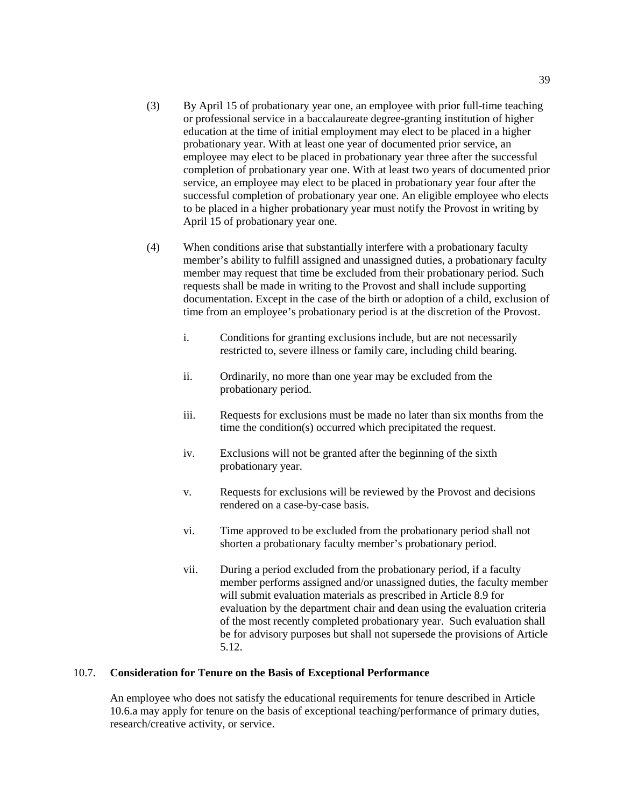- (3) By April 15 of probationary year one, an employee with prior full-time teaching or professional service in a baccalaureate degree-granting institution of higher education at the time of initial employment may elect to be placed in a higher probationary year. With at least one year of documented prior service, an employee may elect to be placed in probationary year three after the successful completion of probationary year one. With at least two years of documented prior service, an employee may elect to be placed in probationary year four after the successful completion of probationary year one. An eligible employee who elects to be placed in a higher probationary year must notify the Provost in writing by April 15 of probationary year one.
- (4) When conditions arise that substantially interfere with a probationary faculty member's ability to fulfill assigned and unassigned duties, a probationary faculty member may request that time be excluded from their probationary period. Such requests shall be made in writing to the Provost and shall include supporting documentation. Except in the case of the birth or adoption of a child, exclusion of time from an employee's probationary period is at the discretion of the Provost.
	- i. Conditions for granting exclusions include, but are not necessarily restricted to, severe illness or family care, including child bearing.
	- ii. Ordinarily, no more than one year may be excluded from the probationary period.
	- iii. Requests for exclusions must be made no later than six months from the time the condition(s) occurred which precipitated the request.
	- iv. Exclusions will not be granted after the beginning of the sixth probationary year.
	- v. Requests for exclusions will be reviewed by the Provost and decisions rendered on a case-by-case basis.
	- vi. Time approved to be excluded from the probationary period shall not shorten a probationary faculty member's probationary period.
	- vii. During a period excluded from the probationary period, if a faculty member performs assigned and/or unassigned duties, the faculty member will submit evaluation materials as prescribed in Article 8.9 for evaluation by the department chair and dean using the evaluation criteria of the most recently completed probationary year. Such evaluation shall be for advisory purposes but shall not supersede the provisions of Article 5.12.

## 10.7. **Consideration for Tenure on the Basis of Exceptional Performance**

An employee who does not satisfy the educational requirements for tenure described in Article 10.6.a may apply for tenure on the basis of exceptional teaching/performance of primary duties, research/creative activity, or service.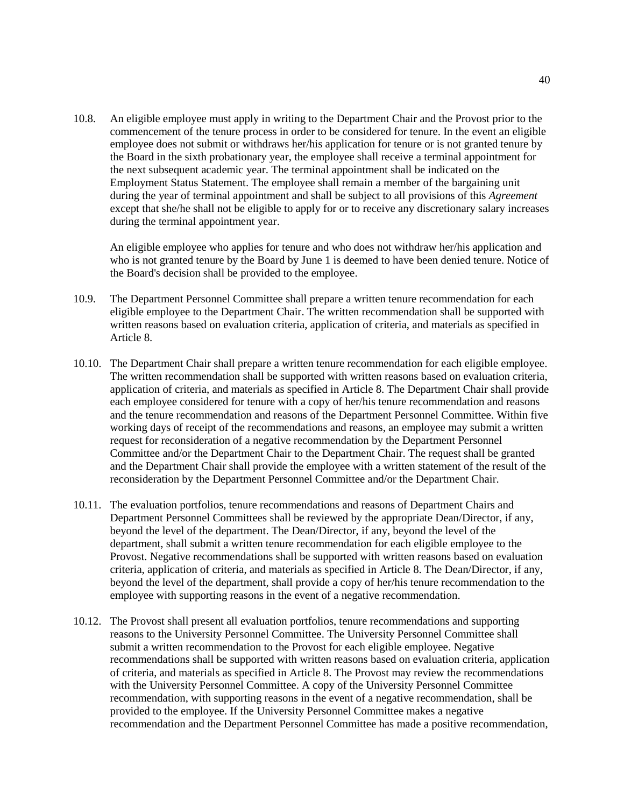10.8. An eligible employee must apply in writing to the Department Chair and the Provost prior to the commencement of the tenure process in order to be considered for tenure. In the event an eligible employee does not submit or withdraws her/his application for tenure or is not granted tenure by the Board in the sixth probationary year, the employee shall receive a terminal appointment for the next subsequent academic year. The terminal appointment shall be indicated on the Employment Status Statement. The employee shall remain a member of the bargaining unit during the year of terminal appointment and shall be subject to all provisions of this *Agreement* except that she/he shall not be eligible to apply for or to receive any discretionary salary increases during the terminal appointment year.

An eligible employee who applies for tenure and who does not withdraw her/his application and who is not granted tenure by the Board by June 1 is deemed to have been denied tenure. Notice of the Board's decision shall be provided to the employee.

- 10.9. The Department Personnel Committee shall prepare a written tenure recommendation for each eligible employee to the Department Chair. The written recommendation shall be supported with written reasons based on evaluation criteria, application of criteria, and materials as specified in Article 8.
- 10.10. The Department Chair shall prepare a written tenure recommendation for each eligible employee. The written recommendation shall be supported with written reasons based on evaluation criteria, application of criteria, and materials as specified in Article 8. The Department Chair shall provide each employee considered for tenure with a copy of her/his tenure recommendation and reasons and the tenure recommendation and reasons of the Department Personnel Committee. Within five working days of receipt of the recommendations and reasons, an employee may submit a written request for reconsideration of a negative recommendation by the Department Personnel Committee and/or the Department Chair to the Department Chair. The request shall be granted and the Department Chair shall provide the employee with a written statement of the result of the reconsideration by the Department Personnel Committee and/or the Department Chair.
- 10.11. The evaluation portfolios, tenure recommendations and reasons of Department Chairs and Department Personnel Committees shall be reviewed by the appropriate Dean/Director, if any, beyond the level of the department. The Dean/Director, if any, beyond the level of the department, shall submit a written tenure recommendation for each eligible employee to the Provost. Negative recommendations shall be supported with written reasons based on evaluation criteria, application of criteria, and materials as specified in Article 8. The Dean/Director, if any, beyond the level of the department, shall provide a copy of her/his tenure recommendation to the employee with supporting reasons in the event of a negative recommendation.
- 10.12. The Provost shall present all evaluation portfolios, tenure recommendations and supporting reasons to the University Personnel Committee. The University Personnel Committee shall submit a written recommendation to the Provost for each eligible employee. Negative recommendations shall be supported with written reasons based on evaluation criteria, application of criteria, and materials as specified in Article 8. The Provost may review the recommendations with the University Personnel Committee. A copy of the University Personnel Committee recommendation, with supporting reasons in the event of a negative recommendation, shall be provided to the employee. If the University Personnel Committee makes a negative recommendation and the Department Personnel Committee has made a positive recommendation,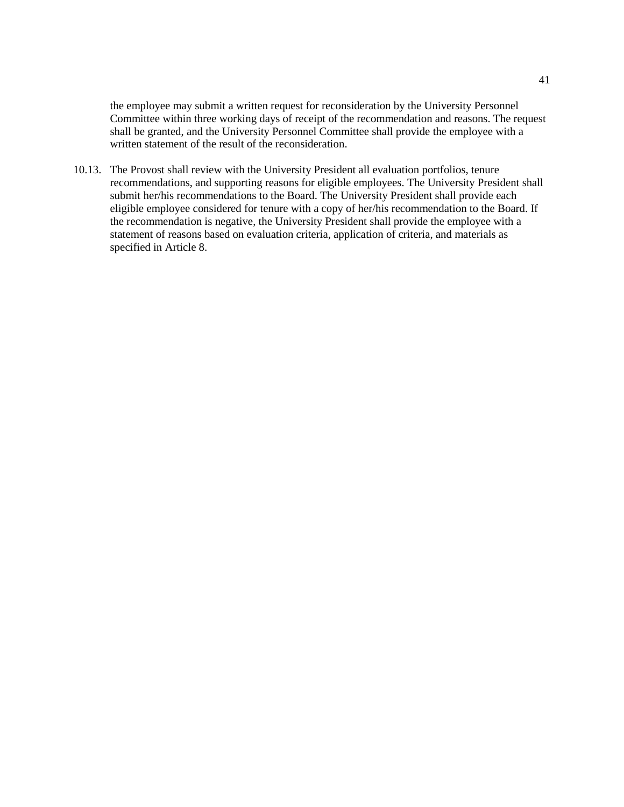the employee may submit a written request for reconsideration by the University Personnel Committee within three working days of receipt of the recommendation and reasons. The request shall be granted, and the University Personnel Committee shall provide the employee with a written statement of the result of the reconsideration.

10.13. The Provost shall review with the University President all evaluation portfolios, tenure recommendations, and supporting reasons for eligible employees. The University President shall submit her/his recommendations to the Board. The University President shall provide each eligible employee considered for tenure with a copy of her/his recommendation to the Board. If the recommendation is negative, the University President shall provide the employee with a statement of reasons based on evaluation criteria, application of criteria, and materials as specified in Article 8.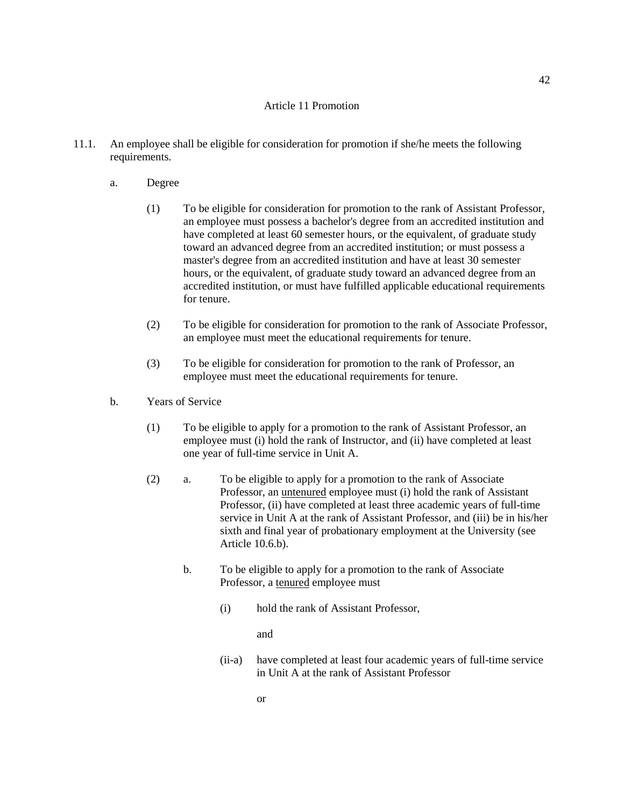## Article 11 Promotion

- 11.1. An employee shall be eligible for consideration for promotion if she/he meets the following requirements.
	- a. Degree
		- (1) To be eligible for consideration for promotion to the rank of Assistant Professor, an employee must possess a bachelor's degree from an accredited institution and have completed at least 60 semester hours, or the equivalent, of graduate study toward an advanced degree from an accredited institution; or must possess a master's degree from an accredited institution and have at least 30 semester hours, or the equivalent, of graduate study toward an advanced degree from an accredited institution, or must have fulfilled applicable educational requirements for tenure.
		- (2) To be eligible for consideration for promotion to the rank of Associate Professor, an employee must meet the educational requirements for tenure.
		- (3) To be eligible for consideration for promotion to the rank of Professor, an employee must meet the educational requirements for tenure.
	- b. Years of Service
		- (1) To be eligible to apply for a promotion to the rank of Assistant Professor, an employee must (i) hold the rank of Instructor, and (ii) have completed at least one year of full-time service in Unit A.
		- (2) a. To be eligible to apply for a promotion to the rank of Associate Professor, an untenured employee must (i) hold the rank of Assistant Professor, (ii) have completed at least three academic years of full-time service in Unit A at the rank of Assistant Professor, and (iii) be in his/her sixth and final year of probationary employment at the University (see Article 10.6.b).
			- b. To be eligible to apply for a promotion to the rank of Associate Professor, a tenured employee must
				- (i) hold the rank of Assistant Professor,

and

(ii-a) have completed at least four academic years of full-time service in Unit A at the rank of Assistant Professor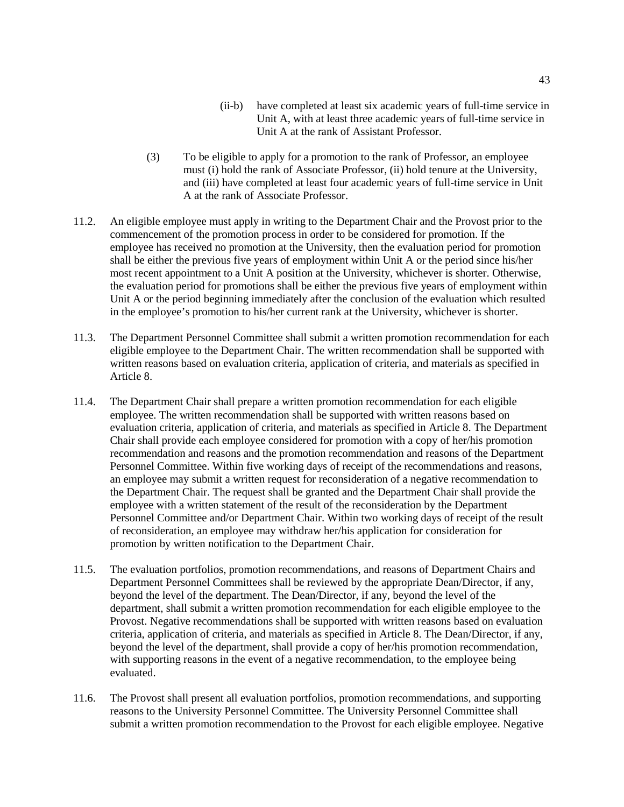- (ii-b) have completed at least six academic years of full-time service in Unit A, with at least three academic years of full-time service in Unit A at the rank of Assistant Professor.
- (3) To be eligible to apply for a promotion to the rank of Professor, an employee must (i) hold the rank of Associate Professor, (ii) hold tenure at the University, and (iii) have completed at least four academic years of full-time service in Unit A at the rank of Associate Professor.
- 11.2. An eligible employee must apply in writing to the Department Chair and the Provost prior to the commencement of the promotion process in order to be considered for promotion. If the employee has received no promotion at the University, then the evaluation period for promotion shall be either the previous five years of employment within Unit A or the period since his/her most recent appointment to a Unit A position at the University, whichever is shorter. Otherwise, the evaluation period for promotions shall be either the previous five years of employment within Unit A or the period beginning immediately after the conclusion of the evaluation which resulted in the employee's promotion to his/her current rank at the University, whichever is shorter.
- 11.3. The Department Personnel Committee shall submit a written promotion recommendation for each eligible employee to the Department Chair. The written recommendation shall be supported with written reasons based on evaluation criteria, application of criteria, and materials as specified in Article 8.
- 11.4. The Department Chair shall prepare a written promotion recommendation for each eligible employee. The written recommendation shall be supported with written reasons based on evaluation criteria, application of criteria, and materials as specified in Article 8. The Department Chair shall provide each employee considered for promotion with a copy of her/his promotion recommendation and reasons and the promotion recommendation and reasons of the Department Personnel Committee. Within five working days of receipt of the recommendations and reasons, an employee may submit a written request for reconsideration of a negative recommendation to the Department Chair. The request shall be granted and the Department Chair shall provide the employee with a written statement of the result of the reconsideration by the Department Personnel Committee and/or Department Chair. Within two working days of receipt of the result of reconsideration, an employee may withdraw her/his application for consideration for promotion by written notification to the Department Chair.
- 11.5. The evaluation portfolios, promotion recommendations, and reasons of Department Chairs and Department Personnel Committees shall be reviewed by the appropriate Dean/Director, if any, beyond the level of the department. The Dean/Director, if any, beyond the level of the department, shall submit a written promotion recommendation for each eligible employee to the Provost. Negative recommendations shall be supported with written reasons based on evaluation criteria, application of criteria, and materials as specified in Article 8. The Dean/Director, if any, beyond the level of the department, shall provide a copy of her/his promotion recommendation, with supporting reasons in the event of a negative recommendation, to the employee being evaluated.
- 11.6. The Provost shall present all evaluation portfolios, promotion recommendations, and supporting reasons to the University Personnel Committee. The University Personnel Committee shall submit a written promotion recommendation to the Provost for each eligible employee. Negative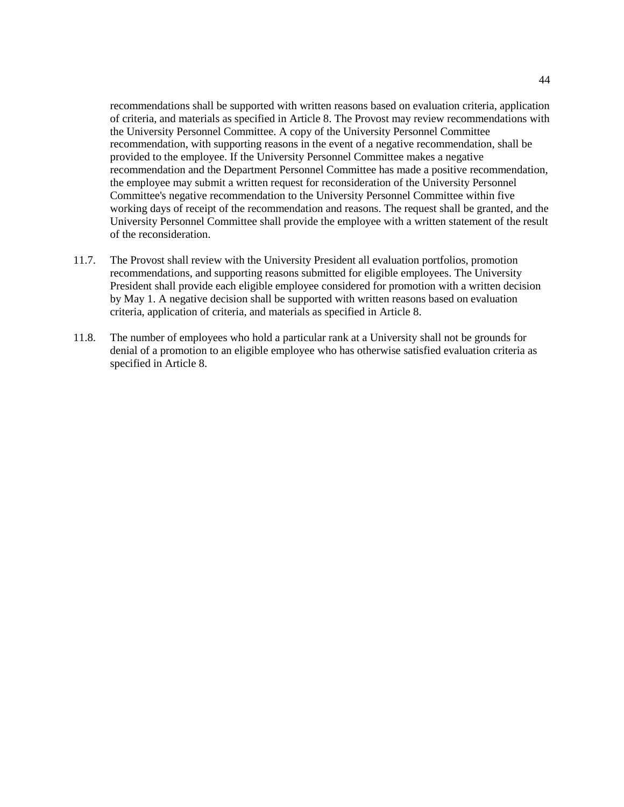recommendations shall be supported with written reasons based on evaluation criteria, application of criteria, and materials as specified in Article 8. The Provost may review recommendations with the University Personnel Committee. A copy of the University Personnel Committee recommendation, with supporting reasons in the event of a negative recommendation, shall be provided to the employee. If the University Personnel Committee makes a negative recommendation and the Department Personnel Committee has made a positive recommendation, the employee may submit a written request for reconsideration of the University Personnel Committee's negative recommendation to the University Personnel Committee within five working days of receipt of the recommendation and reasons. The request shall be granted, and the University Personnel Committee shall provide the employee with a written statement of the result of the reconsideration.

- 11.7. The Provost shall review with the University President all evaluation portfolios, promotion recommendations, and supporting reasons submitted for eligible employees. The University President shall provide each eligible employee considered for promotion with a written decision by May 1. A negative decision shall be supported with written reasons based on evaluation criteria, application of criteria, and materials as specified in Article 8.
- 11.8. The number of employees who hold a particular rank at a University shall not be grounds for denial of a promotion to an eligible employee who has otherwise satisfied evaluation criteria as specified in Article 8.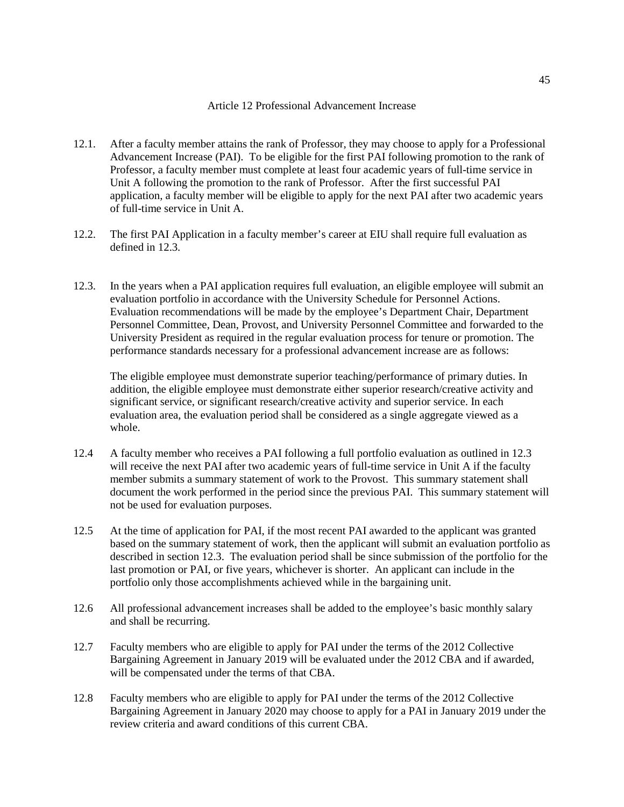#### Article 12 Professional Advancement Increase

- 12.1. After a faculty member attains the rank of Professor, they may choose to apply for a Professional Advancement Increase (PAI). To be eligible for the first PAI following promotion to the rank of Professor, a faculty member must complete at least four academic years of full-time service in Unit A following the promotion to the rank of Professor. After the first successful PAI application, a faculty member will be eligible to apply for the next PAI after two academic years of full-time service in Unit A.
- 12.2. The first PAI Application in a faculty member's career at EIU shall require full evaluation as defined in 12.3.
- 12.3. In the years when a PAI application requires full evaluation, an eligible employee will submit an evaluation portfolio in accordance with the University Schedule for Personnel Actions. Evaluation recommendations will be made by the employee's Department Chair, Department Personnel Committee, Dean, Provost, and University Personnel Committee and forwarded to the University President as required in the regular evaluation process for tenure or promotion. The performance standards necessary for a professional advancement increase are as follows:

The eligible employee must demonstrate superior teaching/performance of primary duties. In addition, the eligible employee must demonstrate either superior research/creative activity and significant service, or significant research/creative activity and superior service. In each evaluation area, the evaluation period shall be considered as a single aggregate viewed as a whole.

- 12.4 A faculty member who receives a PAI following a full portfolio evaluation as outlined in 12.3 will receive the next PAI after two academic years of full-time service in Unit A if the faculty member submits a summary statement of work to the Provost. This summary statement shall document the work performed in the period since the previous PAI. This summary statement will not be used for evaluation purposes.
- 12.5 At the time of application for PAI, if the most recent PAI awarded to the applicant was granted based on the summary statement of work, then the applicant will submit an evaluation portfolio as described in section 12.3. The evaluation period shall be since submission of the portfolio for the last promotion or PAI, or five years, whichever is shorter. An applicant can include in the portfolio only those accomplishments achieved while in the bargaining unit.
- 12.6 All professional advancement increases shall be added to the employee's basic monthly salary and shall be recurring.
- 12.7 Faculty members who are eligible to apply for PAI under the terms of the 2012 Collective Bargaining Agreement in January 2019 will be evaluated under the 2012 CBA and if awarded, will be compensated under the terms of that CBA.
- 12.8 Faculty members who are eligible to apply for PAI under the terms of the 2012 Collective Bargaining Agreement in January 2020 may choose to apply for a PAI in January 2019 under the review criteria and award conditions of this current CBA.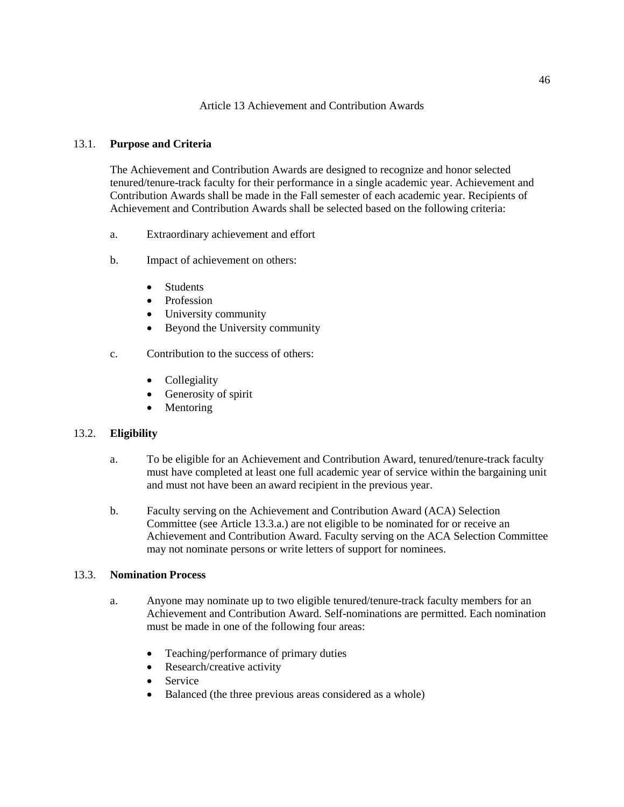## Article 13 Achievement and Contribution Awards

# 13.1. **Purpose and Criteria**

The Achievement and Contribution Awards are designed to recognize and honor selected tenured/tenure-track faculty for their performance in a single academic year. Achievement and Contribution Awards shall be made in the Fall semester of each academic year. Recipients of Achievement and Contribution Awards shall be selected based on the following criteria:

- a. Extraordinary achievement and effort
- b. Impact of achievement on others:
	- Students
	- Profession
	- University community
	- Beyond the University community
- c. Contribution to the success of others:
	- Collegiality
	- Generosity of spirit
	- Mentoring

# 13.2. **Eligibility**

- a. To be eligible for an Achievement and Contribution Award, tenured/tenure-track faculty must have completed at least one full academic year of service within the bargaining unit and must not have been an award recipient in the previous year.
- b. Faculty serving on the Achievement and Contribution Award (ACA) Selection Committee (see Article 13.3.a.) are not eligible to be nominated for or receive an Achievement and Contribution Award. Faculty serving on the ACA Selection Committee may not nominate persons or write letters of support for nominees.

## 13.3. **Nomination Process**

- a. Anyone may nominate up to two eligible tenured/tenure-track faculty members for an Achievement and Contribution Award. Self-nominations are permitted. Each nomination must be made in one of the following four areas:
	- Teaching/performance of primary duties
	- Research/creative activity
	- Service
	- Balanced (the three previous areas considered as a whole)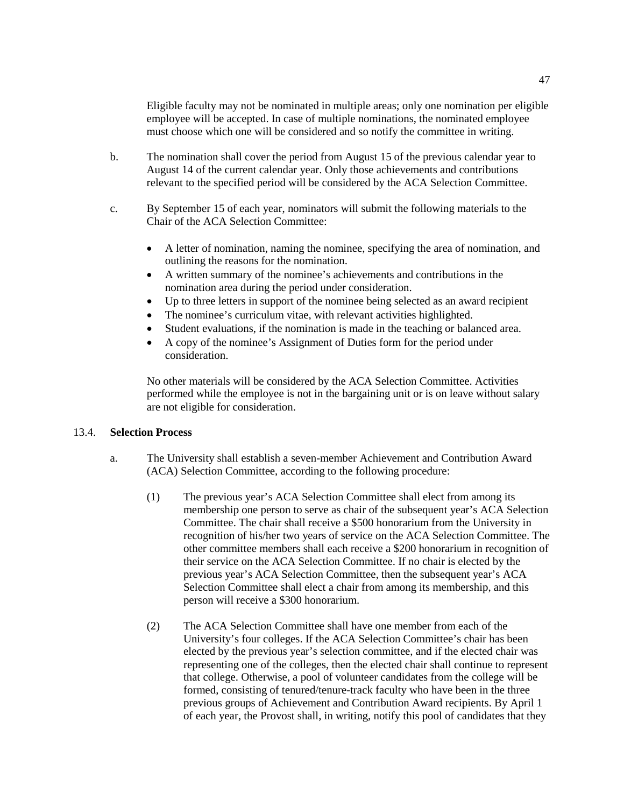Eligible faculty may not be nominated in multiple areas; only one nomination per eligible employee will be accepted. In case of multiple nominations, the nominated employee must choose which one will be considered and so notify the committee in writing.

- b. The nomination shall cover the period from August 15 of the previous calendar year to August 14 of the current calendar year. Only those achievements and contributions relevant to the specified period will be considered by the ACA Selection Committee.
- c. By September 15 of each year, nominators will submit the following materials to the Chair of the ACA Selection Committee:
	- A letter of nomination, naming the nominee, specifying the area of nomination, and outlining the reasons for the nomination.
	- A written summary of the nominee's achievements and contributions in the nomination area during the period under consideration.
	- Up to three letters in support of the nominee being selected as an award recipient
	- The nominee's curriculum vitae, with relevant activities highlighted.
	- Student evaluations, if the nomination is made in the teaching or balanced area.
	- A copy of the nominee's Assignment of Duties form for the period under consideration.

No other materials will be considered by the ACA Selection Committee. Activities performed while the employee is not in the bargaining unit or is on leave without salary are not eligible for consideration.

# 13.4. **Selection Process**

- a. The University shall establish a seven-member Achievement and Contribution Award (ACA) Selection Committee, according to the following procedure:
	- (1) The previous year's ACA Selection Committee shall elect from among its membership one person to serve as chair of the subsequent year's ACA Selection Committee. The chair shall receive a \$500 honorarium from the University in recognition of his/her two years of service on the ACA Selection Committee. The other committee members shall each receive a \$200 honorarium in recognition of their service on the ACA Selection Committee. If no chair is elected by the previous year's ACA Selection Committee, then the subsequent year's ACA Selection Committee shall elect a chair from among its membership, and this person will receive a \$300 honorarium.
	- (2) The ACA Selection Committee shall have one member from each of the University's four colleges. If the ACA Selection Committee's chair has been elected by the previous year's selection committee, and if the elected chair was representing one of the colleges, then the elected chair shall continue to represent that college. Otherwise, a pool of volunteer candidates from the college will be formed, consisting of tenured/tenure-track faculty who have been in the three previous groups of Achievement and Contribution Award recipients. By April 1 of each year, the Provost shall, in writing, notify this pool of candidates that they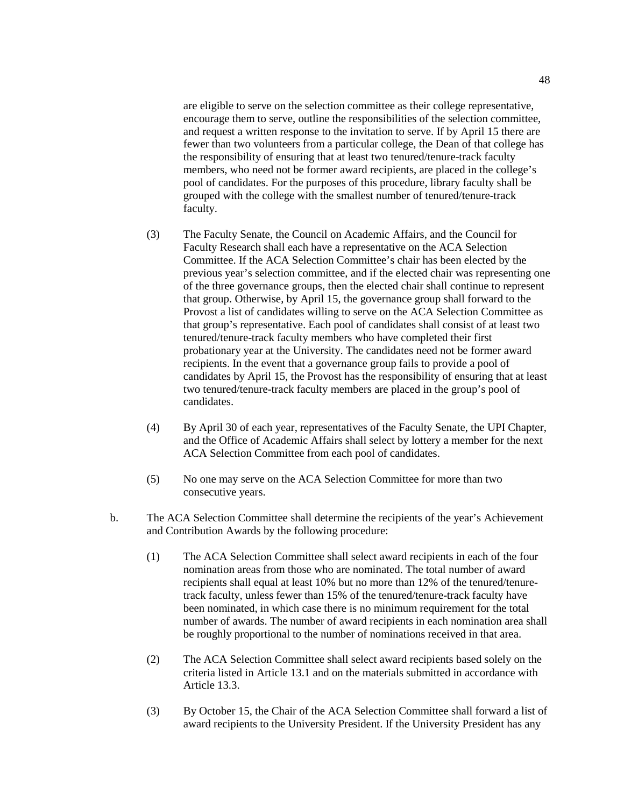are eligible to serve on the selection committee as their college representative, encourage them to serve, outline the responsibilities of the selection committee, and request a written response to the invitation to serve. If by April 15 there are fewer than two volunteers from a particular college, the Dean of that college has the responsibility of ensuring that at least two tenured/tenure-track faculty members, who need not be former award recipients, are placed in the college's pool of candidates. For the purposes of this procedure, library faculty shall be grouped with the college with the smallest number of tenured/tenure-track faculty.

- (3) The Faculty Senate, the Council on Academic Affairs, and the Council for Faculty Research shall each have a representative on the ACA Selection Committee. If the ACA Selection Committee's chair has been elected by the previous year's selection committee, and if the elected chair was representing one of the three governance groups, then the elected chair shall continue to represent that group. Otherwise, by April 15, the governance group shall forward to the Provost a list of candidates willing to serve on the ACA Selection Committee as that group's representative. Each pool of candidates shall consist of at least two tenured/tenure-track faculty members who have completed their first probationary year at the University. The candidates need not be former award recipients. In the event that a governance group fails to provide a pool of candidates by April 15, the Provost has the responsibility of ensuring that at least two tenured/tenure-track faculty members are placed in the group's pool of candidates.
- (4) By April 30 of each year, representatives of the Faculty Senate, the UPI Chapter, and the Office of Academic Affairs shall select by lottery a member for the next ACA Selection Committee from each pool of candidates.
- (5) No one may serve on the ACA Selection Committee for more than two consecutive years.
- b. The ACA Selection Committee shall determine the recipients of the year's Achievement and Contribution Awards by the following procedure:
	- (1) The ACA Selection Committee shall select award recipients in each of the four nomination areas from those who are nominated. The total number of award recipients shall equal at least 10% but no more than 12% of the tenured/tenuretrack faculty, unless fewer than 15% of the tenured/tenure-track faculty have been nominated, in which case there is no minimum requirement for the total number of awards. The number of award recipients in each nomination area shall be roughly proportional to the number of nominations received in that area.
	- (2) The ACA Selection Committee shall select award recipients based solely on the criteria listed in Article 13.1 and on the materials submitted in accordance with Article 13.3.
	- (3) By October 15, the Chair of the ACA Selection Committee shall forward a list of award recipients to the University President. If the University President has any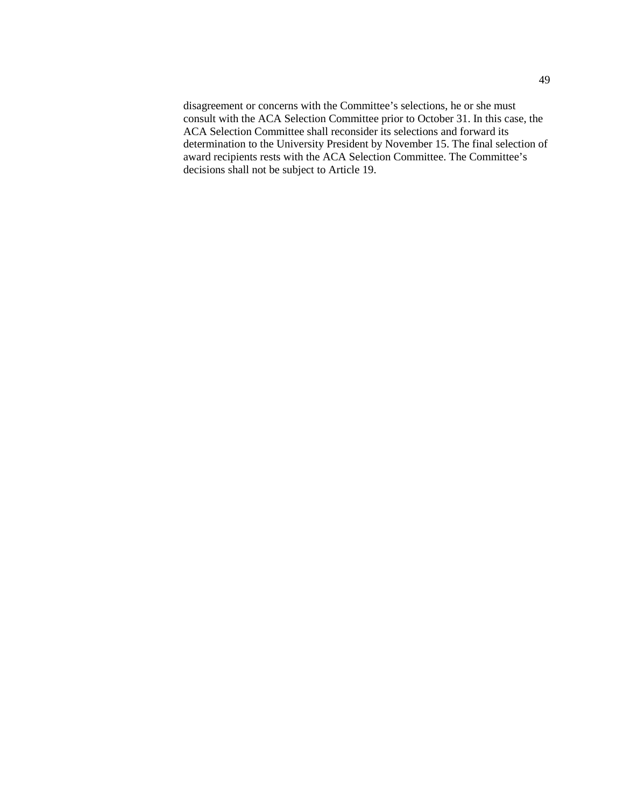disagreement or concerns with the Committee's selections, he or she must consult with the ACA Selection Committee prior to October 31. In this case, the ACA Selection Committee shall reconsider its selections and forward its determination to the University President by November 15. The final selection of award recipients rests with the ACA Selection Committee. The Committee's decisions shall not be subject to Article 19.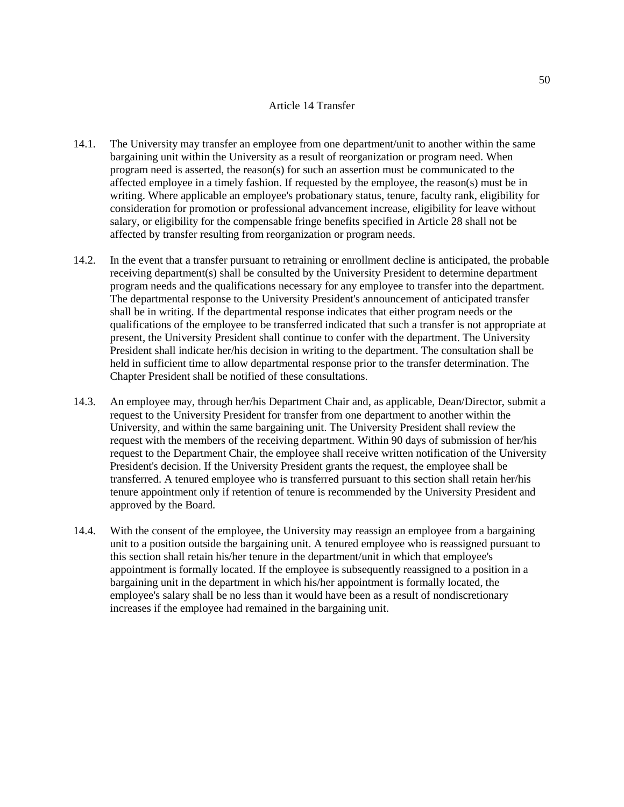## Article 14 Transfer

- 14.1. The University may transfer an employee from one department/unit to another within the same bargaining unit within the University as a result of reorganization or program need. When program need is asserted, the reason(s) for such an assertion must be communicated to the affected employee in a timely fashion. If requested by the employee, the reason(s) must be in writing. Where applicable an employee's probationary status, tenure, faculty rank, eligibility for consideration for promotion or professional advancement increase, eligibility for leave without salary, or eligibility for the compensable fringe benefits specified in Article 28 shall not be affected by transfer resulting from reorganization or program needs.
- 14.2. In the event that a transfer pursuant to retraining or enrollment decline is anticipated, the probable receiving department(s) shall be consulted by the University President to determine department program needs and the qualifications necessary for any employee to transfer into the department. The departmental response to the University President's announcement of anticipated transfer shall be in writing. If the departmental response indicates that either program needs or the qualifications of the employee to be transferred indicated that such a transfer is not appropriate at present, the University President shall continue to confer with the department. The University President shall indicate her/his decision in writing to the department. The consultation shall be held in sufficient time to allow departmental response prior to the transfer determination. The Chapter President shall be notified of these consultations.
- 14.3. An employee may, through her/his Department Chair and, as applicable, Dean/Director, submit a request to the University President for transfer from one department to another within the University, and within the same bargaining unit. The University President shall review the request with the members of the receiving department. Within 90 days of submission of her/his request to the Department Chair, the employee shall receive written notification of the University President's decision. If the University President grants the request, the employee shall be transferred. A tenured employee who is transferred pursuant to this section shall retain her/his tenure appointment only if retention of tenure is recommended by the University President and approved by the Board.
- 14.4. With the consent of the employee, the University may reassign an employee from a bargaining unit to a position outside the bargaining unit. A tenured employee who is reassigned pursuant to this section shall retain his/her tenure in the department/unit in which that employee's appointment is formally located. If the employee is subsequently reassigned to a position in a bargaining unit in the department in which his/her appointment is formally located, the employee's salary shall be no less than it would have been as a result of nondiscretionary increases if the employee had remained in the bargaining unit.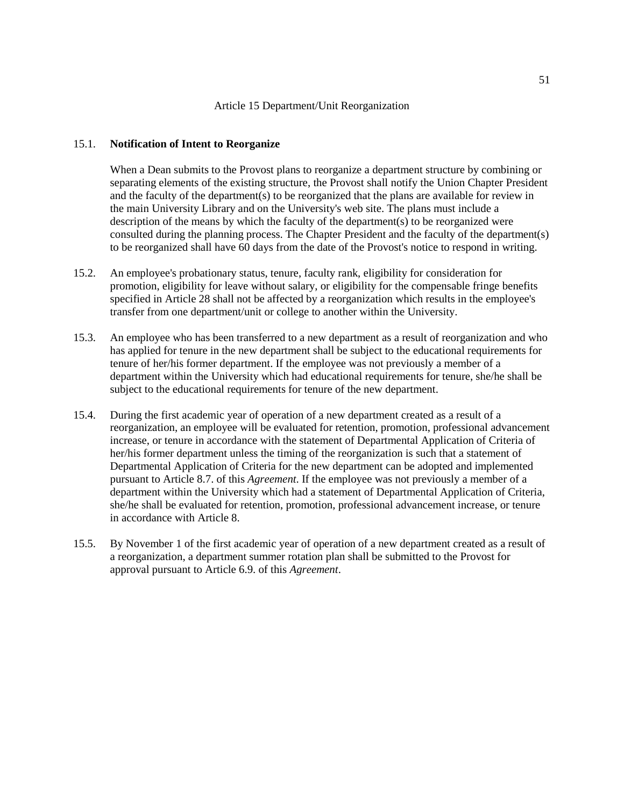#### 15.1. **Notification of Intent to Reorganize**

When a Dean submits to the Provost plans to reorganize a department structure by combining or separating elements of the existing structure, the Provost shall notify the Union Chapter President and the faculty of the department(s) to be reorganized that the plans are available for review in the main University Library and on the University's web site. The plans must include a description of the means by which the faculty of the department(s) to be reorganized were consulted during the planning process. The Chapter President and the faculty of the department(s) to be reorganized shall have 60 days from the date of the Provost's notice to respond in writing.

- 15.2. An employee's probationary status, tenure, faculty rank, eligibility for consideration for promotion, eligibility for leave without salary, or eligibility for the compensable fringe benefits specified in Article 28 shall not be affected by a reorganization which results in the employee's transfer from one department/unit or college to another within the University.
- 15.3. An employee who has been transferred to a new department as a result of reorganization and who has applied for tenure in the new department shall be subject to the educational requirements for tenure of her/his former department. If the employee was not previously a member of a department within the University which had educational requirements for tenure, she/he shall be subject to the educational requirements for tenure of the new department.
- 15.4. During the first academic year of operation of a new department created as a result of a reorganization, an employee will be evaluated for retention, promotion, professional advancement increase, or tenure in accordance with the statement of Departmental Application of Criteria of her/his former department unless the timing of the reorganization is such that a statement of Departmental Application of Criteria for the new department can be adopted and implemented pursuant to Article 8.7. of this *Agreement*. If the employee was not previously a member of a department within the University which had a statement of Departmental Application of Criteria, she/he shall be evaluated for retention, promotion, professional advancement increase, or tenure in accordance with Article 8.
- 15.5. By November 1 of the first academic year of operation of a new department created as a result of a reorganization, a department summer rotation plan shall be submitted to the Provost for approval pursuant to Article 6.9. of this *Agreement*.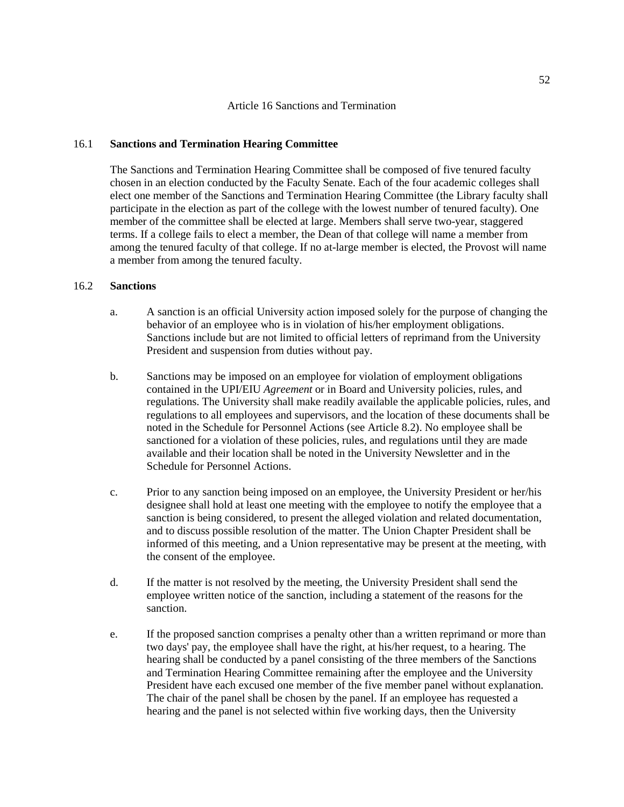## 16.1 **Sanctions and Termination Hearing Committee**

The Sanctions and Termination Hearing Committee shall be composed of five tenured faculty chosen in an election conducted by the Faculty Senate. Each of the four academic colleges shall elect one member of the Sanctions and Termination Hearing Committee (the Library faculty shall participate in the election as part of the college with the lowest number of tenured faculty). One member of the committee shall be elected at large. Members shall serve two-year, staggered terms. If a college fails to elect a member, the Dean of that college will name a member from among the tenured faculty of that college. If no at-large member is elected, the Provost will name a member from among the tenured faculty.

# 16.2 **Sanctions**

- a. A sanction is an official University action imposed solely for the purpose of changing the behavior of an employee who is in violation of his/her employment obligations. Sanctions include but are not limited to official letters of reprimand from the University President and suspension from duties without pay.
- b. Sanctions may be imposed on an employee for violation of employment obligations contained in the UPI/EIU *Agreement* or in Board and University policies, rules, and regulations. The University shall make readily available the applicable policies, rules, and regulations to all employees and supervisors, and the location of these documents shall be noted in the Schedule for Personnel Actions (see Article 8.2). No employee shall be sanctioned for a violation of these policies, rules, and regulations until they are made available and their location shall be noted in the University Newsletter and in the Schedule for Personnel Actions.
- c. Prior to any sanction being imposed on an employee, the University President or her/his designee shall hold at least one meeting with the employee to notify the employee that a sanction is being considered, to present the alleged violation and related documentation, and to discuss possible resolution of the matter. The Union Chapter President shall be informed of this meeting, and a Union representative may be present at the meeting, with the consent of the employee.
- d. If the matter is not resolved by the meeting, the University President shall send the employee written notice of the sanction, including a statement of the reasons for the sanction.
- e. If the proposed sanction comprises a penalty other than a written reprimand or more than two days' pay, the employee shall have the right, at his/her request, to a hearing. The hearing shall be conducted by a panel consisting of the three members of the Sanctions and Termination Hearing Committee remaining after the employee and the University President have each excused one member of the five member panel without explanation. The chair of the panel shall be chosen by the panel. If an employee has requested a hearing and the panel is not selected within five working days, then the University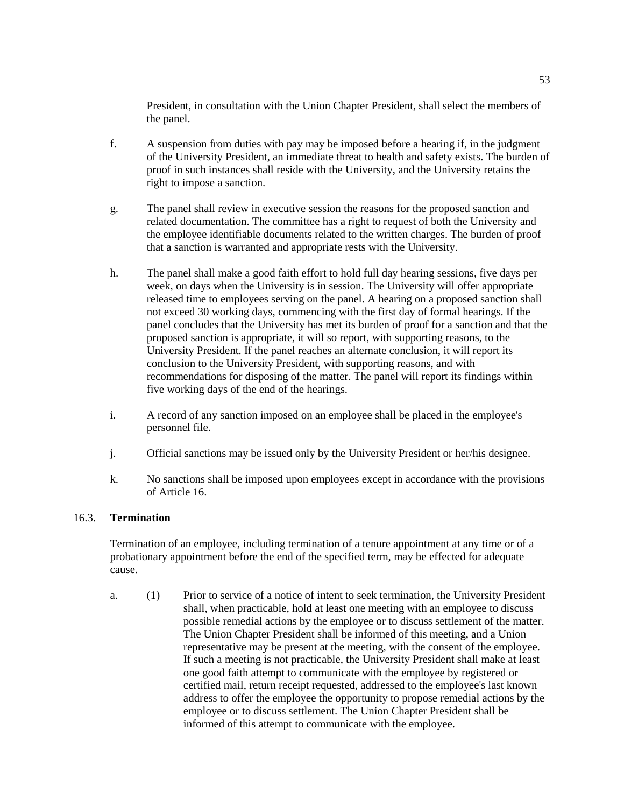President, in consultation with the Union Chapter President, shall select the members of the panel.

- f. A suspension from duties with pay may be imposed before a hearing if, in the judgment of the University President, an immediate threat to health and safety exists. The burden of proof in such instances shall reside with the University, and the University retains the right to impose a sanction.
- g. The panel shall review in executive session the reasons for the proposed sanction and related documentation. The committee has a right to request of both the University and the employee identifiable documents related to the written charges. The burden of proof that a sanction is warranted and appropriate rests with the University.
- h. The panel shall make a good faith effort to hold full day hearing sessions, five days per week, on days when the University is in session. The University will offer appropriate released time to employees serving on the panel. A hearing on a proposed sanction shall not exceed 30 working days, commencing with the first day of formal hearings. If the panel concludes that the University has met its burden of proof for a sanction and that the proposed sanction is appropriate, it will so report, with supporting reasons, to the University President. If the panel reaches an alternate conclusion, it will report its conclusion to the University President, with supporting reasons, and with recommendations for disposing of the matter. The panel will report its findings within five working days of the end of the hearings.
- i. A record of any sanction imposed on an employee shall be placed in the employee's personnel file.
- j. Official sanctions may be issued only by the University President or her/his designee.
- k. No sanctions shall be imposed upon employees except in accordance with the provisions of Article 16.

# 16.3. **Termination**

Termination of an employee, including termination of a tenure appointment at any time or of a probationary appointment before the end of the specified term, may be effected for adequate cause.

a. (1) Prior to service of a notice of intent to seek termination, the University President shall, when practicable, hold at least one meeting with an employee to discuss possible remedial actions by the employee or to discuss settlement of the matter. The Union Chapter President shall be informed of this meeting, and a Union representative may be present at the meeting, with the consent of the employee. If such a meeting is not practicable, the University President shall make at least one good faith attempt to communicate with the employee by registered or certified mail, return receipt requested, addressed to the employee's last known address to offer the employee the opportunity to propose remedial actions by the employee or to discuss settlement. The Union Chapter President shall be informed of this attempt to communicate with the employee.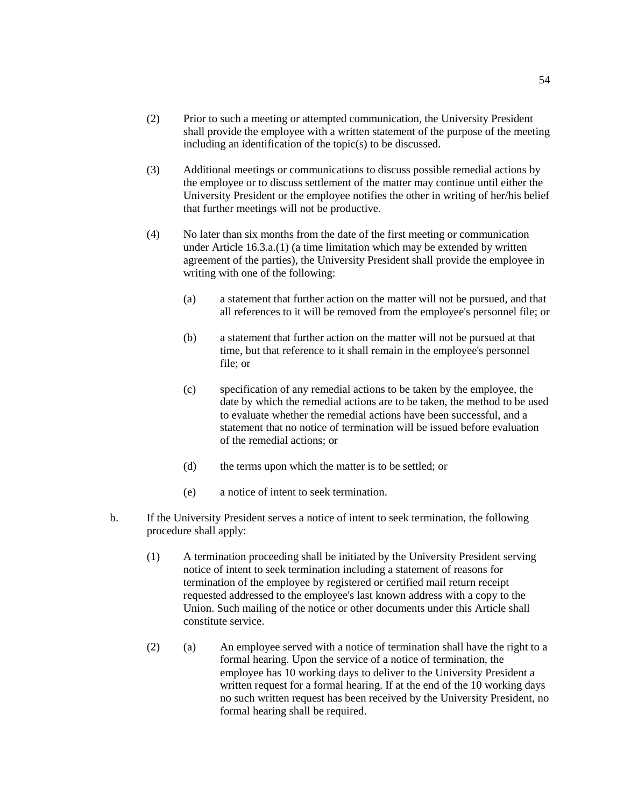- (2) Prior to such a meeting or attempted communication, the University President shall provide the employee with a written statement of the purpose of the meeting including an identification of the topic(s) to be discussed.
- (3) Additional meetings or communications to discuss possible remedial actions by the employee or to discuss settlement of the matter may continue until either the University President or the employee notifies the other in writing of her/his belief that further meetings will not be productive.
- (4) No later than six months from the date of the first meeting or communication under Article 16.3.a.(1) (a time limitation which may be extended by written agreement of the parties), the University President shall provide the employee in writing with one of the following:
	- (a) a statement that further action on the matter will not be pursued, and that all references to it will be removed from the employee's personnel file; or
	- (b) a statement that further action on the matter will not be pursued at that time, but that reference to it shall remain in the employee's personnel file; or
	- (c) specification of any remedial actions to be taken by the employee, the date by which the remedial actions are to be taken, the method to be used to evaluate whether the remedial actions have been successful, and a statement that no notice of termination will be issued before evaluation of the remedial actions; or
	- (d) the terms upon which the matter is to be settled; or
	- (e) a notice of intent to seek termination.
- b. If the University President serves a notice of intent to seek termination, the following procedure shall apply:
	- (1) A termination proceeding shall be initiated by the University President serving notice of intent to seek termination including a statement of reasons for termination of the employee by registered or certified mail return receipt requested addressed to the employee's last known address with a copy to the Union. Such mailing of the notice or other documents under this Article shall constitute service.
	- (2) (a) An employee served with a notice of termination shall have the right to a formal hearing. Upon the service of a notice of termination, the employee has 10 working days to deliver to the University President a written request for a formal hearing. If at the end of the 10 working days no such written request has been received by the University President, no formal hearing shall be required.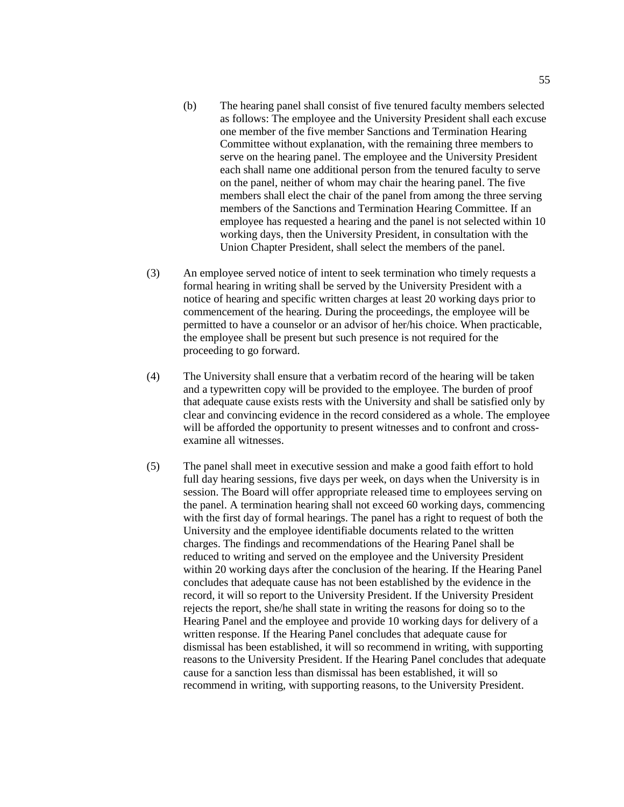- (b) The hearing panel shall consist of five tenured faculty members selected as follows: The employee and the University President shall each excuse one member of the five member Sanctions and Termination Hearing Committee without explanation, with the remaining three members to serve on the hearing panel. The employee and the University President each shall name one additional person from the tenured faculty to serve on the panel, neither of whom may chair the hearing panel. The five members shall elect the chair of the panel from among the three serving members of the Sanctions and Termination Hearing Committee. If an employee has requested a hearing and the panel is not selected within 10 working days, then the University President, in consultation with the Union Chapter President, shall select the members of the panel.
- (3) An employee served notice of intent to seek termination who timely requests a formal hearing in writing shall be served by the University President with a notice of hearing and specific written charges at least 20 working days prior to commencement of the hearing. During the proceedings, the employee will be permitted to have a counselor or an advisor of her/his choice. When practicable, the employee shall be present but such presence is not required for the proceeding to go forward.
- (4) The University shall ensure that a verbatim record of the hearing will be taken and a typewritten copy will be provided to the employee. The burden of proof that adequate cause exists rests with the University and shall be satisfied only by clear and convincing evidence in the record considered as a whole. The employee will be afforded the opportunity to present witnesses and to confront and crossexamine all witnesses.
- (5) The panel shall meet in executive session and make a good faith effort to hold full day hearing sessions, five days per week, on days when the University is in session. The Board will offer appropriate released time to employees serving on the panel. A termination hearing shall not exceed 60 working days, commencing with the first day of formal hearings. The panel has a right to request of both the University and the employee identifiable documents related to the written charges. The findings and recommendations of the Hearing Panel shall be reduced to writing and served on the employee and the University President within 20 working days after the conclusion of the hearing. If the Hearing Panel concludes that adequate cause has not been established by the evidence in the record, it will so report to the University President. If the University President rejects the report, she/he shall state in writing the reasons for doing so to the Hearing Panel and the employee and provide 10 working days for delivery of a written response. If the Hearing Panel concludes that adequate cause for dismissal has been established, it will so recommend in writing, with supporting reasons to the University President. If the Hearing Panel concludes that adequate cause for a sanction less than dismissal has been established, it will so recommend in writing, with supporting reasons, to the University President.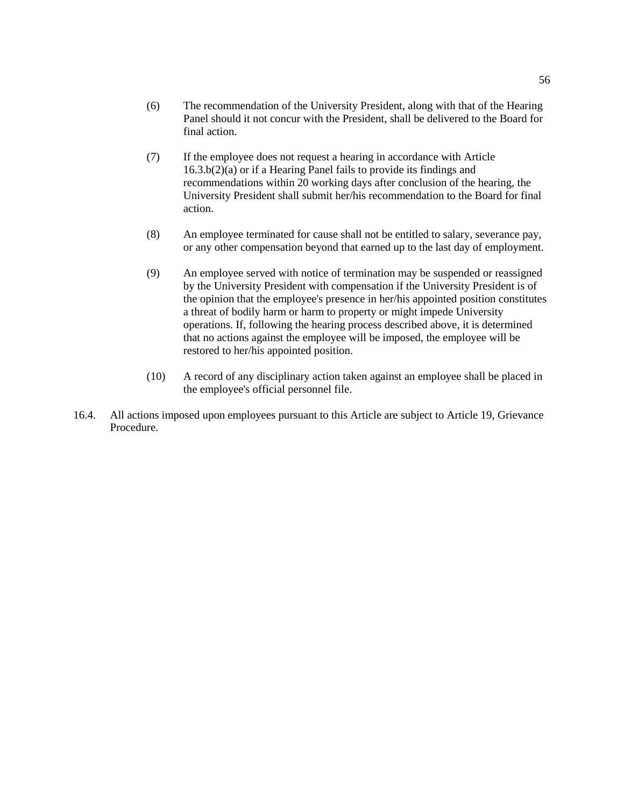- (6) The recommendation of the University President, along with that of the Hearing Panel should it not concur with the President, shall be delivered to the Board for final action.
- (7) If the employee does not request a hearing in accordance with Article 16.3.b(2)(a) or if a Hearing Panel fails to provide its findings and recommendations within 20 working days after conclusion of the hearing, the University President shall submit her/his recommendation to the Board for final action.
- (8) An employee terminated for cause shall not be entitled to salary, severance pay, or any other compensation beyond that earned up to the last day of employment.
- (9) An employee served with notice of termination may be suspended or reassigned by the University President with compensation if the University President is of the opinion that the employee's presence in her/his appointed position constitutes a threat of bodily harm or harm to property or might impede University operations. If, following the hearing process described above, it is determined that no actions against the employee will be imposed, the employee will be restored to her/his appointed position.
- (10) A record of any disciplinary action taken against an employee shall be placed in the employee's official personnel file.
- 16.4. All actions imposed upon employees pursuant to this Article are subject to Article 19, Grievance Procedure.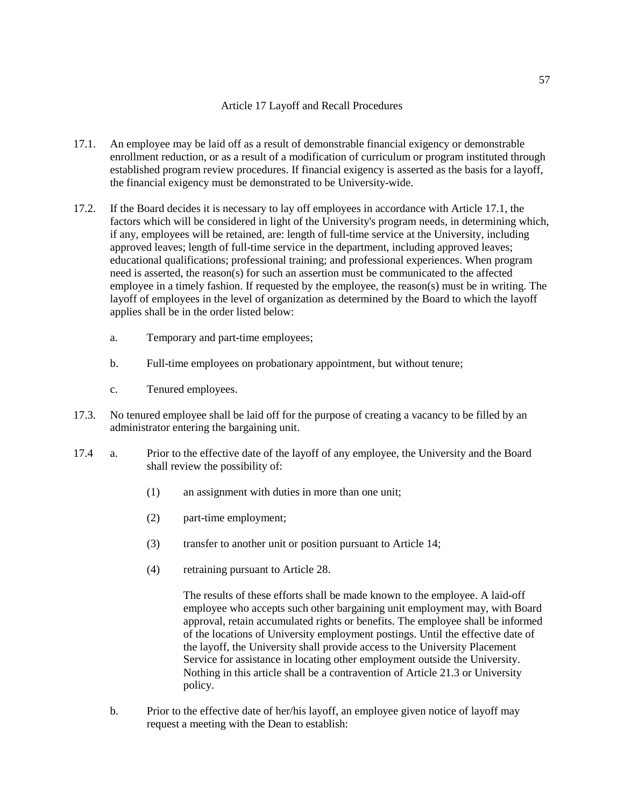# Article 17 Layoff and Recall Procedures

- 17.1. An employee may be laid off as a result of demonstrable financial exigency or demonstrable enrollment reduction, or as a result of a modification of curriculum or program instituted through established program review procedures. If financial exigency is asserted as the basis for a layoff, the financial exigency must be demonstrated to be University-wide.
- 17.2. If the Board decides it is necessary to lay off employees in accordance with Article 17.1, the factors which will be considered in light of the University's program needs, in determining which, if any, employees will be retained, are: length of full-time service at the University, including approved leaves; length of full-time service in the department, including approved leaves; educational qualifications; professional training; and professional experiences. When program need is asserted, the reason(s) for such an assertion must be communicated to the affected employee in a timely fashion. If requested by the employee, the reason(s) must be in writing. The layoff of employees in the level of organization as determined by the Board to which the layoff applies shall be in the order listed below:
	- a. Temporary and part-time employees;
	- b. Full-time employees on probationary appointment, but without tenure;
	- c. Tenured employees.
- 17.3. No tenured employee shall be laid off for the purpose of creating a vacancy to be filled by an administrator entering the bargaining unit.
- 17.4 a. Prior to the effective date of the layoff of any employee, the University and the Board shall review the possibility of:
	- (1) an assignment with duties in more than one unit;
	- (2) part-time employment;
	- (3) transfer to another unit or position pursuant to Article 14;
	- (4) retraining pursuant to Article 28.

The results of these efforts shall be made known to the employee. A laid-off employee who accepts such other bargaining unit employment may, with Board approval, retain accumulated rights or benefits. The employee shall be informed of the locations of University employment postings. Until the effective date of the layoff, the University shall provide access to the University Placement Service for assistance in locating other employment outside the University. Nothing in this article shall be a contravention of Article 21.3 or University policy.

b. Prior to the effective date of her/his layoff, an employee given notice of layoff may request a meeting with the Dean to establish: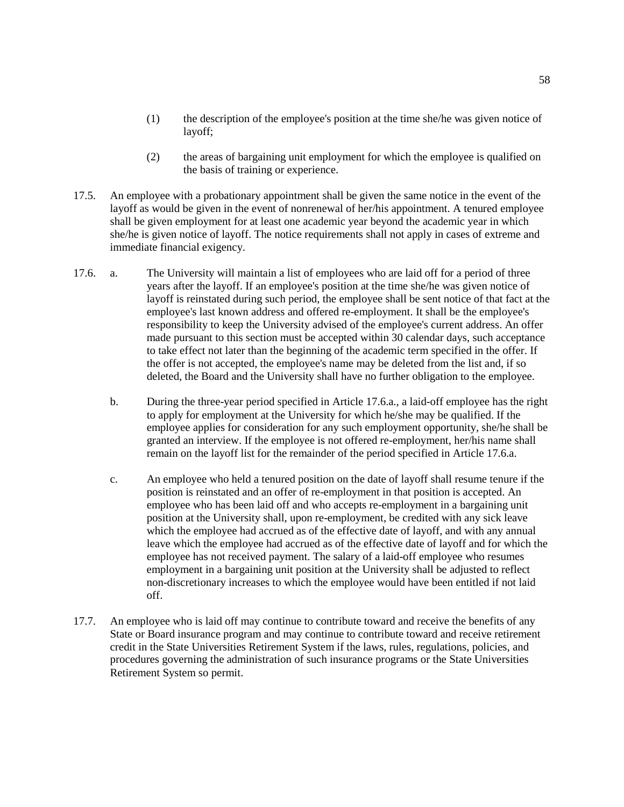- (1) the description of the employee's position at the time she/he was given notice of layoff;
- (2) the areas of bargaining unit employment for which the employee is qualified on the basis of training or experience.
- 17.5. An employee with a probationary appointment shall be given the same notice in the event of the layoff as would be given in the event of nonrenewal of her/his appointment. A tenured employee shall be given employment for at least one academic year beyond the academic year in which she/he is given notice of layoff. The notice requirements shall not apply in cases of extreme and immediate financial exigency.
- 17.6. a. The University will maintain a list of employees who are laid off for a period of three years after the layoff. If an employee's position at the time she/he was given notice of layoff is reinstated during such period, the employee shall be sent notice of that fact at the employee's last known address and offered re-employment. It shall be the employee's responsibility to keep the University advised of the employee's current address. An offer made pursuant to this section must be accepted within 30 calendar days, such acceptance to take effect not later than the beginning of the academic term specified in the offer. If the offer is not accepted, the employee's name may be deleted from the list and, if so deleted, the Board and the University shall have no further obligation to the employee.
	- b. During the three-year period specified in Article 17.6.a., a laid-off employee has the right to apply for employment at the University for which he/she may be qualified. If the employee applies for consideration for any such employment opportunity, she/he shall be granted an interview. If the employee is not offered re-employment, her/his name shall remain on the layoff list for the remainder of the period specified in Article 17.6.a.
	- c. An employee who held a tenured position on the date of layoff shall resume tenure if the position is reinstated and an offer of re-employment in that position is accepted. An employee who has been laid off and who accepts re-employment in a bargaining unit position at the University shall, upon re-employment, be credited with any sick leave which the employee had accrued as of the effective date of layoff, and with any annual leave which the employee had accrued as of the effective date of layoff and for which the employee has not received payment. The salary of a laid-off employee who resumes employment in a bargaining unit position at the University shall be adjusted to reflect non-discretionary increases to which the employee would have been entitled if not laid off.
- 17.7. An employee who is laid off may continue to contribute toward and receive the benefits of any State or Board insurance program and may continue to contribute toward and receive retirement credit in the State Universities Retirement System if the laws, rules, regulations, policies, and procedures governing the administration of such insurance programs or the State Universities Retirement System so permit.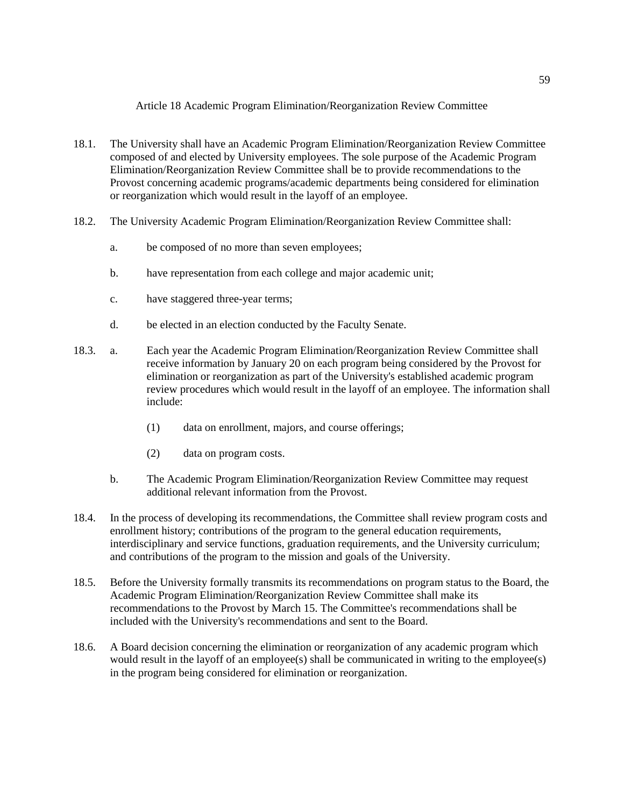Article 18 Academic Program Elimination/Reorganization Review Committee

- 18.1. The University shall have an Academic Program Elimination/Reorganization Review Committee composed of and elected by University employees. The sole purpose of the Academic Program Elimination/Reorganization Review Committee shall be to provide recommendations to the Provost concerning academic programs/academic departments being considered for elimination or reorganization which would result in the layoff of an employee.
- 18.2. The University Academic Program Elimination/Reorganization Review Committee shall:
	- a. be composed of no more than seven employees;
	- b. have representation from each college and major academic unit;
	- c. have staggered three-year terms;
	- d. be elected in an election conducted by the Faculty Senate.
- 18.3. a. Each year the Academic Program Elimination/Reorganization Review Committee shall receive information by January 20 on each program being considered by the Provost for elimination or reorganization as part of the University's established academic program review procedures which would result in the layoff of an employee. The information shall include:
	- (1) data on enrollment, majors, and course offerings;
	- (2) data on program costs.
	- b. The Academic Program Elimination/Reorganization Review Committee may request additional relevant information from the Provost.
- 18.4. In the process of developing its recommendations, the Committee shall review program costs and enrollment history; contributions of the program to the general education requirements, interdisciplinary and service functions, graduation requirements, and the University curriculum; and contributions of the program to the mission and goals of the University.
- 18.5. Before the University formally transmits its recommendations on program status to the Board, the Academic Program Elimination/Reorganization Review Committee shall make its recommendations to the Provost by March 15. The Committee's recommendations shall be included with the University's recommendations and sent to the Board.
- 18.6. A Board decision concerning the elimination or reorganization of any academic program which would result in the layoff of an employee(s) shall be communicated in writing to the employee(s) in the program being considered for elimination or reorganization.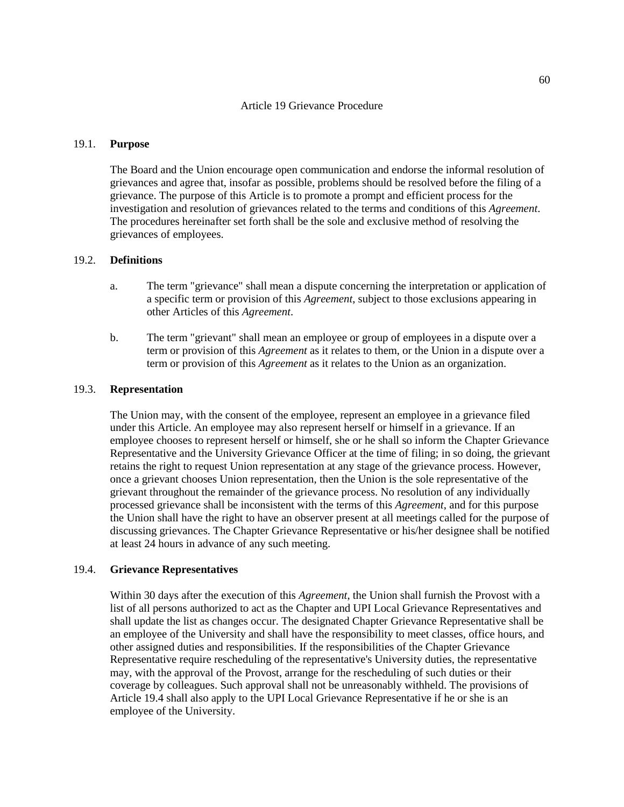#### Article 19 Grievance Procedure

#### 19.1. **Purpose**

The Board and the Union encourage open communication and endorse the informal resolution of grievances and agree that, insofar as possible, problems should be resolved before the filing of a grievance. The purpose of this Article is to promote a prompt and efficient process for the investigation and resolution of grievances related to the terms and conditions of this *Agreement*. The procedures hereinafter set forth shall be the sole and exclusive method of resolving the grievances of employees.

# 19.2. **Definitions**

- a. The term "grievance" shall mean a dispute concerning the interpretation or application of a specific term or provision of this *Agreement*, subject to those exclusions appearing in other Articles of this *Agreement*.
- b. The term "grievant" shall mean an employee or group of employees in a dispute over a term or provision of this *Agreement* as it relates to them, or the Union in a dispute over a term or provision of this *Agreement* as it relates to the Union as an organization.

#### 19.3. **Representation**

The Union may, with the consent of the employee, represent an employee in a grievance filed under this Article. An employee may also represent herself or himself in a grievance. If an employee chooses to represent herself or himself, she or he shall so inform the Chapter Grievance Representative and the University Grievance Officer at the time of filing; in so doing, the grievant retains the right to request Union representation at any stage of the grievance process. However, once a grievant chooses Union representation, then the Union is the sole representative of the grievant throughout the remainder of the grievance process. No resolution of any individually processed grievance shall be inconsistent with the terms of this *Agreement*, and for this purpose the Union shall have the right to have an observer present at all meetings called for the purpose of discussing grievances. The Chapter Grievance Representative or his/her designee shall be notified at least 24 hours in advance of any such meeting.

#### 19.4. **Grievance Representatives**

Within 30 days after the execution of this *Agreement*, the Union shall furnish the Provost with a list of all persons authorized to act as the Chapter and UPI Local Grievance Representatives and shall update the list as changes occur. The designated Chapter Grievance Representative shall be an employee of the University and shall have the responsibility to meet classes, office hours, and other assigned duties and responsibilities. If the responsibilities of the Chapter Grievance Representative require rescheduling of the representative's University duties, the representative may, with the approval of the Provost, arrange for the rescheduling of such duties or their coverage by colleagues. Such approval shall not be unreasonably withheld. The provisions of Article 19.4 shall also apply to the UPI Local Grievance Representative if he or she is an employee of the University.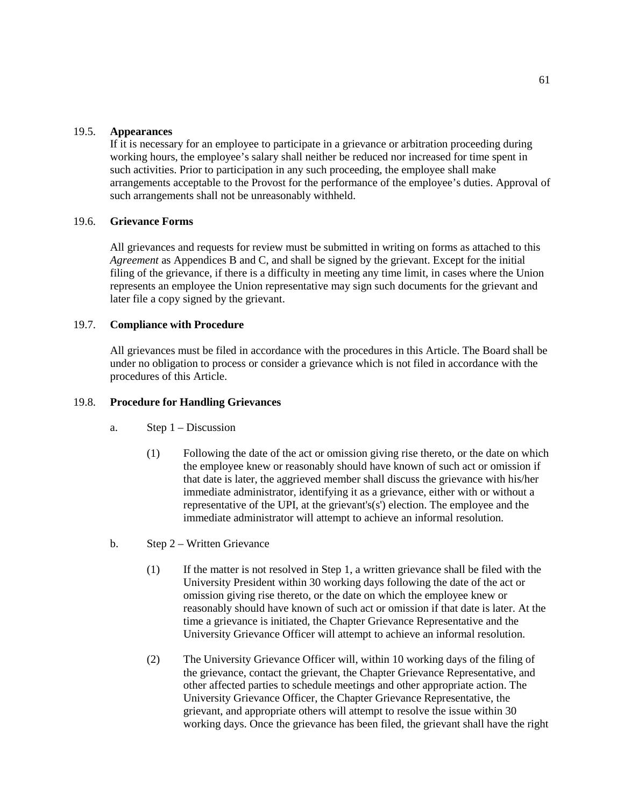## 19.5. **Appearances**

If it is necessary for an employee to participate in a grievance or arbitration proceeding during working hours, the employee's salary shall neither be reduced nor increased for time spent in such activities. Prior to participation in any such proceeding, the employee shall make arrangements acceptable to the Provost for the performance of the employee's duties. Approval of such arrangements shall not be unreasonably withheld.

# 19.6. **Grievance Forms**

All grievances and requests for review must be submitted in writing on forms as attached to this *Agreement* as Appendices B and C, and shall be signed by the grievant. Except for the initial filing of the grievance, if there is a difficulty in meeting any time limit, in cases where the Union represents an employee the Union representative may sign such documents for the grievant and later file a copy signed by the grievant.

# 19.7. **Compliance with Procedure**

All grievances must be filed in accordance with the procedures in this Article. The Board shall be under no obligation to process or consider a grievance which is not filed in accordance with the procedures of this Article.

#### 19.8. **Procedure for Handling Grievances**

- a. Step 1 Discussion
	- (1) Following the date of the act or omission giving rise thereto, or the date on which the employee knew or reasonably should have known of such act or omission if that date is later, the aggrieved member shall discuss the grievance with his/her immediate administrator, identifying it as a grievance, either with or without a representative of the UPI, at the grievant's(s') election. The employee and the immediate administrator will attempt to achieve an informal resolution.
- b. Step 2 Written Grievance
	- (1) If the matter is not resolved in Step 1, a written grievance shall be filed with the University President within 30 working days following the date of the act or omission giving rise thereto, or the date on which the employee knew or reasonably should have known of such act or omission if that date is later. At the time a grievance is initiated, the Chapter Grievance Representative and the University Grievance Officer will attempt to achieve an informal resolution.
	- (2) The University Grievance Officer will, within 10 working days of the filing of the grievance, contact the grievant, the Chapter Grievance Representative, and other affected parties to schedule meetings and other appropriate action. The University Grievance Officer, the Chapter Grievance Representative, the grievant, and appropriate others will attempt to resolve the issue within 30 working days. Once the grievance has been filed, the grievant shall have the right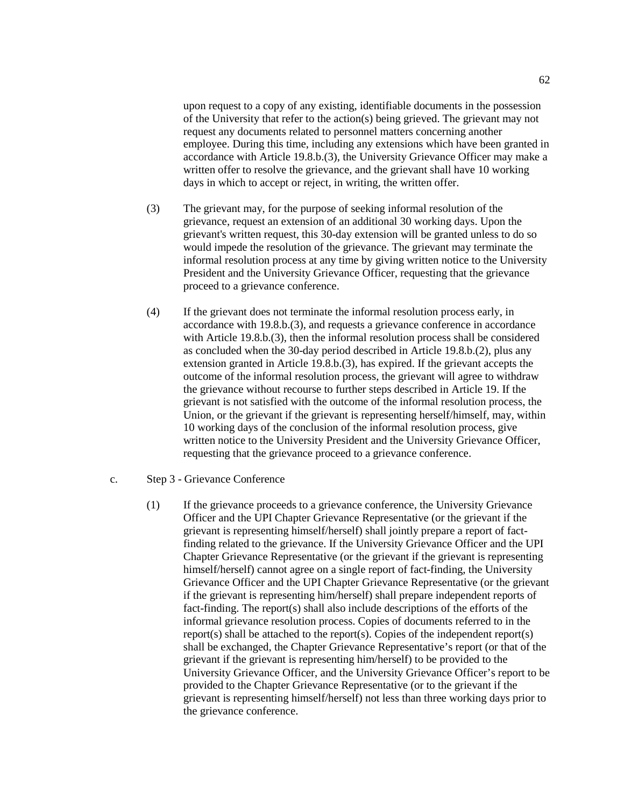upon request to a copy of any existing, identifiable documents in the possession of the University that refer to the action(s) being grieved. The grievant may not request any documents related to personnel matters concerning another employee. During this time, including any extensions which have been granted in accordance with Article 19.8.b.(3), the University Grievance Officer may make a written offer to resolve the grievance, and the grievant shall have 10 working days in which to accept or reject, in writing, the written offer.

- (3) The grievant may, for the purpose of seeking informal resolution of the grievance, request an extension of an additional 30 working days. Upon the grievant's written request, this 30-day extension will be granted unless to do so would impede the resolution of the grievance. The grievant may terminate the informal resolution process at any time by giving written notice to the University President and the University Grievance Officer, requesting that the grievance proceed to a grievance conference.
- (4) If the grievant does not terminate the informal resolution process early, in accordance with 19.8.b.(3), and requests a grievance conference in accordance with Article 19.8.b.(3), then the informal resolution process shall be considered as concluded when the 30-day period described in Article 19.8.b.(2), plus any extension granted in Article 19.8.b.(3), has expired. If the grievant accepts the outcome of the informal resolution process, the grievant will agree to withdraw the grievance without recourse to further steps described in Article 19. If the grievant is not satisfied with the outcome of the informal resolution process, the Union, or the grievant if the grievant is representing herself/himself, may, within 10 working days of the conclusion of the informal resolution process, give written notice to the University President and the University Grievance Officer, requesting that the grievance proceed to a grievance conference.
- c. Step 3 Grievance Conference
	- (1) If the grievance proceeds to a grievance conference, the University Grievance Officer and the UPI Chapter Grievance Representative (or the grievant if the grievant is representing himself/herself) shall jointly prepare a report of factfinding related to the grievance. If the University Grievance Officer and the UPI Chapter Grievance Representative (or the grievant if the grievant is representing himself/herself) cannot agree on a single report of fact-finding, the University Grievance Officer and the UPI Chapter Grievance Representative (or the grievant if the grievant is representing him/herself) shall prepare independent reports of fact-finding. The report(s) shall also include descriptions of the efforts of the informal grievance resolution process. Copies of documents referred to in the report(s) shall be attached to the report(s). Copies of the independent report(s) shall be exchanged, the Chapter Grievance Representative's report (or that of the grievant if the grievant is representing him/herself) to be provided to the University Grievance Officer, and the University Grievance Officer's report to be provided to the Chapter Grievance Representative (or to the grievant if the grievant is representing himself/herself) not less than three working days prior to the grievance conference.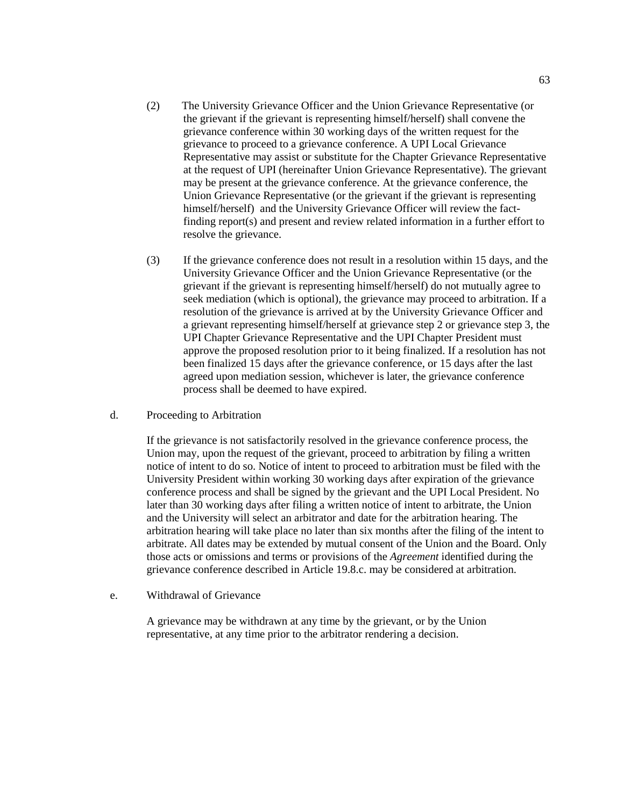- (2) The University Grievance Officer and the Union Grievance Representative (or the grievant if the grievant is representing himself/herself) shall convene the grievance conference within 30 working days of the written request for the grievance to proceed to a grievance conference. A UPI Local Grievance Representative may assist or substitute for the Chapter Grievance Representative at the request of UPI (hereinafter Union Grievance Representative). The grievant may be present at the grievance conference. At the grievance conference, the Union Grievance Representative (or the grievant if the grievant is representing himself/herself) and the University Grievance Officer will review the factfinding report(s) and present and review related information in a further effort to resolve the grievance.
- (3) If the grievance conference does not result in a resolution within 15 days, and the University Grievance Officer and the Union Grievance Representative (or the grievant if the grievant is representing himself/herself) do not mutually agree to seek mediation (which is optional), the grievance may proceed to arbitration. If a resolution of the grievance is arrived at by the University Grievance Officer and a grievant representing himself/herself at grievance step 2 or grievance step 3, the UPI Chapter Grievance Representative and the UPI Chapter President must approve the proposed resolution prior to it being finalized. If a resolution has not been finalized 15 days after the grievance conference, or 15 days after the last agreed upon mediation session, whichever is later, the grievance conference process shall be deemed to have expired.
- d. Proceeding to Arbitration

If the grievance is not satisfactorily resolved in the grievance conference process, the Union may, upon the request of the grievant, proceed to arbitration by filing a written notice of intent to do so. Notice of intent to proceed to arbitration must be filed with the University President within working 30 working days after expiration of the grievance conference process and shall be signed by the grievant and the UPI Local President. No later than 30 working days after filing a written notice of intent to arbitrate, the Union and the University will select an arbitrator and date for the arbitration hearing. The arbitration hearing will take place no later than six months after the filing of the intent to arbitrate. All dates may be extended by mutual consent of the Union and the Board. Only those acts or omissions and terms or provisions of the *Agreement* identified during the grievance conference described in Article 19.8.c. may be considered at arbitration.

e. Withdrawal of Grievance

A grievance may be withdrawn at any time by the grievant, or by the Union representative, at any time prior to the arbitrator rendering a decision.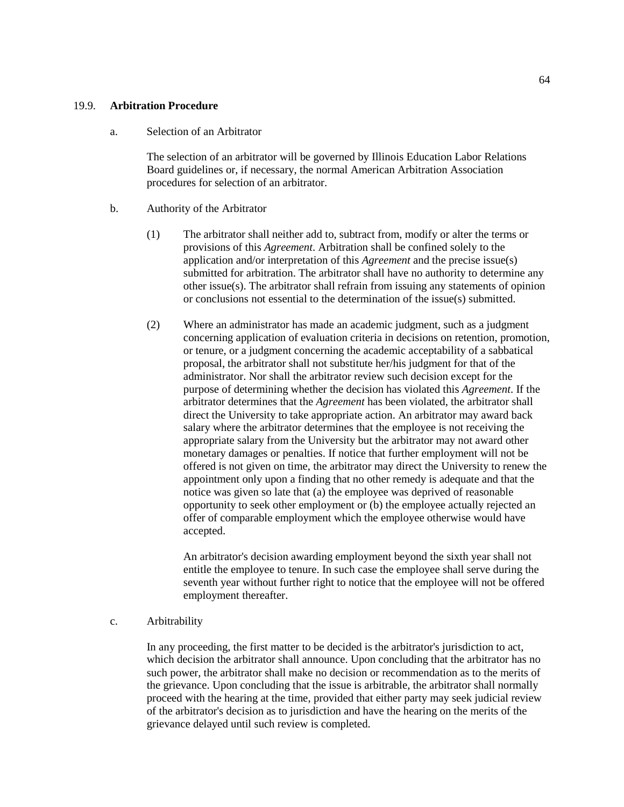## 19.9. **Arbitration Procedure**

#### a. Selection of an Arbitrator

The selection of an arbitrator will be governed by Illinois Education Labor Relations Board guidelines or, if necessary, the normal American Arbitration Association procedures for selection of an arbitrator.

## b. Authority of the Arbitrator

- (1) The arbitrator shall neither add to, subtract from, modify or alter the terms or provisions of this *Agreement*. Arbitration shall be confined solely to the application and/or interpretation of this *Agreement* and the precise issue(s) submitted for arbitration. The arbitrator shall have no authority to determine any other issue(s). The arbitrator shall refrain from issuing any statements of opinion or conclusions not essential to the determination of the issue(s) submitted.
- (2) Where an administrator has made an academic judgment, such as a judgment concerning application of evaluation criteria in decisions on retention, promotion, or tenure, or a judgment concerning the academic acceptability of a sabbatical proposal, the arbitrator shall not substitute her/his judgment for that of the administrator. Nor shall the arbitrator review such decision except for the purpose of determining whether the decision has violated this *Agreement*. If the arbitrator determines that the *Agreement* has been violated, the arbitrator shall direct the University to take appropriate action. An arbitrator may award back salary where the arbitrator determines that the employee is not receiving the appropriate salary from the University but the arbitrator may not award other monetary damages or penalties. If notice that further employment will not be offered is not given on time, the arbitrator may direct the University to renew the appointment only upon a finding that no other remedy is adequate and that the notice was given so late that (a) the employee was deprived of reasonable opportunity to seek other employment or (b) the employee actually rejected an offer of comparable employment which the employee otherwise would have accepted.

An arbitrator's decision awarding employment beyond the sixth year shall not entitle the employee to tenure. In such case the employee shall serve during the seventh year without further right to notice that the employee will not be offered employment thereafter.

#### c. Arbitrability

In any proceeding, the first matter to be decided is the arbitrator's jurisdiction to act, which decision the arbitrator shall announce. Upon concluding that the arbitrator has no such power, the arbitrator shall make no decision or recommendation as to the merits of the grievance. Upon concluding that the issue is arbitrable, the arbitrator shall normally proceed with the hearing at the time, provided that either party may seek judicial review of the arbitrator's decision as to jurisdiction and have the hearing on the merits of the grievance delayed until such review is completed.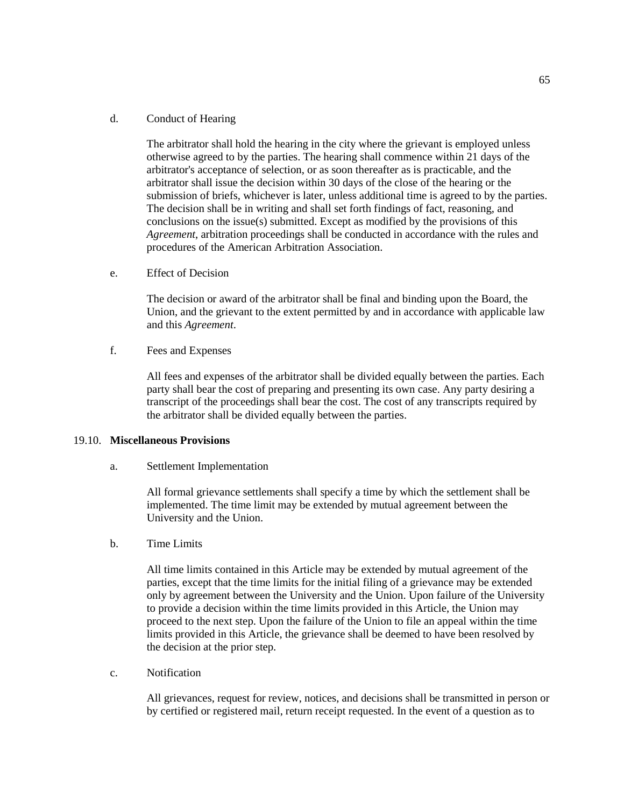# d. Conduct of Hearing

The arbitrator shall hold the hearing in the city where the grievant is employed unless otherwise agreed to by the parties. The hearing shall commence within 21 days of the arbitrator's acceptance of selection, or as soon thereafter as is practicable, and the arbitrator shall issue the decision within 30 days of the close of the hearing or the submission of briefs, whichever is later, unless additional time is agreed to by the parties. The decision shall be in writing and shall set forth findings of fact, reasoning, and conclusions on the issue(s) submitted. Except as modified by the provisions of this *Agreement*, arbitration proceedings shall be conducted in accordance with the rules and procedures of the American Arbitration Association.

e. Effect of Decision

The decision or award of the arbitrator shall be final and binding upon the Board, the Union, and the grievant to the extent permitted by and in accordance with applicable law and this *Agreement*.

f. Fees and Expenses

All fees and expenses of the arbitrator shall be divided equally between the parties. Each party shall bear the cost of preparing and presenting its own case. Any party desiring a transcript of the proceedings shall bear the cost. The cost of any transcripts required by the arbitrator shall be divided equally between the parties.

## 19.10. **Miscellaneous Provisions**

a. Settlement Implementation

All formal grievance settlements shall specify a time by which the settlement shall be implemented. The time limit may be extended by mutual agreement between the University and the Union.

b. Time Limits

All time limits contained in this Article may be extended by mutual agreement of the parties, except that the time limits for the initial filing of a grievance may be extended only by agreement between the University and the Union. Upon failure of the University to provide a decision within the time limits provided in this Article, the Union may proceed to the next step. Upon the failure of the Union to file an appeal within the time limits provided in this Article, the grievance shall be deemed to have been resolved by the decision at the prior step.

c. Notification

All grievances, request for review, notices, and decisions shall be transmitted in person or by certified or registered mail, return receipt requested. In the event of a question as to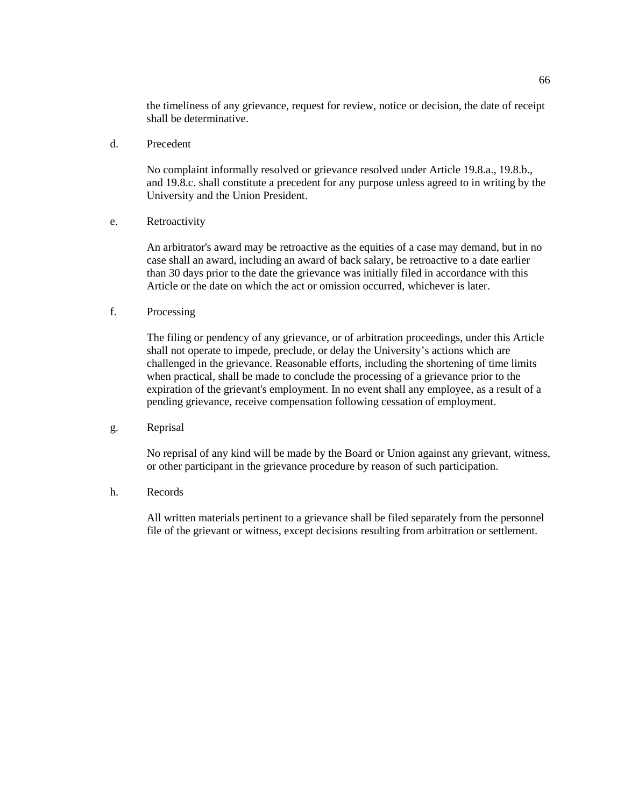the timeliness of any grievance, request for review, notice or decision, the date of receipt shall be determinative.

d. Precedent

No complaint informally resolved or grievance resolved under Article 19.8.a., 19.8.b., and 19.8.c. shall constitute a precedent for any purpose unless agreed to in writing by the University and the Union President.

e. Retroactivity

An arbitrator's award may be retroactive as the equities of a case may demand, but in no case shall an award, including an award of back salary, be retroactive to a date earlier than 30 days prior to the date the grievance was initially filed in accordance with this Article or the date on which the act or omission occurred, whichever is later.

f. Processing

The filing or pendency of any grievance, or of arbitration proceedings, under this Article shall not operate to impede, preclude, or delay the University's actions which are challenged in the grievance. Reasonable efforts, including the shortening of time limits when practical, shall be made to conclude the processing of a grievance prior to the expiration of the grievant's employment. In no event shall any employee, as a result of a pending grievance, receive compensation following cessation of employment.

g. Reprisal

No reprisal of any kind will be made by the Board or Union against any grievant, witness, or other participant in the grievance procedure by reason of such participation.

h. Records

All written materials pertinent to a grievance shall be filed separately from the personnel file of the grievant or witness, except decisions resulting from arbitration or settlement.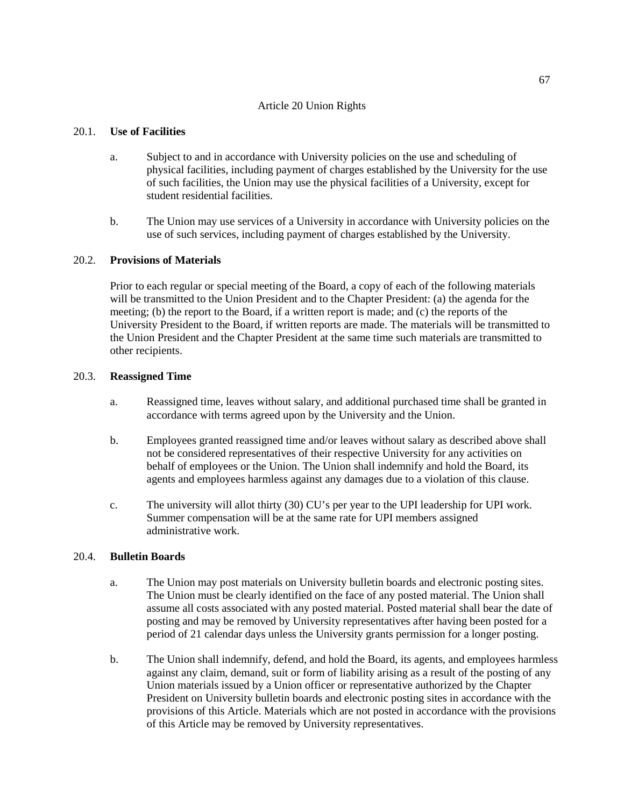# Article 20 Union Rights

# 20.1. **Use of Facilities**

- a. Subject to and in accordance with University policies on the use and scheduling of physical facilities, including payment of charges established by the University for the use of such facilities, the Union may use the physical facilities of a University, except for student residential facilities.
- b. The Union may use services of a University in accordance with University policies on the use of such services, including payment of charges established by the University.

# 20.2. **Provisions of Materials**

Prior to each regular or special meeting of the Board, a copy of each of the following materials will be transmitted to the Union President and to the Chapter President: (a) the agenda for the meeting; (b) the report to the Board, if a written report is made; and (c) the reports of the University President to the Board, if written reports are made. The materials will be transmitted to the Union President and the Chapter President at the same time such materials are transmitted to other recipients.

# 20.3. **Reassigned Time**

- a. Reassigned time, leaves without salary, and additional purchased time shall be granted in accordance with terms agreed upon by the University and the Union.
- b. Employees granted reassigned time and/or leaves without salary as described above shall not be considered representatives of their respective University for any activities on behalf of employees or the Union. The Union shall indemnify and hold the Board, its agents and employees harmless against any damages due to a violation of this clause.
- c. The university will allot thirty (30) CU's per year to the UPI leadership for UPI work. Summer compensation will be at the same rate for UPI members assigned administrative work.

# 20.4. **Bulletin Boards**

- a. The Union may post materials on University bulletin boards and electronic posting sites. The Union must be clearly identified on the face of any posted material. The Union shall assume all costs associated with any posted material. Posted material shall bear the date of posting and may be removed by University representatives after having been posted for a period of 21 calendar days unless the University grants permission for a longer posting.
- b. The Union shall indemnify, defend, and hold the Board, its agents, and employees harmless against any claim, demand, suit or form of liability arising as a result of the posting of any Union materials issued by a Union officer or representative authorized by the Chapter President on University bulletin boards and electronic posting sites in accordance with the provisions of this Article. Materials which are not posted in accordance with the provisions of this Article may be removed by University representatives.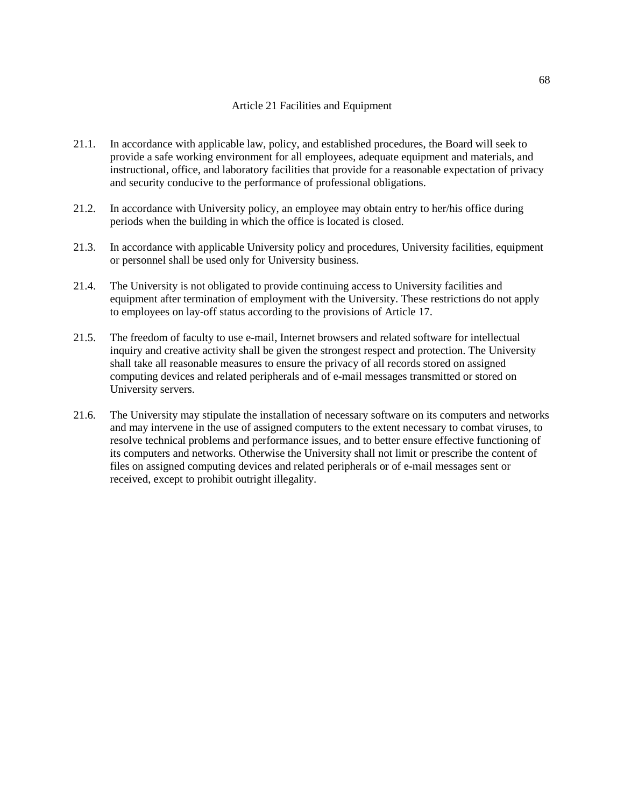## Article 21 Facilities and Equipment

- 21.1. In accordance with applicable law, policy, and established procedures, the Board will seek to provide a safe working environment for all employees, adequate equipment and materials, and instructional, office, and laboratory facilities that provide for a reasonable expectation of privacy and security conducive to the performance of professional obligations.
- 21.2. In accordance with University policy, an employee may obtain entry to her/his office during periods when the building in which the office is located is closed.
- 21.3. In accordance with applicable University policy and procedures, University facilities, equipment or personnel shall be used only for University business.
- 21.4. The University is not obligated to provide continuing access to University facilities and equipment after termination of employment with the University. These restrictions do not apply to employees on lay-off status according to the provisions of Article 17.
- 21.5. The freedom of faculty to use e-mail, Internet browsers and related software for intellectual inquiry and creative activity shall be given the strongest respect and protection. The University shall take all reasonable measures to ensure the privacy of all records stored on assigned computing devices and related peripherals and of e-mail messages transmitted or stored on University servers.
- 21.6. The University may stipulate the installation of necessary software on its computers and networks and may intervene in the use of assigned computers to the extent necessary to combat viruses, to resolve technical problems and performance issues, and to better ensure effective functioning of its computers and networks. Otherwise the University shall not limit or prescribe the content of files on assigned computing devices and related peripherals or of e-mail messages sent or received, except to prohibit outright illegality.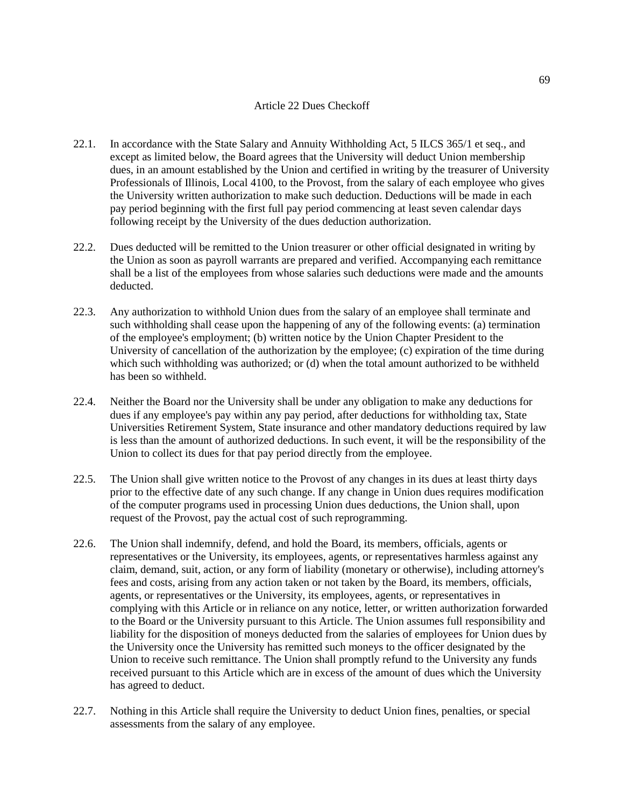#### Article 22 Dues Checkoff

- 22.1. In accordance with the State Salary and Annuity Withholding Act, 5 ILCS 365/1 et seq., and except as limited below, the Board agrees that the University will deduct Union membership dues, in an amount established by the Union and certified in writing by the treasurer of University Professionals of Illinois, Local 4100, to the Provost, from the salary of each employee who gives the University written authorization to make such deduction. Deductions will be made in each pay period beginning with the first full pay period commencing at least seven calendar days following receipt by the University of the dues deduction authorization.
- 22.2. Dues deducted will be remitted to the Union treasurer or other official designated in writing by the Union as soon as payroll warrants are prepared and verified. Accompanying each remittance shall be a list of the employees from whose salaries such deductions were made and the amounts deducted.
- 22.3. Any authorization to withhold Union dues from the salary of an employee shall terminate and such withholding shall cease upon the happening of any of the following events: (a) termination of the employee's employment; (b) written notice by the Union Chapter President to the University of cancellation of the authorization by the employee; (c) expiration of the time during which such withholding was authorized; or (d) when the total amount authorized to be withheld has been so withheld.
- 22.4. Neither the Board nor the University shall be under any obligation to make any deductions for dues if any employee's pay within any pay period, after deductions for withholding tax, State Universities Retirement System, State insurance and other mandatory deductions required by law is less than the amount of authorized deductions. In such event, it will be the responsibility of the Union to collect its dues for that pay period directly from the employee.
- 22.5. The Union shall give written notice to the Provost of any changes in its dues at least thirty days prior to the effective date of any such change. If any change in Union dues requires modification of the computer programs used in processing Union dues deductions, the Union shall, upon request of the Provost, pay the actual cost of such reprogramming.
- 22.6. The Union shall indemnify, defend, and hold the Board, its members, officials, agents or representatives or the University, its employees, agents, or representatives harmless against any claim, demand, suit, action, or any form of liability (monetary or otherwise), including attorney's fees and costs, arising from any action taken or not taken by the Board, its members, officials, agents, or representatives or the University, its employees, agents, or representatives in complying with this Article or in reliance on any notice, letter, or written authorization forwarded to the Board or the University pursuant to this Article. The Union assumes full responsibility and liability for the disposition of moneys deducted from the salaries of employees for Union dues by the University once the University has remitted such moneys to the officer designated by the Union to receive such remittance. The Union shall promptly refund to the University any funds received pursuant to this Article which are in excess of the amount of dues which the University has agreed to deduct.
- 22.7. Nothing in this Article shall require the University to deduct Union fines, penalties, or special assessments from the salary of any employee.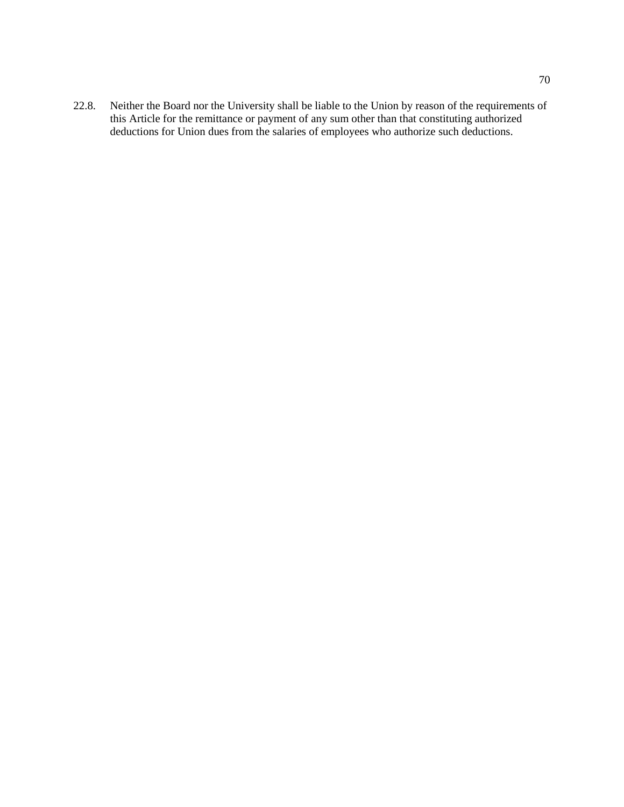22.8. Neither the Board nor the University shall be liable to the Union by reason of the requirements of this Article for the remittance or payment of any sum other than that constituting authorized deductions for Union dues from the salaries of employees who authorize such deductions.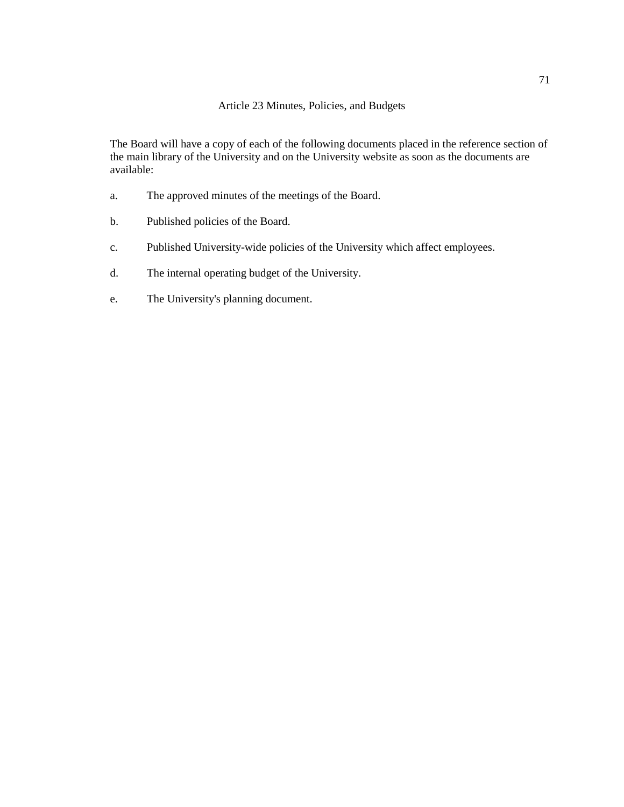# Article 23 Minutes, Policies, and Budgets

The Board will have a copy of each of the following documents placed in the reference section of the main library of the University and on the University website as soon as the documents are available:

- a. The approved minutes of the meetings of the Board.
- b. Published policies of the Board.
- c. Published University-wide policies of the University which affect employees.
- d. The internal operating budget of the University.
- e. The University's planning document.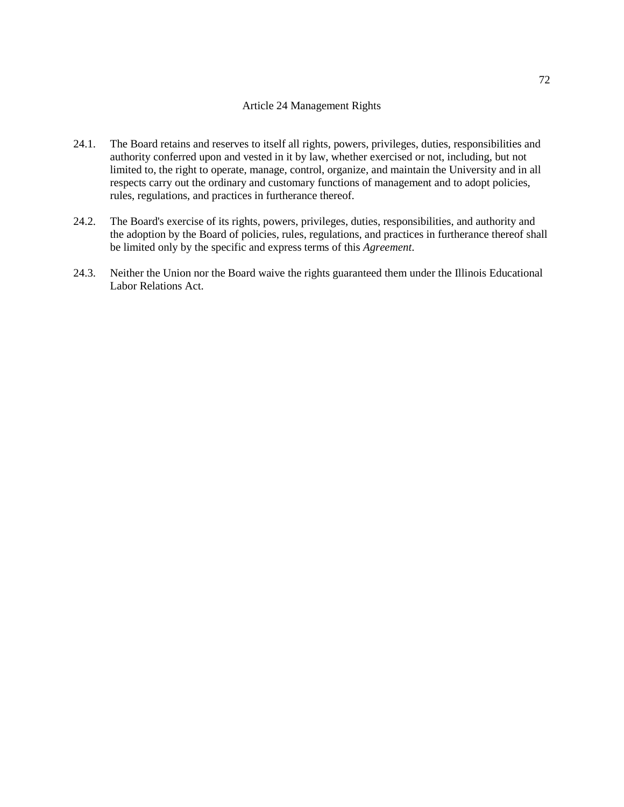#### Article 24 Management Rights

- 24.1. The Board retains and reserves to itself all rights, powers, privileges, duties, responsibilities and authority conferred upon and vested in it by law, whether exercised or not, including, but not limited to, the right to operate, manage, control, organize, and maintain the University and in all respects carry out the ordinary and customary functions of management and to adopt policies, rules, regulations, and practices in furtherance thereof.
- 24.2. The Board's exercise of its rights, powers, privileges, duties, responsibilities, and authority and the adoption by the Board of policies, rules, regulations, and practices in furtherance thereof shall be limited only by the specific and express terms of this *Agreement*.
- 24.3. Neither the Union nor the Board waive the rights guaranteed them under the Illinois Educational Labor Relations Act.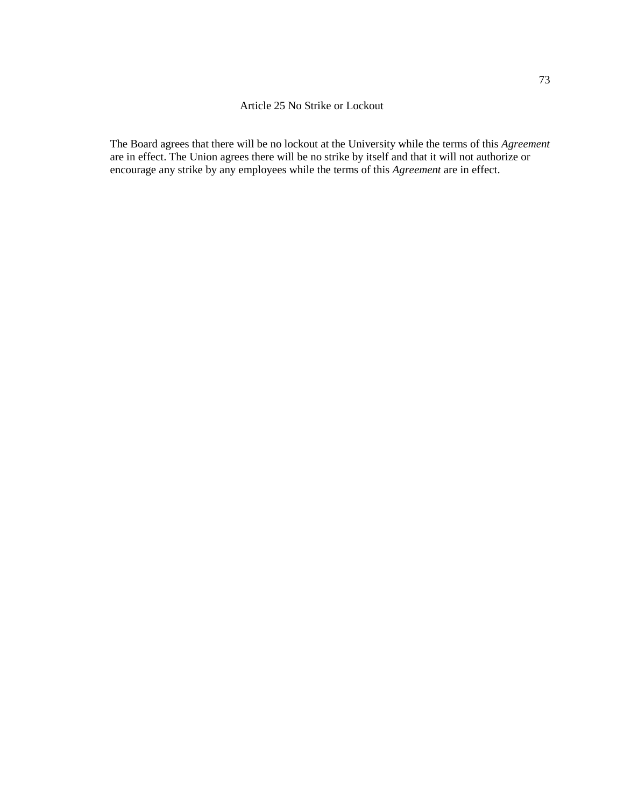### Article 25 No Strike or Lockout

The Board agrees that there will be no lockout at the University while the terms of this *Agreement* are in effect. The Union agrees there will be no strike by itself and that it will not authorize or encourage any strike by any employees while the terms of this *Agreement* are in effect.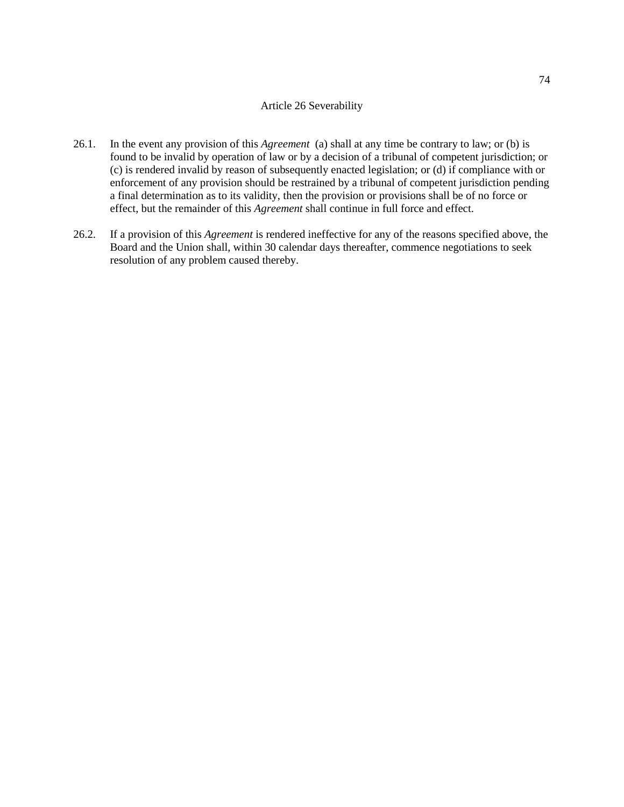#### Article 26 Severability

- 26.1. In the event any provision of this *Agreement* (a) shall at any time be contrary to law; or (b) is found to be invalid by operation of law or by a decision of a tribunal of competent jurisdiction; or (c) is rendered invalid by reason of subsequently enacted legislation; or (d) if compliance with or enforcement of any provision should be restrained by a tribunal of competent jurisdiction pending a final determination as to its validity, then the provision or provisions shall be of no force or effect, but the remainder of this *Agreement* shall continue in full force and effect.
- 26.2. If a provision of this *Agreement* is rendered ineffective for any of the reasons specified above, the Board and the Union shall, within 30 calendar days thereafter, commence negotiations to seek resolution of any problem caused thereby.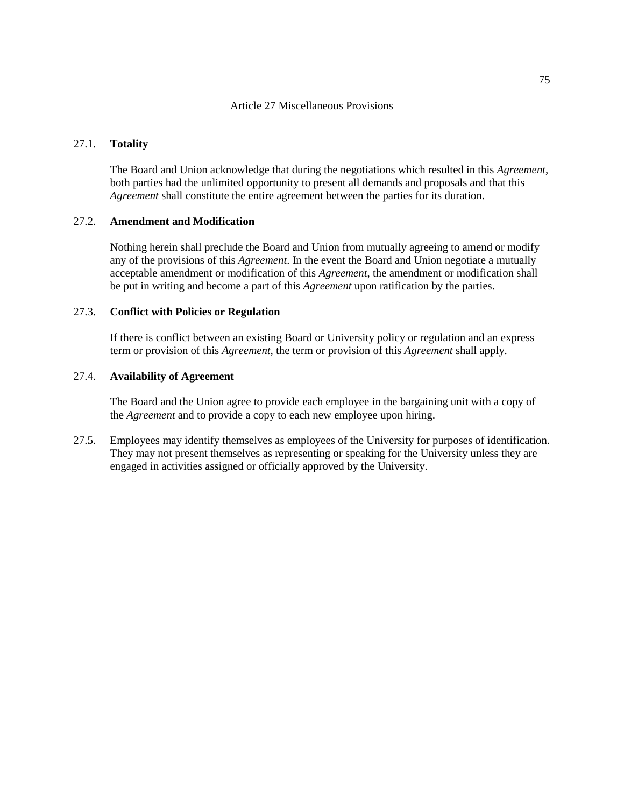#### Article 27 Miscellaneous Provisions

# 27.1. **Totality**

The Board and Union acknowledge that during the negotiations which resulted in this *Agreement*, both parties had the unlimited opportunity to present all demands and proposals and that this *Agreement* shall constitute the entire agreement between the parties for its duration.

# 27.2. **Amendment and Modification**

Nothing herein shall preclude the Board and Union from mutually agreeing to amend or modify any of the provisions of this *Agreement*. In the event the Board and Union negotiate a mutually acceptable amendment or modification of this *Agreement*, the amendment or modification shall be put in writing and become a part of this *Agreement* upon ratification by the parties.

# 27.3. **Conflict with Policies or Regulation**

If there is conflict between an existing Board or University policy or regulation and an express term or provision of this *Agreement*, the term or provision of this *Agreement* shall apply.

# 27.4. **Availability of Agreement**

The Board and the Union agree to provide each employee in the bargaining unit with a copy of the *Agreement* and to provide a copy to each new employee upon hiring.

27.5. Employees may identify themselves as employees of the University for purposes of identification. They may not present themselves as representing or speaking for the University unless they are engaged in activities assigned or officially approved by the University.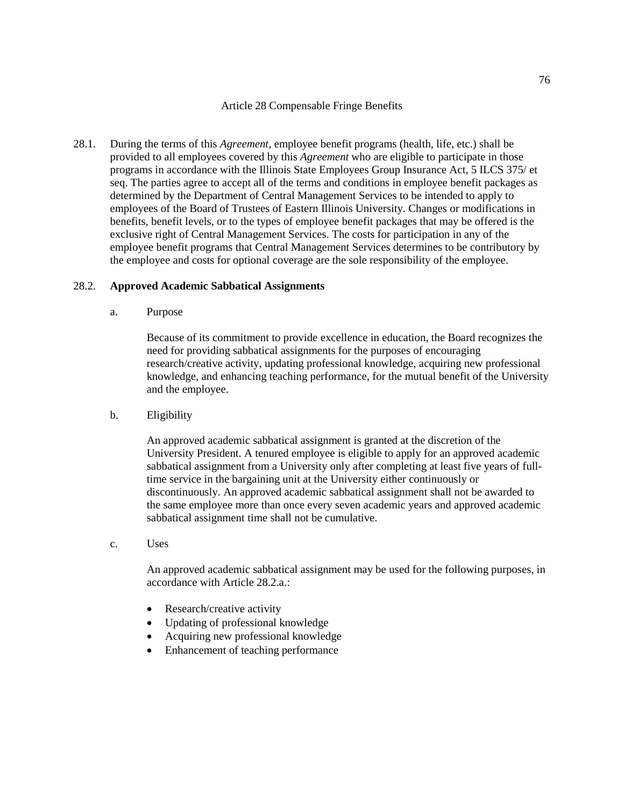### Article 28 Compensable Fringe Benefits

28.1. During the terms of this *Agreement*, employee benefit programs (health, life, etc.) shall be provided to all employees covered by this *Agreement* who are eligible to participate in those programs in accordance with the Illinois State Employees Group Insurance Act, 5 ILCS 375/ et seq. The parties agree to accept all of the terms and conditions in employee benefit packages as determined by the Department of Central Management Services to be intended to apply to employees of the Board of Trustees of Eastern Illinois University. Changes or modifications in benefits, benefit levels, or to the types of employee benefit packages that may be offered is the exclusive right of Central Management Services. The costs for participation in any of the employee benefit programs that Central Management Services determines to be contributory by the employee and costs for optional coverage are the sole responsibility of the employee.

# 28.2. **Approved Academic Sabbatical Assignments**

a. Purpose

Because of its commitment to provide excellence in education, the Board recognizes the need for providing sabbatical assignments for the purposes of encouraging research/creative activity, updating professional knowledge, acquiring new professional knowledge, and enhancing teaching performance, for the mutual benefit of the University and the employee.

b. Eligibility

An approved academic sabbatical assignment is granted at the discretion of the University President. A tenured employee is eligible to apply for an approved academic sabbatical assignment from a University only after completing at least five years of fulltime service in the bargaining unit at the University either continuously or discontinuously. An approved academic sabbatical assignment shall not be awarded to the same employee more than once every seven academic years and approved academic sabbatical assignment time shall not be cumulative.

c. Uses

An approved academic sabbatical assignment may be used for the following purposes, in accordance with Article 28.2.a.:

- Research/creative activity
- Updating of professional knowledge
- Acquiring new professional knowledge
- Enhancement of teaching performance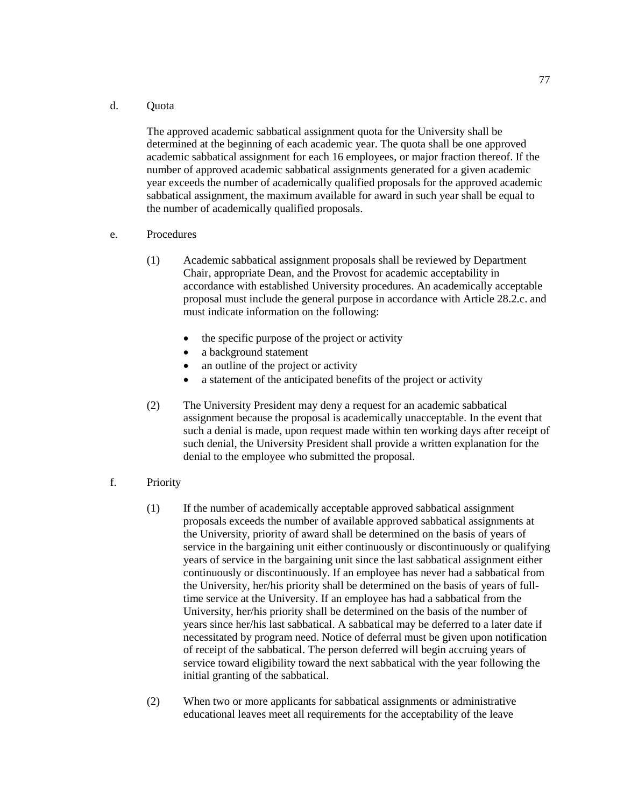#### d. Quota

The approved academic sabbatical assignment quota for the University shall be determined at the beginning of each academic year. The quota shall be one approved academic sabbatical assignment for each 16 employees, or major fraction thereof. If the number of approved academic sabbatical assignments generated for a given academic year exceeds the number of academically qualified proposals for the approved academic sabbatical assignment, the maximum available for award in such year shall be equal to the number of academically qualified proposals.

- e. Procedures
	- (1) Academic sabbatical assignment proposals shall be reviewed by Department Chair, appropriate Dean, and the Provost for academic acceptability in accordance with established University procedures. An academically acceptable proposal must include the general purpose in accordance with Article 28.2.c. and must indicate information on the following:
		- the specific purpose of the project or activity
		- a background statement
		- an outline of the project or activity
		- a statement of the anticipated benefits of the project or activity
	- (2) The University President may deny a request for an academic sabbatical assignment because the proposal is academically unacceptable. In the event that such a denial is made, upon request made within ten working days after receipt of such denial, the University President shall provide a written explanation for the denial to the employee who submitted the proposal.
- f. Priority
	- (1) If the number of academically acceptable approved sabbatical assignment proposals exceeds the number of available approved sabbatical assignments at the University, priority of award shall be determined on the basis of years of service in the bargaining unit either continuously or discontinuously or qualifying years of service in the bargaining unit since the last sabbatical assignment either continuously or discontinuously. If an employee has never had a sabbatical from the University, her/his priority shall be determined on the basis of years of fulltime service at the University. If an employee has had a sabbatical from the University, her/his priority shall be determined on the basis of the number of years since her/his last sabbatical. A sabbatical may be deferred to a later date if necessitated by program need. Notice of deferral must be given upon notification of receipt of the sabbatical. The person deferred will begin accruing years of service toward eligibility toward the next sabbatical with the year following the initial granting of the sabbatical.
	- (2) When two or more applicants for sabbatical assignments or administrative educational leaves meet all requirements for the acceptability of the leave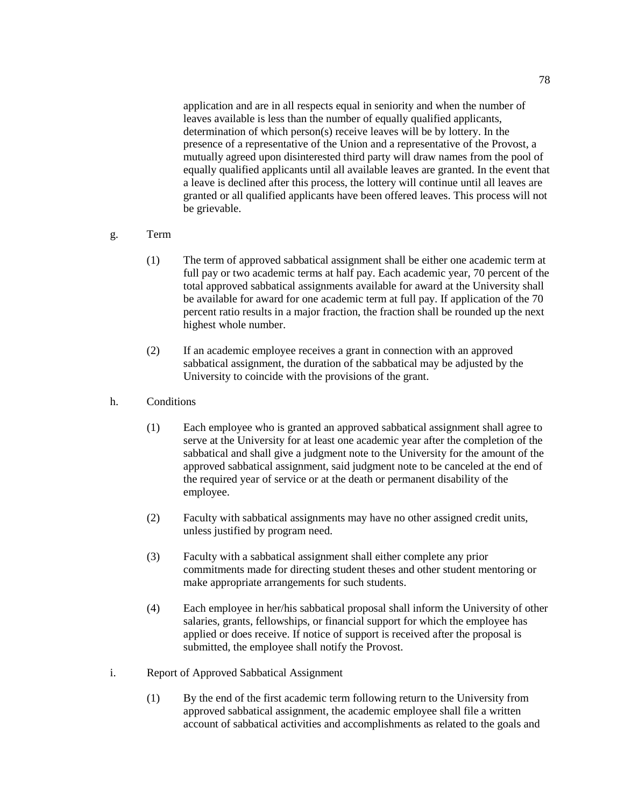application and are in all respects equal in seniority and when the number of leaves available is less than the number of equally qualified applicants, determination of which person(s) receive leaves will be by lottery. In the presence of a representative of the Union and a representative of the Provost, a mutually agreed upon disinterested third party will draw names from the pool of equally qualified applicants until all available leaves are granted. In the event that a leave is declined after this process, the lottery will continue until all leaves are granted or all qualified applicants have been offered leaves. This process will not be grievable.

# g. Term

- (1) The term of approved sabbatical assignment shall be either one academic term at full pay or two academic terms at half pay. Each academic year, 70 percent of the total approved sabbatical assignments available for award at the University shall be available for award for one academic term at full pay. If application of the 70 percent ratio results in a major fraction, the fraction shall be rounded up the next highest whole number.
- (2) If an academic employee receives a grant in connection with an approved sabbatical assignment, the duration of the sabbatical may be adjusted by the University to coincide with the provisions of the grant.

# h. Conditions

- (1) Each employee who is granted an approved sabbatical assignment shall agree to serve at the University for at least one academic year after the completion of the sabbatical and shall give a judgment note to the University for the amount of the approved sabbatical assignment, said judgment note to be canceled at the end of the required year of service or at the death or permanent disability of the employee.
- (2) Faculty with sabbatical assignments may have no other assigned credit units, unless justified by program need.
- (3) Faculty with a sabbatical assignment shall either complete any prior commitments made for directing student theses and other student mentoring or make appropriate arrangements for such students.
- (4) Each employee in her/his sabbatical proposal shall inform the University of other salaries, grants, fellowships, or financial support for which the employee has applied or does receive. If notice of support is received after the proposal is submitted, the employee shall notify the Provost.
- i. Report of Approved Sabbatical Assignment
	- (1) By the end of the first academic term following return to the University from approved sabbatical assignment, the academic employee shall file a written account of sabbatical activities and accomplishments as related to the goals and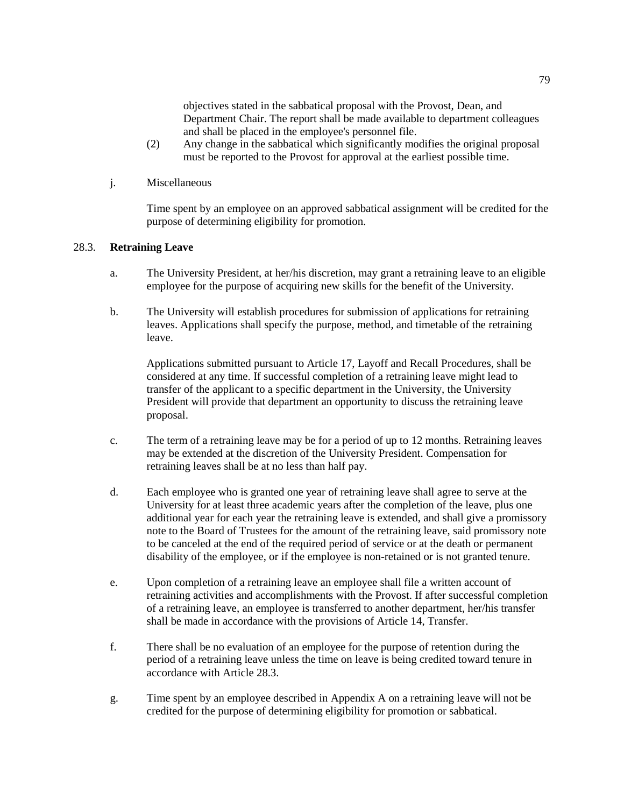objectives stated in the sabbatical proposal with the Provost, Dean, and Department Chair. The report shall be made available to department colleagues and shall be placed in the employee's personnel file.

- (2) Any change in the sabbatical which significantly modifies the original proposal must be reported to the Provost for approval at the earliest possible time.
- j. Miscellaneous

Time spent by an employee on an approved sabbatical assignment will be credited for the purpose of determining eligibility for promotion.

# 28.3. **Retraining Leave**

- a. The University President, at her/his discretion, may grant a retraining leave to an eligible employee for the purpose of acquiring new skills for the benefit of the University.
- b. The University will establish procedures for submission of applications for retraining leaves. Applications shall specify the purpose, method, and timetable of the retraining leave.

Applications submitted pursuant to Article 17, Layoff and Recall Procedures, shall be considered at any time. If successful completion of a retraining leave might lead to transfer of the applicant to a specific department in the University, the University President will provide that department an opportunity to discuss the retraining leave proposal.

- c. The term of a retraining leave may be for a period of up to 12 months. Retraining leaves may be extended at the discretion of the University President. Compensation for retraining leaves shall be at no less than half pay.
- d. Each employee who is granted one year of retraining leave shall agree to serve at the University for at least three academic years after the completion of the leave, plus one additional year for each year the retraining leave is extended, and shall give a promissory note to the Board of Trustees for the amount of the retraining leave, said promissory note to be canceled at the end of the required period of service or at the death or permanent disability of the employee, or if the employee is non-retained or is not granted tenure.
- e. Upon completion of a retraining leave an employee shall file a written account of retraining activities and accomplishments with the Provost. If after successful completion of a retraining leave, an employee is transferred to another department, her/his transfer shall be made in accordance with the provisions of Article 14, Transfer.
- f. There shall be no evaluation of an employee for the purpose of retention during the period of a retraining leave unless the time on leave is being credited toward tenure in accordance with Article 28.3.
- g. Time spent by an employee described in Appendix A on a retraining leave will not be credited for the purpose of determining eligibility for promotion or sabbatical.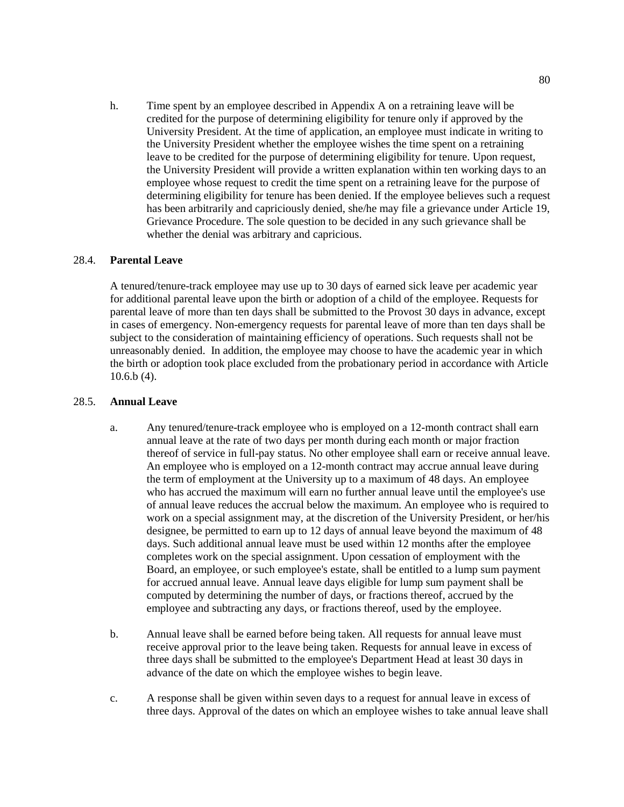h. Time spent by an employee described in Appendix A on a retraining leave will be credited for the purpose of determining eligibility for tenure only if approved by the University President. At the time of application, an employee must indicate in writing to the University President whether the employee wishes the time spent on a retraining leave to be credited for the purpose of determining eligibility for tenure. Upon request, the University President will provide a written explanation within ten working days to an employee whose request to credit the time spent on a retraining leave for the purpose of determining eligibility for tenure has been denied. If the employee believes such a request has been arbitrarily and capriciously denied, she/he may file a grievance under Article 19, Grievance Procedure. The sole question to be decided in any such grievance shall be whether the denial was arbitrary and capricious.

# 28.4. **Parental Leave**

A tenured/tenure-track employee may use up to 30 days of earned sick leave per academic year for additional parental leave upon the birth or adoption of a child of the employee. Requests for parental leave of more than ten days shall be submitted to the Provost 30 days in advance, except in cases of emergency. Non-emergency requests for parental leave of more than ten days shall be subject to the consideration of maintaining efficiency of operations. Such requests shall not be unreasonably denied. In addition, the employee may choose to have the academic year in which the birth or adoption took place excluded from the probationary period in accordance with Article 10.6.b (4).

#### 28.5. **Annual Leave**

- a. Any tenured/tenure-track employee who is employed on a 12-month contract shall earn annual leave at the rate of two days per month during each month or major fraction thereof of service in full-pay status. No other employee shall earn or receive annual leave. An employee who is employed on a 12-month contract may accrue annual leave during the term of employment at the University up to a maximum of 48 days. An employee who has accrued the maximum will earn no further annual leave until the employee's use of annual leave reduces the accrual below the maximum. An employee who is required to work on a special assignment may, at the discretion of the University President, or her/his designee, be permitted to earn up to 12 days of annual leave beyond the maximum of 48 days. Such additional annual leave must be used within 12 months after the employee completes work on the special assignment. Upon cessation of employment with the Board, an employee, or such employee's estate, shall be entitled to a lump sum payment for accrued annual leave. Annual leave days eligible for lump sum payment shall be computed by determining the number of days, or fractions thereof, accrued by the employee and subtracting any days, or fractions thereof, used by the employee.
- b. Annual leave shall be earned before being taken. All requests for annual leave must receive approval prior to the leave being taken. Requests for annual leave in excess of three days shall be submitted to the employee's Department Head at least 30 days in advance of the date on which the employee wishes to begin leave.
- c. A response shall be given within seven days to a request for annual leave in excess of three days. Approval of the dates on which an employee wishes to take annual leave shall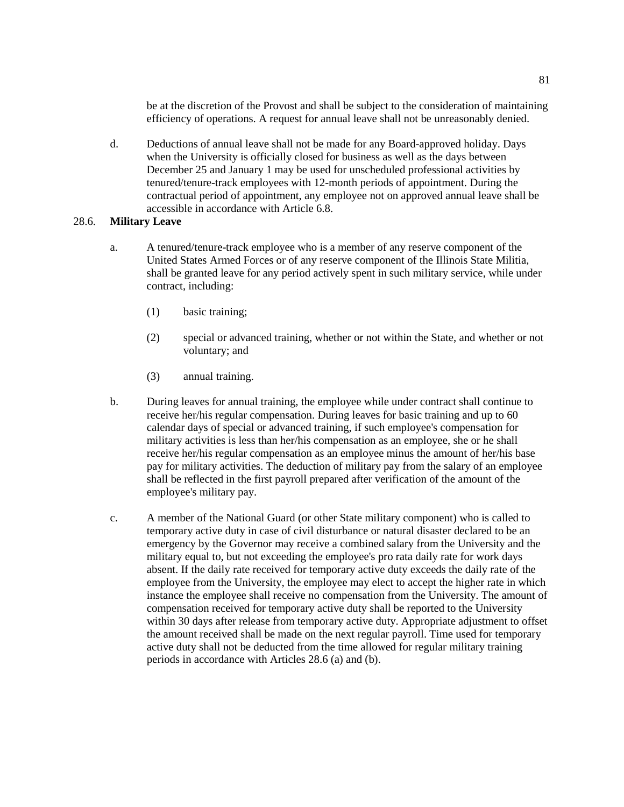be at the discretion of the Provost and shall be subject to the consideration of maintaining efficiency of operations. A request for annual leave shall not be unreasonably denied.

d. Deductions of annual leave shall not be made for any Board-approved holiday. Days when the University is officially closed for business as well as the days between December 25 and January 1 may be used for unscheduled professional activities by tenured/tenure-track employees with 12-month periods of appointment. During the contractual period of appointment, any employee not on approved annual leave shall be accessible in accordance with Article 6.8.

# 28.6. **Military Leave**

- a. A tenured/tenure-track employee who is a member of any reserve component of the United States Armed Forces or of any reserve component of the Illinois State Militia, shall be granted leave for any period actively spent in such military service, while under contract, including:
	- (1) basic training;
	- (2) special or advanced training, whether or not within the State, and whether or not voluntary; and
	- (3) annual training.
- b. During leaves for annual training, the employee while under contract shall continue to receive her/his regular compensation. During leaves for basic training and up to 60 calendar days of special or advanced training, if such employee's compensation for military activities is less than her/his compensation as an employee, she or he shall receive her/his regular compensation as an employee minus the amount of her/his base pay for military activities. The deduction of military pay from the salary of an employee shall be reflected in the first payroll prepared after verification of the amount of the employee's military pay.
- c. A member of the National Guard (or other State military component) who is called to temporary active duty in case of civil disturbance or natural disaster declared to be an emergency by the Governor may receive a combined salary from the University and the military equal to, but not exceeding the employee's pro rata daily rate for work days absent. If the daily rate received for temporary active duty exceeds the daily rate of the employee from the University, the employee may elect to accept the higher rate in which instance the employee shall receive no compensation from the University. The amount of compensation received for temporary active duty shall be reported to the University within 30 days after release from temporary active duty. Appropriate adjustment to offset the amount received shall be made on the next regular payroll. Time used for temporary active duty shall not be deducted from the time allowed for regular military training periods in accordance with Articles 28.6 (a) and (b).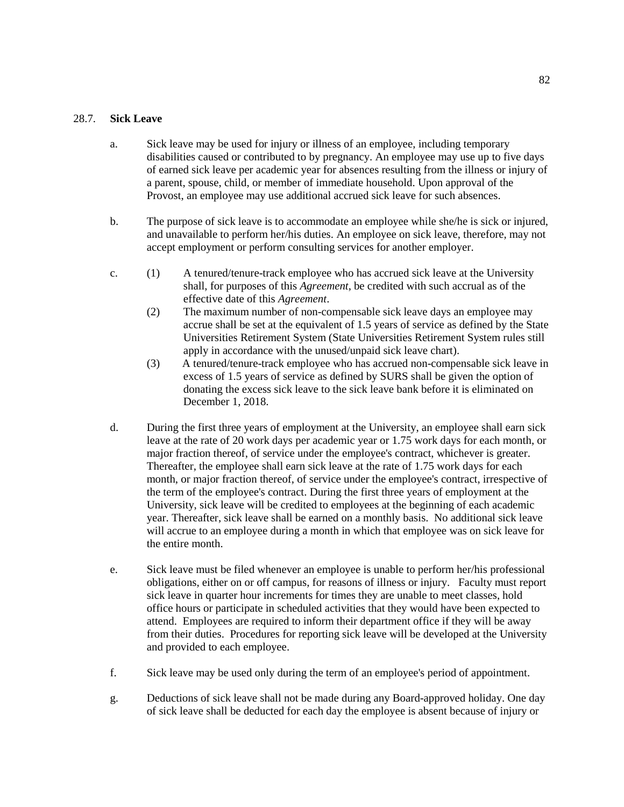# 28.7. **Sick Leave**

- a. Sick leave may be used for injury or illness of an employee, including temporary disabilities caused or contributed to by pregnancy. An employee may use up to five days of earned sick leave per academic year for absences resulting from the illness or injury of a parent, spouse, child, or member of immediate household. Upon approval of the Provost, an employee may use additional accrued sick leave for such absences.
- b. The purpose of sick leave is to accommodate an employee while she/he is sick or injured, and unavailable to perform her/his duties. An employee on sick leave, therefore, may not accept employment or perform consulting services for another employer.
- c. (1) A tenured/tenure-track employee who has accrued sick leave at the University shall, for purposes of this *Agreement*, be credited with such accrual as of the effective date of this *Agreement*.
	- (2) The maximum number of non-compensable sick leave days an employee may accrue shall be set at the equivalent of 1.5 years of service as defined by the State Universities Retirement System (State Universities Retirement System rules still apply in accordance with the unused/unpaid sick leave chart).
	- (3) A tenured/tenure-track employee who has accrued non-compensable sick leave in excess of 1.5 years of service as defined by SURS shall be given the option of donating the excess sick leave to the sick leave bank before it is eliminated on December 1, 2018.
- d. During the first three years of employment at the University, an employee shall earn sick leave at the rate of 20 work days per academic year or 1.75 work days for each month, or major fraction thereof, of service under the employee's contract, whichever is greater. Thereafter, the employee shall earn sick leave at the rate of 1.75 work days for each month, or major fraction thereof, of service under the employee's contract, irrespective of the term of the employee's contract. During the first three years of employment at the University, sick leave will be credited to employees at the beginning of each academic year. Thereafter, sick leave shall be earned on a monthly basis. No additional sick leave will accrue to an employee during a month in which that employee was on sick leave for the entire month.
- e. Sick leave must be filed whenever an employee is unable to perform her/his professional obligations, either on or off campus, for reasons of illness or injury. Faculty must report sick leave in quarter hour increments for times they are unable to meet classes, hold office hours or participate in scheduled activities that they would have been expected to attend. Employees are required to inform their department office if they will be away from their duties. Procedures for reporting sick leave will be developed at the University and provided to each employee.
- f. Sick leave may be used only during the term of an employee's period of appointment.
- g. Deductions of sick leave shall not be made during any Board-approved holiday. One day of sick leave shall be deducted for each day the employee is absent because of injury or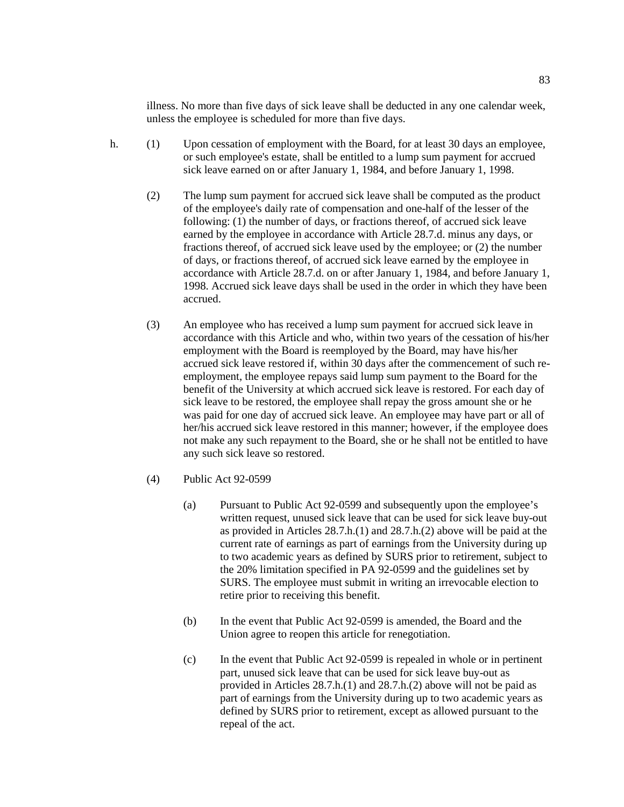illness. No more than five days of sick leave shall be deducted in any one calendar week, unless the employee is scheduled for more than five days.

- h. (1) Upon cessation of employment with the Board, for at least 30 days an employee, or such employee's estate, shall be entitled to a lump sum payment for accrued sick leave earned on or after January 1, 1984, and before January 1, 1998.
	- (2) The lump sum payment for accrued sick leave shall be computed as the product of the employee's daily rate of compensation and one-half of the lesser of the following: (1) the number of days, or fractions thereof, of accrued sick leave earned by the employee in accordance with Article 28.7.d. minus any days, or fractions thereof, of accrued sick leave used by the employee; or (2) the number of days, or fractions thereof, of accrued sick leave earned by the employee in accordance with Article 28.7.d. on or after January 1, 1984, and before January 1, 1998. Accrued sick leave days shall be used in the order in which they have been accrued.
	- (3) An employee who has received a lump sum payment for accrued sick leave in accordance with this Article and who, within two years of the cessation of his/her employment with the Board is reemployed by the Board, may have his/her accrued sick leave restored if, within 30 days after the commencement of such reemployment, the employee repays said lump sum payment to the Board for the benefit of the University at which accrued sick leave is restored. For each day of sick leave to be restored, the employee shall repay the gross amount she or he was paid for one day of accrued sick leave. An employee may have part or all of her/his accrued sick leave restored in this manner; however, if the employee does not make any such repayment to the Board, she or he shall not be entitled to have any such sick leave so restored.
	- (4) Public Act 92-0599
		- (a) Pursuant to Public Act 92-0599 and subsequently upon the employee's written request, unused sick leave that can be used for sick leave buy-out as provided in Articles 28.7.h.(1) and 28.7.h.(2) above will be paid at the current rate of earnings as part of earnings from the University during up to two academic years as defined by SURS prior to retirement, subject to the 20% limitation specified in PA 92-0599 and the guidelines set by SURS. The employee must submit in writing an irrevocable election to retire prior to receiving this benefit.
		- (b) In the event that Public Act 92-0599 is amended, the Board and the Union agree to reopen this article for renegotiation.
		- (c) In the event that Public Act 92-0599 is repealed in whole or in pertinent part, unused sick leave that can be used for sick leave buy-out as provided in Articles 28.7.h.(1) and 28.7.h.(2) above will not be paid as part of earnings from the University during up to two academic years as defined by SURS prior to retirement, except as allowed pursuant to the repeal of the act.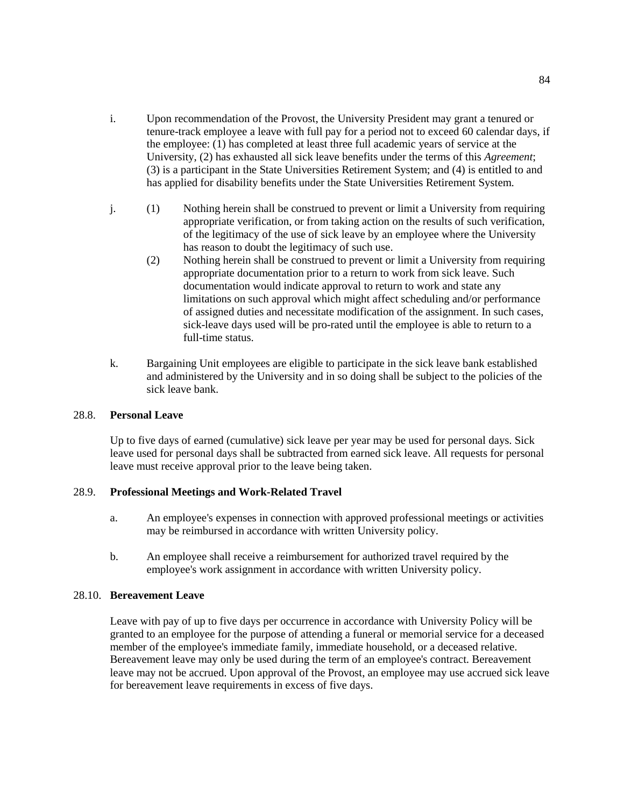- i. Upon recommendation of the Provost, the University President may grant a tenured or tenure-track employee a leave with full pay for a period not to exceed 60 calendar days, if the employee: (1) has completed at least three full academic years of service at the University, (2) has exhausted all sick leave benefits under the terms of this *Agreement*; (3) is a participant in the State Universities Retirement System; and (4) is entitled to and has applied for disability benefits under the State Universities Retirement System.
- j. (1) Nothing herein shall be construed to prevent or limit a University from requiring appropriate verification, or from taking action on the results of such verification, of the legitimacy of the use of sick leave by an employee where the University has reason to doubt the legitimacy of such use.
	- (2) Nothing herein shall be construed to prevent or limit a University from requiring appropriate documentation prior to a return to work from sick leave. Such documentation would indicate approval to return to work and state any limitations on such approval which might affect scheduling and/or performance of assigned duties and necessitate modification of the assignment. In such cases, sick-leave days used will be pro-rated until the employee is able to return to a full-time status.
- k. Bargaining Unit employees are eligible to participate in the sick leave bank established and administered by the University and in so doing shall be subject to the policies of the sick leave bank.

### 28.8. **Personal Leave**

Up to five days of earned (cumulative) sick leave per year may be used for personal days. Sick leave used for personal days shall be subtracted from earned sick leave. All requests for personal leave must receive approval prior to the leave being taken.

# 28.9. **Professional Meetings and Work-Related Travel**

- a. An employee's expenses in connection with approved professional meetings or activities may be reimbursed in accordance with written University policy.
- b. An employee shall receive a reimbursement for authorized travel required by the employee's work assignment in accordance with written University policy.

#### 28.10. **Bereavement Leave**

Leave with pay of up to five days per occurrence in accordance with University Policy will be granted to an employee for the purpose of attending a funeral or memorial service for a deceased member of the employee's immediate family, immediate household, or a deceased relative. Bereavement leave may only be used during the term of an employee's contract. Bereavement leave may not be accrued. Upon approval of the Provost, an employee may use accrued sick leave for bereavement leave requirements in excess of five days.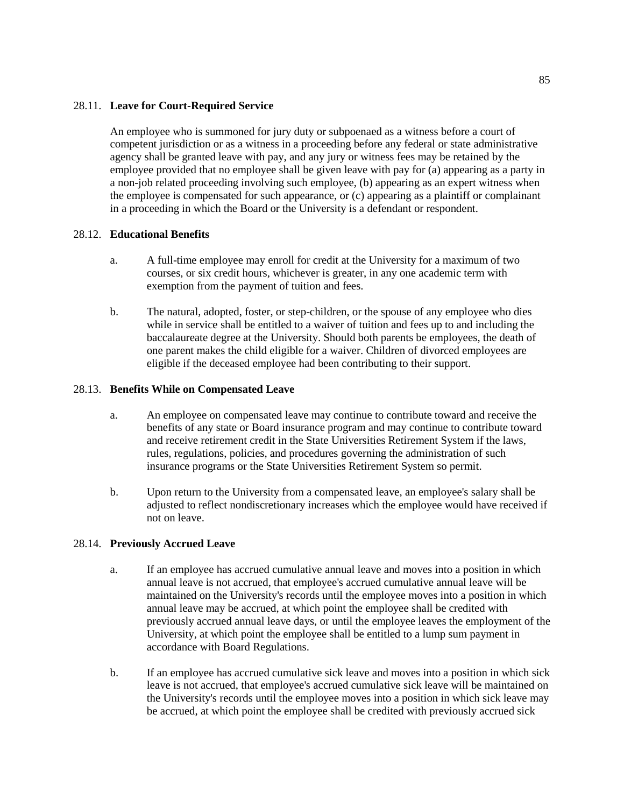# 28.11. **Leave for Court-Required Service**

An employee who is summoned for jury duty or subpoenaed as a witness before a court of competent jurisdiction or as a witness in a proceeding before any federal or state administrative agency shall be granted leave with pay, and any jury or witness fees may be retained by the employee provided that no employee shall be given leave with pay for (a) appearing as a party in a non-job related proceeding involving such employee, (b) appearing as an expert witness when the employee is compensated for such appearance, or (c) appearing as a plaintiff or complainant in a proceeding in which the Board or the University is a defendant or respondent.

# 28.12. **Educational Benefits**

- a. A full-time employee may enroll for credit at the University for a maximum of two courses, or six credit hours, whichever is greater, in any one academic term with exemption from the payment of tuition and fees.
- b. The natural, adopted, foster, or step-children, or the spouse of any employee who dies while in service shall be entitled to a waiver of tuition and fees up to and including the baccalaureate degree at the University. Should both parents be employees, the death of one parent makes the child eligible for a waiver. Children of divorced employees are eligible if the deceased employee had been contributing to their support.

# 28.13. **Benefits While on Compensated Leave**

- a. An employee on compensated leave may continue to contribute toward and receive the benefits of any state or Board insurance program and may continue to contribute toward and receive retirement credit in the State Universities Retirement System if the laws, rules, regulations, policies, and procedures governing the administration of such insurance programs or the State Universities Retirement System so permit.
- b. Upon return to the University from a compensated leave, an employee's salary shall be adjusted to reflect nondiscretionary increases which the employee would have received if not on leave.

# 28.14. **Previously Accrued Leave**

- a. If an employee has accrued cumulative annual leave and moves into a position in which annual leave is not accrued, that employee's accrued cumulative annual leave will be maintained on the University's records until the employee moves into a position in which annual leave may be accrued, at which point the employee shall be credited with previously accrued annual leave days, or until the employee leaves the employment of the University, at which point the employee shall be entitled to a lump sum payment in accordance with Board Regulations.
- b. If an employee has accrued cumulative sick leave and moves into a position in which sick leave is not accrued, that employee's accrued cumulative sick leave will be maintained on the University's records until the employee moves into a position in which sick leave may be accrued, at which point the employee shall be credited with previously accrued sick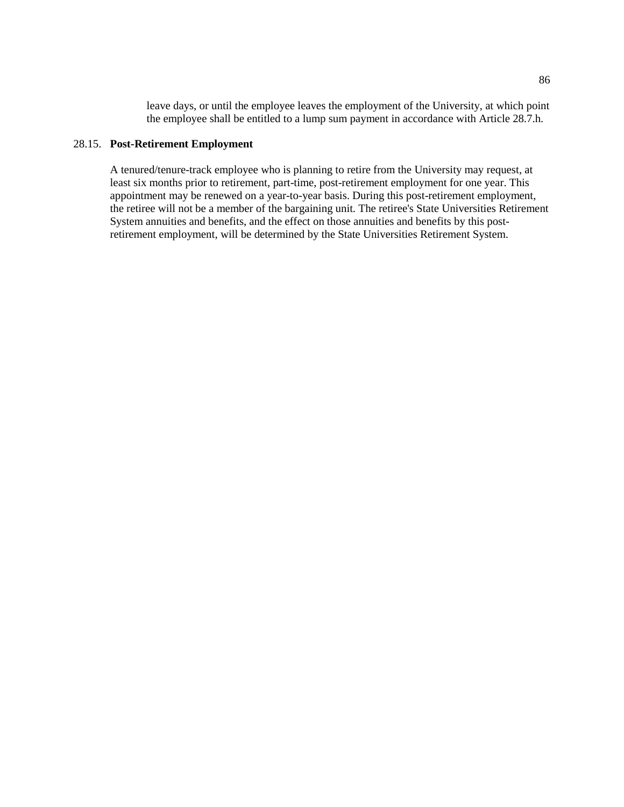leave days, or until the employee leaves the employment of the University, at which point the employee shall be entitled to a lump sum payment in accordance with Article 28.7.h.

# 28.15. **Post-Retirement Employment**

A tenured/tenure-track employee who is planning to retire from the University may request, at least six months prior to retirement, part-time, post-retirement employment for one year. This appointment may be renewed on a year-to-year basis. During this post-retirement employment, the retiree will not be a member of the bargaining unit. The retiree's State Universities Retirement System annuities and benefits, and the effect on those annuities and benefits by this postretirement employment, will be determined by the State Universities Retirement System.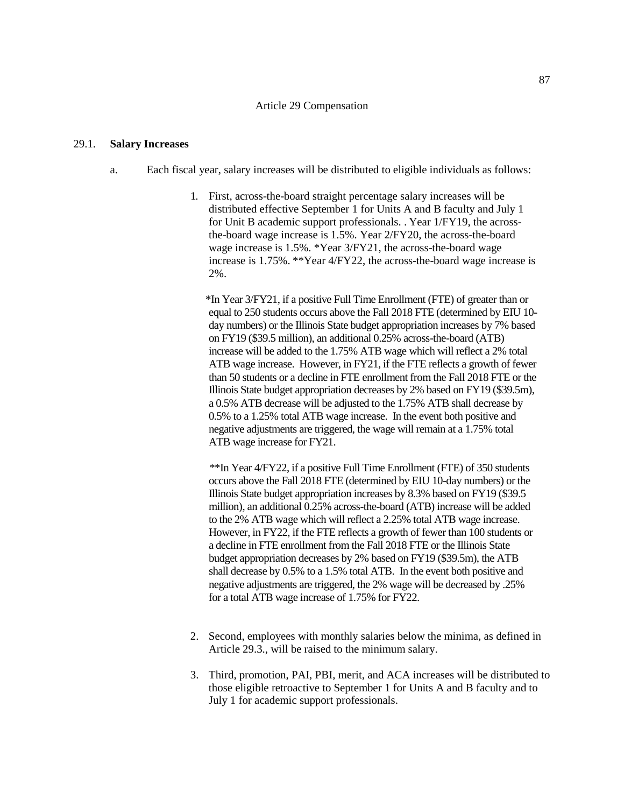#### Article 29 Compensation

#### 29.1. **Salary Increases**

- a. Each fiscal year, salary increases will be distributed to eligible individuals as follows:
	- 1. First, across-the-board straight percentage salary increases will be distributed effective September 1 for Units A and B faculty and July 1 for Unit B academic support professionals. . Year 1/FY19, the acrossthe-board wage increase is 1.5%. Year 2/FY20, the across-the-board wage increase is 1.5%. \*Year 3/FY21, the across-the-board wage increase is 1.75%. \*\*Year 4/FY22, the across-the-board wage increase is 2%.

 \*In Year 3/FY21, if a positive Full Time Enrollment (FTE) of greater than or equal to 250 students occurs above the Fall 2018 FTE (determined by EIU 10 day numbers) or the Illinois State budget appropriation increases by 7% based on FY19 (\$39.5 million), an additional 0.25% across-the-board (ATB) increase will be added to the 1.75% ATB wage which will reflect a 2% total ATB wage increase. However, in FY21, if the FTE reflects a growth of fewer than 50 students or a decline in FTE enrollment from the Fall 2018 FTE or the Illinois State budget appropriation decreases by 2% based on FY19 (\$39.5m), a 0.5% ATB decrease will be adjusted to the 1.75% ATB shall decrease by 0.5% to a 1.25% total ATB wage increase. In the event both positive and negative adjustments are triggered, the wage will remain at a 1.75% total ATB wage increase for FY21.

 \*\*In Year 4/FY22, if a positive Full Time Enrollment (FTE) of 350 students occurs above the Fall 2018 FTE (determined by EIU 10-day numbers) or the Illinois State budget appropriation increases by 8.3% based on FY19 (\$39.5 million), an additional 0.25% across-the-board (ATB) increase will be added to the 2% ATB wage which will reflect a 2.25% total ATB wage increase. However, in FY22, if the FTE reflects a growth of fewer than 100 students or a decline in FTE enrollment from the Fall 2018 FTE or the Illinois State budget appropriation decreases by 2% based on FY19 (\$39.5m), the ATB shall decrease by 0.5% to a 1.5% total ATB. In the event both positive and negative adjustments are triggered, the 2% wage will be decreased by .25% for a total ATB wage increase of 1.75% for FY22.

- 2. Second, employees with monthly salaries below the minima, as defined in Article 29.3., will be raised to the minimum salary.
- 3. Third, promotion, PAI, PBI, merit, and ACA increases will be distributed to those eligible retroactive to September 1 for Units A and B faculty and to July 1 for academic support professionals.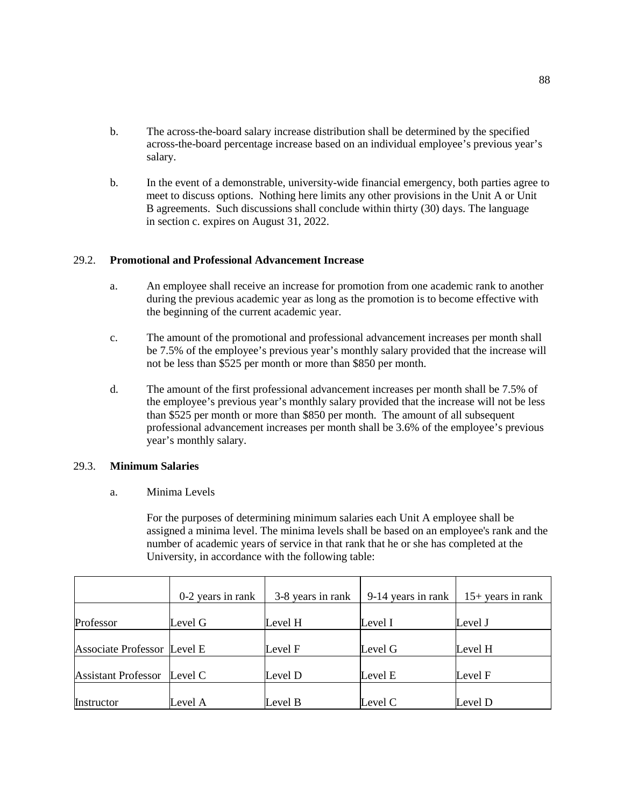- b. The across-the-board salary increase distribution shall be determined by the specified across-the-board percentage increase based on an individual employee's previous year's salary.
- b. In the event of a demonstrable, university-wide financial emergency, both parties agree to meet to discuss options. Nothing here limits any other provisions in the Unit A or Unit B agreements. Such discussions shall conclude within thirty (30) days. The language in section c. expires on August 31, 2022.

# 29.2. **Promotional and Professional Advancement Increase**

- a. An employee shall receive an increase for promotion from one academic rank to another during the previous academic year as long as the promotion is to become effective with the beginning of the current academic year.
- c. The amount of the promotional and professional advancement increases per month shall be 7.5% of the employee's previous year's monthly salary provided that the increase will not be less than \$525 per month or more than \$850 per month.
- d. The amount of the first professional advancement increases per month shall be 7.5% of the employee's previous year's monthly salary provided that the increase will not be less than \$525 per month or more than \$850 per month. The amount of all subsequent professional advancement increases per month shall be 3.6% of the employee's previous year's monthly salary.

# 29.3. **Minimum Salaries**

a. Minima Levels

For the purposes of determining minimum salaries each Unit A employee shall be assigned a minima level. The minima levels shall be based on an employee's rank and the number of academic years of service in that rank that he or she has completed at the University, in accordance with the following table:

|                             | 0-2 years in rank | 3-8 years in rank | 9-14 years in rank | $15+$ years in rank |
|-----------------------------|-------------------|-------------------|--------------------|---------------------|
| Professor                   | Level G           | Level H           | Level I            | Level J             |
| Associate Professor Level E |                   | Level F           | Level G            | Level H             |
| <b>Assistant Professor</b>  | Level C           | Level D           | Level E            | Level F             |
| Instructor                  | Level A           | Level B           | Level C            | Level D             |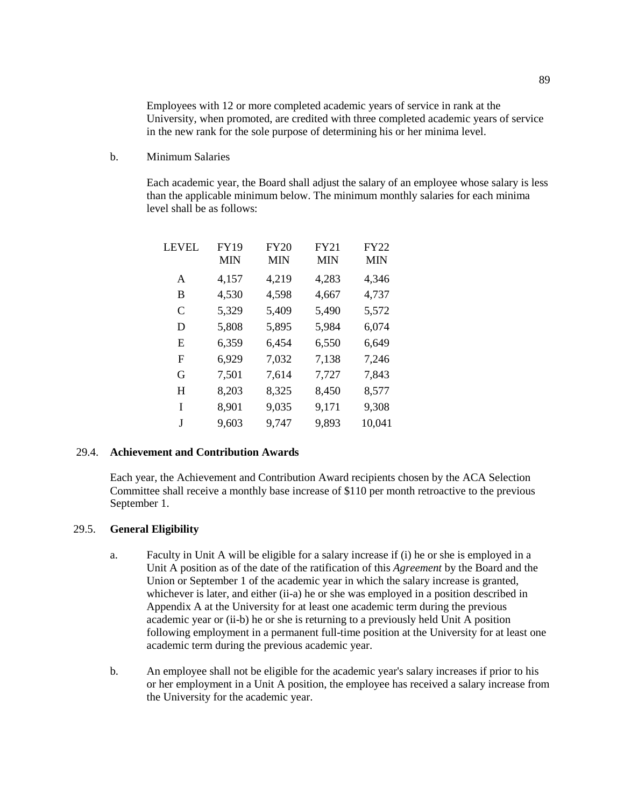Employees with 12 or more completed academic years of service in rank at the University, when promoted, are credited with three completed academic years of service in the new rank for the sole purpose of determining his or her minima level.

b. Minimum Salaries

Each academic year, the Board shall adjust the salary of an employee whose salary is less than the applicable minimum below. The minimum monthly salaries for each minima level shall be as follows:

| LEVEL | FY19<br>MIN | <b>FY20</b><br>MIN | <b>FY21</b><br>MIN | <b>FY22</b><br>MIN |
|-------|-------------|--------------------|--------------------|--------------------|
| A     | 4,157       | 4,219              | 4,283              | 4,346              |
| В     | 4,530       | 4,598              | 4,667              | 4,737              |
| C     | 5,329       | 5,409              | 5,490              | 5,572              |
| D     | 5,808       | 5,895              | 5,984              | 6,074              |
| E     | 6,359       | 6,454              | 6,550              | 6,649              |
| F     | 6,929       | 7,032              | 7,138              | 7,246              |
| G     | 7,501       | 7,614              | 7,727              | 7,843              |
| H     | 8,203       | 8,325              | 8,450              | 8,577              |
| I     | 8,901       | 9,035              | 9,171              | 9,308              |
| J     | 9,603       | 9,747              | 9,893              | 10,041             |

### 29.4. **Achievement and Contribution Awards**

Each year, the Achievement and Contribution Award recipients chosen by the ACA Selection Committee shall receive a monthly base increase of \$110 per month retroactive to the previous September 1.

#### 29.5. **General Eligibility**

- a. Faculty in Unit A will be eligible for a salary increase if (i) he or she is employed in a Unit A position as of the date of the ratification of this *Agreement* by the Board and the Union or September 1 of the academic year in which the salary increase is granted, whichever is later, and either (ii-a) he or she was employed in a position described in Appendix A at the University for at least one academic term during the previous academic year or (ii-b) he or she is returning to a previously held Unit A position following employment in a permanent full-time position at the University for at least one academic term during the previous academic year.
- b. An employee shall not be eligible for the academic year's salary increases if prior to his or her employment in a Unit A position, the employee has received a salary increase from the University for the academic year.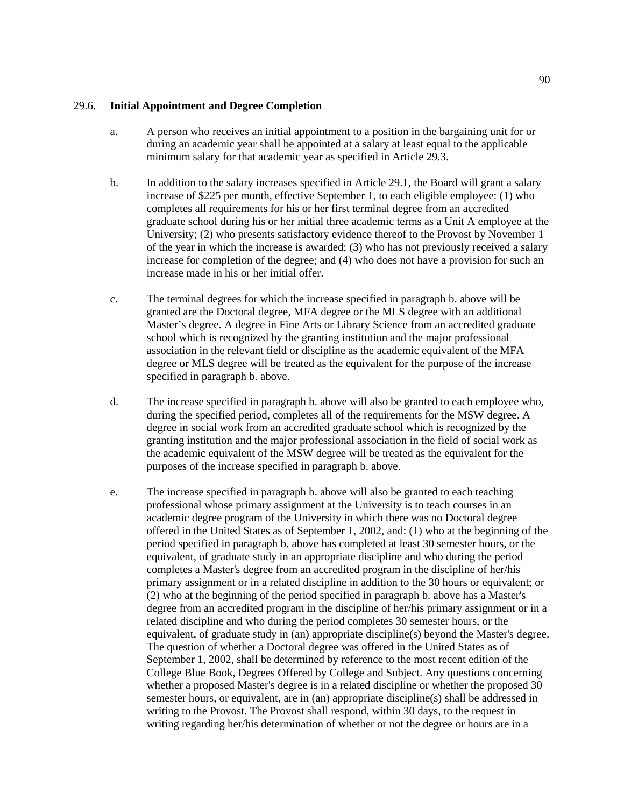### 29.6. **Initial Appointment and Degree Completion**

- a. A person who receives an initial appointment to a position in the bargaining unit for or during an academic year shall be appointed at a salary at least equal to the applicable minimum salary for that academic year as specified in Article 29.3.
- b. In addition to the salary increases specified in Article 29.1, the Board will grant a salary increase of \$225 per month, effective September 1, to each eligible employee: (1) who completes all requirements for his or her first terminal degree from an accredited graduate school during his or her initial three academic terms as a Unit A employee at the University; (2) who presents satisfactory evidence thereof to the Provost by November 1 of the year in which the increase is awarded; (3) who has not previously received a salary increase for completion of the degree; and (4) who does not have a provision for such an increase made in his or her initial offer.
- c. The terminal degrees for which the increase specified in paragraph b. above will be granted are the Doctoral degree, MFA degree or the MLS degree with an additional Master's degree. A degree in Fine Arts or Library Science from an accredited graduate school which is recognized by the granting institution and the major professional association in the relevant field or discipline as the academic equivalent of the MFA degree or MLS degree will be treated as the equivalent for the purpose of the increase specified in paragraph b. above.
- d. The increase specified in paragraph b. above will also be granted to each employee who, during the specified period, completes all of the requirements for the MSW degree. A degree in social work from an accredited graduate school which is recognized by the granting institution and the major professional association in the field of social work as the academic equivalent of the MSW degree will be treated as the equivalent for the purposes of the increase specified in paragraph b. above.
- e. The increase specified in paragraph b. above will also be granted to each teaching professional whose primary assignment at the University is to teach courses in an academic degree program of the University in which there was no Doctoral degree offered in the United States as of September 1, 2002, and: (1) who at the beginning of the period specified in paragraph b. above has completed at least 30 semester hours, or the equivalent, of graduate study in an appropriate discipline and who during the period completes a Master's degree from an accredited program in the discipline of her/his primary assignment or in a related discipline in addition to the 30 hours or equivalent; or (2) who at the beginning of the period specified in paragraph b. above has a Master's degree from an accredited program in the discipline of her/his primary assignment or in a related discipline and who during the period completes 30 semester hours, or the equivalent, of graduate study in (an) appropriate discipline(s) beyond the Master's degree. The question of whether a Doctoral degree was offered in the United States as of September 1, 2002, shall be determined by reference to the most recent edition of the College Blue Book, Degrees Offered by College and Subject. Any questions concerning whether a proposed Master's degree is in a related discipline or whether the proposed 30 semester hours, or equivalent, are in (an) appropriate discipline(s) shall be addressed in writing to the Provost. The Provost shall respond, within 30 days, to the request in writing regarding her/his determination of whether or not the degree or hours are in a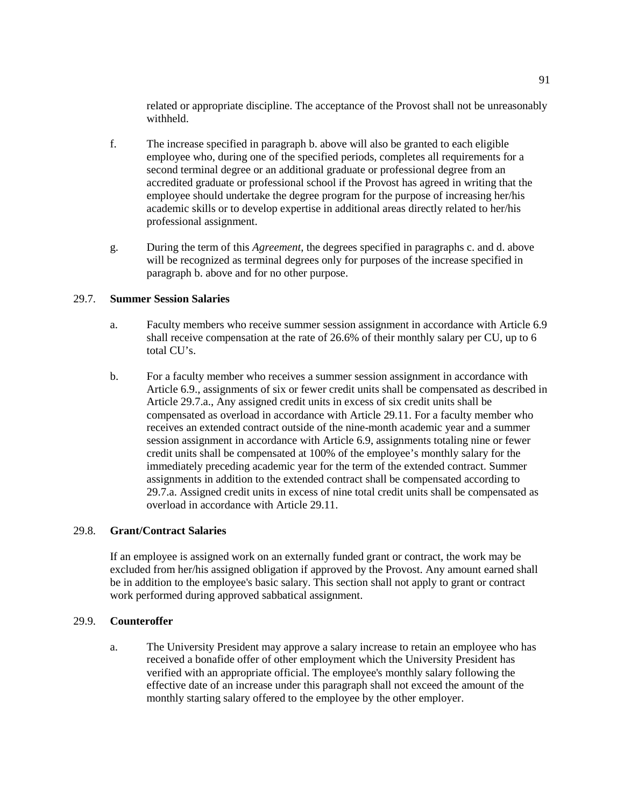related or appropriate discipline. The acceptance of the Provost shall not be unreasonably withheld.

- f. The increase specified in paragraph b. above will also be granted to each eligible employee who, during one of the specified periods, completes all requirements for a second terminal degree or an additional graduate or professional degree from an accredited graduate or professional school if the Provost has agreed in writing that the employee should undertake the degree program for the purpose of increasing her/his academic skills or to develop expertise in additional areas directly related to her/his professional assignment.
- g. During the term of this *Agreement*, the degrees specified in paragraphs c. and d. above will be recognized as terminal degrees only for purposes of the increase specified in paragraph b. above and for no other purpose.

# 29.7. **Summer Session Salaries**

- a. Faculty members who receive summer session assignment in accordance with Article 6.9 shall receive compensation at the rate of 26.6% of their monthly salary per CU, up to 6 total CU's.
- b. For a faculty member who receives a summer session assignment in accordance with Article 6.9., assignments of six or fewer credit units shall be compensated as described in Article 29.7.a., Any assigned credit units in excess of six credit units shall be compensated as overload in accordance with Article 29.11. For a faculty member who receives an extended contract outside of the nine-month academic year and a summer session assignment in accordance with Article 6.9, assignments totaling nine or fewer credit units shall be compensated at 100% of the employee's monthly salary for the immediately preceding academic year for the term of the extended contract. Summer assignments in addition to the extended contract shall be compensated according to 29.7.a. Assigned credit units in excess of nine total credit units shall be compensated as overload in accordance with Article 29.11.

#### 29.8. **Grant/Contract Salaries**

If an employee is assigned work on an externally funded grant or contract, the work may be excluded from her/his assigned obligation if approved by the Provost. Any amount earned shall be in addition to the employee's basic salary. This section shall not apply to grant or contract work performed during approved sabbatical assignment.

# 29.9. **Counteroffer**

a. The University President may approve a salary increase to retain an employee who has received a bonafide offer of other employment which the University President has verified with an appropriate official. The employee's monthly salary following the effective date of an increase under this paragraph shall not exceed the amount of the monthly starting salary offered to the employee by the other employer.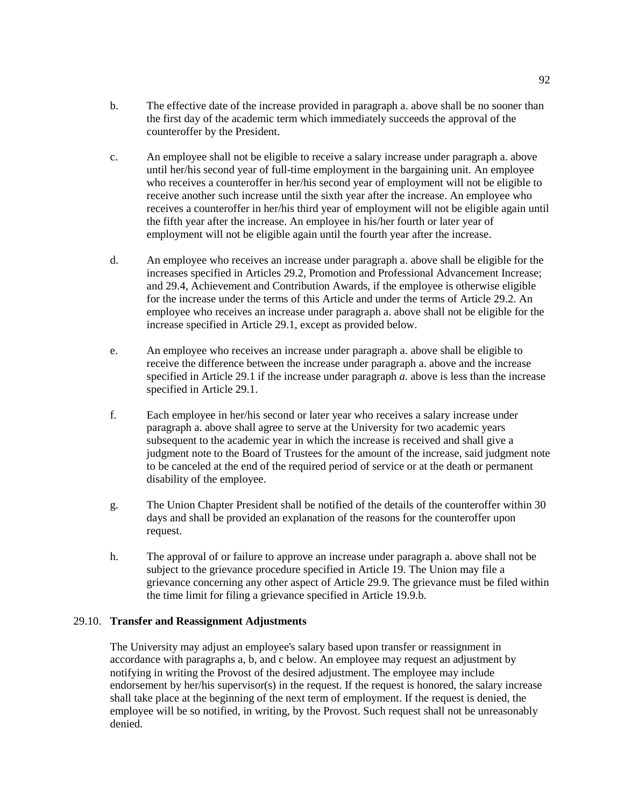- b. The effective date of the increase provided in paragraph a. above shall be no sooner than the first day of the academic term which immediately succeeds the approval of the counteroffer by the President.
- c. An employee shall not be eligible to receive a salary increase under paragraph a. above until her/his second year of full-time employment in the bargaining unit. An employee who receives a counteroffer in her/his second year of employment will not be eligible to receive another such increase until the sixth year after the increase. An employee who receives a counteroffer in her/his third year of employment will not be eligible again until the fifth year after the increase. An employee in his/her fourth or later year of employment will not be eligible again until the fourth year after the increase.
- d. An employee who receives an increase under paragraph a. above shall be eligible for the increases specified in Articles 29.2, Promotion and Professional Advancement Increase; and 29.4, Achievement and Contribution Awards, if the employee is otherwise eligible for the increase under the terms of this Article and under the terms of Article 29.2. An employee who receives an increase under paragraph a. above shall not be eligible for the increase specified in Article 29.1, except as provided below.
- e. An employee who receives an increase under paragraph a. above shall be eligible to receive the difference between the increase under paragraph a. above and the increase specified in Article 29.1 if the increase under paragraph *a*. above is less than the increase specified in Article 29.1.
- f. Each employee in her/his second or later year who receives a salary increase under paragraph a. above shall agree to serve at the University for two academic years subsequent to the academic year in which the increase is received and shall give a judgment note to the Board of Trustees for the amount of the increase, said judgment note to be canceled at the end of the required period of service or at the death or permanent disability of the employee.
- g. The Union Chapter President shall be notified of the details of the counteroffer within 30 days and shall be provided an explanation of the reasons for the counteroffer upon request.
- h. The approval of or failure to approve an increase under paragraph a. above shall not be subject to the grievance procedure specified in Article 19. The Union may file a grievance concerning any other aspect of Article 29.9. The grievance must be filed within the time limit for filing a grievance specified in Article 19.9.b.

#### 29.10. **Transfer and Reassignment Adjustments**

The University may adjust an employee's salary based upon transfer or reassignment in accordance with paragraphs a, b, and c below. An employee may request an adjustment by notifying in writing the Provost of the desired adjustment. The employee may include endorsement by her/his supervisor(s) in the request. If the request is honored, the salary increase shall take place at the beginning of the next term of employment. If the request is denied, the employee will be so notified, in writing, by the Provost. Such request shall not be unreasonably denied.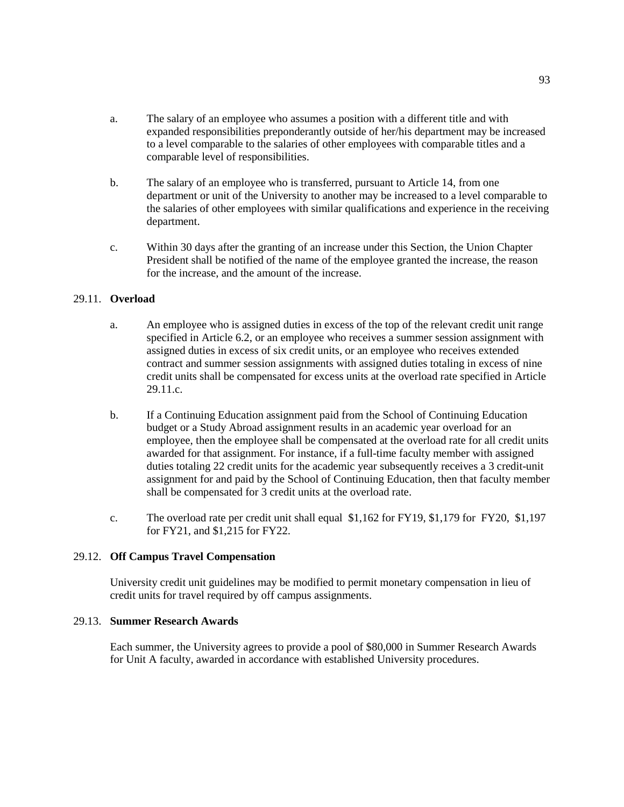- a. The salary of an employee who assumes a position with a different title and with expanded responsibilities preponderantly outside of her/his department may be increased to a level comparable to the salaries of other employees with comparable titles and a comparable level of responsibilities.
- b. The salary of an employee who is transferred, pursuant to Article 14, from one department or unit of the University to another may be increased to a level comparable to the salaries of other employees with similar qualifications and experience in the receiving department.
- c. Within 30 days after the granting of an increase under this Section, the Union Chapter President shall be notified of the name of the employee granted the increase, the reason for the increase, and the amount of the increase.

# 29.11. **Overload**

- a. An employee who is assigned duties in excess of the top of the relevant credit unit range specified in Article 6.2, or an employee who receives a summer session assignment with assigned duties in excess of six credit units, or an employee who receives extended contract and summer session assignments with assigned duties totaling in excess of nine credit units shall be compensated for excess units at the overload rate specified in Article 29.11.c.
- b. If a Continuing Education assignment paid from the School of Continuing Education budget or a Study Abroad assignment results in an academic year overload for an employee, then the employee shall be compensated at the overload rate for all credit units awarded for that assignment. For instance, if a full-time faculty member with assigned duties totaling 22 credit units for the academic year subsequently receives a 3 credit-unit assignment for and paid by the School of Continuing Education, then that faculty member shall be compensated for 3 credit units at the overload rate.
- c. The overload rate per credit unit shall equal \$1,162 for FY19, \$1,179 for FY20, \$1,197 for FY21, and \$1,215 for FY22.

#### 29.12. **Off Campus Travel Compensation**

University credit unit guidelines may be modified to permit monetary compensation in lieu of credit units for travel required by off campus assignments.

#### 29.13. **Summer Research Awards**

Each summer, the University agrees to provide a pool of \$80,000 in Summer Research Awards for Unit A faculty, awarded in accordance with established University procedures.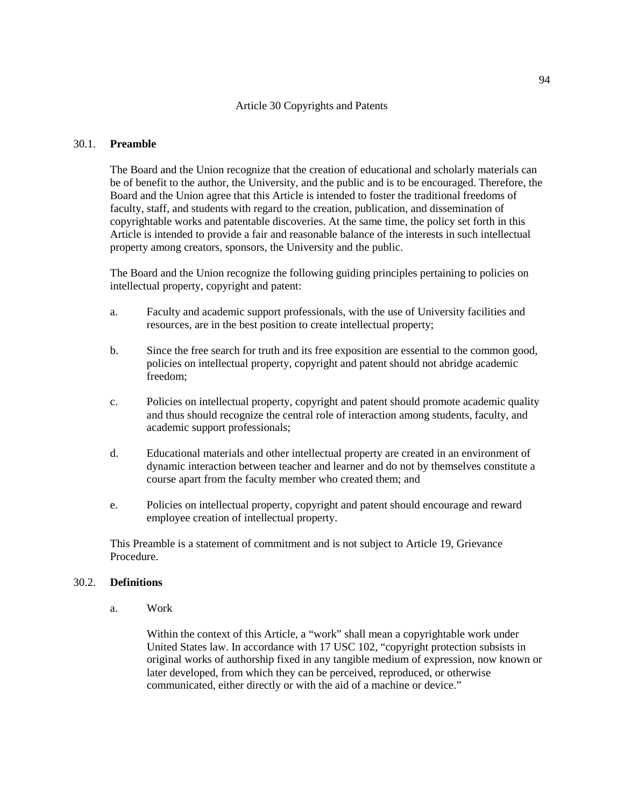#### Article 30 Copyrights and Patents

#### 30.1. **Preamble**

The Board and the Union recognize that the creation of educational and scholarly materials can be of benefit to the author, the University, and the public and is to be encouraged. Therefore, the Board and the Union agree that this Article is intended to foster the traditional freedoms of faculty, staff, and students with regard to the creation, publication, and dissemination of copyrightable works and patentable discoveries. At the same time, the policy set forth in this Article is intended to provide a fair and reasonable balance of the interests in such intellectual property among creators, sponsors, the University and the public.

The Board and the Union recognize the following guiding principles pertaining to policies on intellectual property, copyright and patent:

- a. Faculty and academic support professionals, with the use of University facilities and resources, are in the best position to create intellectual property;
- b. Since the free search for truth and its free exposition are essential to the common good, policies on intellectual property, copyright and patent should not abridge academic freedom;
- c. Policies on intellectual property, copyright and patent should promote academic quality and thus should recognize the central role of interaction among students, faculty, and academic support professionals;
- d. Educational materials and other intellectual property are created in an environment of dynamic interaction between teacher and learner and do not by themselves constitute a course apart from the faculty member who created them; and
- e. Policies on intellectual property, copyright and patent should encourage and reward employee creation of intellectual property.

This Preamble is a statement of commitment and is not subject to Article 19, Grievance Procedure.

#### 30.2. **Definitions**

a. Work

Within the context of this Article, a "work" shall mean a copyrightable work under United States law. In accordance with 17 USC 102, "copyright protection subsists in original works of authorship fixed in any tangible medium of expression, now known or later developed, from which they can be perceived, reproduced, or otherwise communicated, either directly or with the aid of a machine or device."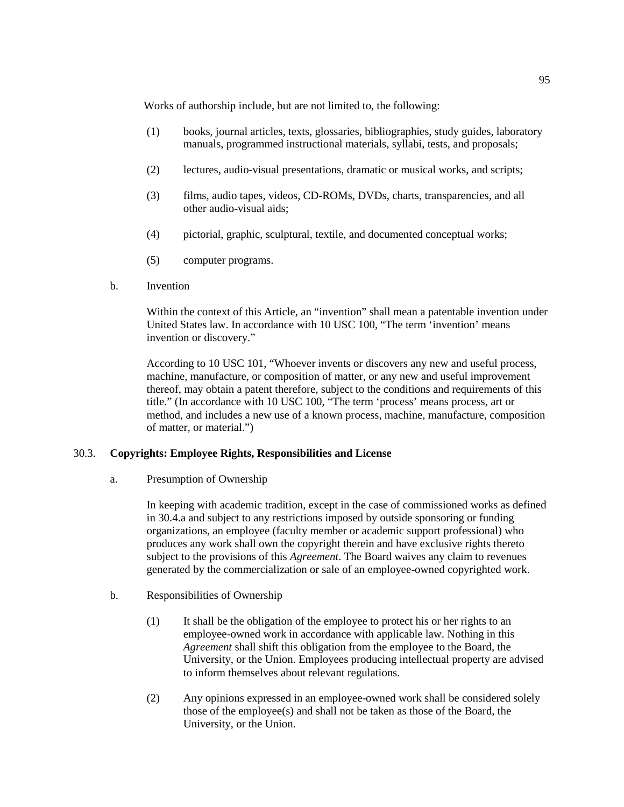Works of authorship include, but are not limited to, the following:

- (1) books, journal articles, texts, glossaries, bibliographies, study guides, laboratory manuals, programmed instructional materials, syllabi, tests, and proposals;
- (2) lectures, audio-visual presentations, dramatic or musical works, and scripts;
- (3) films, audio tapes, videos, CD-ROMs, DVDs, charts, transparencies, and all other audio-visual aids;
- (4) pictorial, graphic, sculptural, textile, and documented conceptual works;
- (5) computer programs.
- b. Invention

Within the context of this Article, an "invention" shall mean a patentable invention under United States law. In accordance with 10 USC 100, "The term 'invention' means invention or discovery."

According to 10 USC 101, "Whoever invents or discovers any new and useful process, machine, manufacture, or composition of matter, or any new and useful improvement thereof, may obtain a patent therefore, subject to the conditions and requirements of this title." (In accordance with 10 USC 100, "The term 'process' means process, art or method, and includes a new use of a known process, machine, manufacture, composition of matter, or material.")

# 30.3. **Copyrights: Employee Rights, Responsibilities and License**

a. Presumption of Ownership

In keeping with academic tradition, except in the case of commissioned works as defined in 30.4.a and subject to any restrictions imposed by outside sponsoring or funding organizations, an employee (faculty member or academic support professional) who produces any work shall own the copyright therein and have exclusive rights thereto subject to the provisions of this *Agreement*. The Board waives any claim to revenues generated by the commercialization or sale of an employee-owned copyrighted work.

- b. Responsibilities of Ownership
	- (1) It shall be the obligation of the employee to protect his or her rights to an employee-owned work in accordance with applicable law. Nothing in this *Agreement* shall shift this obligation from the employee to the Board, the University, or the Union. Employees producing intellectual property are advised to inform themselves about relevant regulations.
	- (2) Any opinions expressed in an employee-owned work shall be considered solely those of the employee(s) and shall not be taken as those of the Board, the University, or the Union.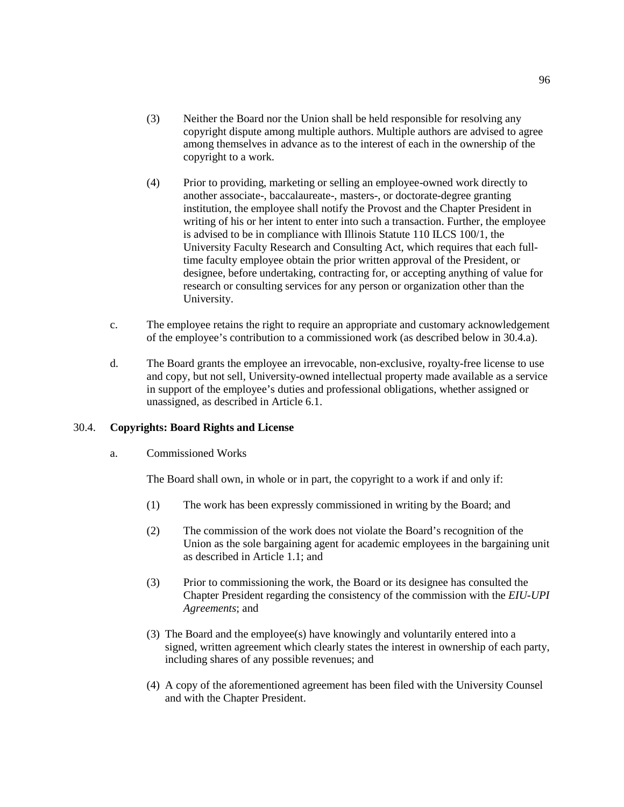- (3) Neither the Board nor the Union shall be held responsible for resolving any copyright dispute among multiple authors. Multiple authors are advised to agree among themselves in advance as to the interest of each in the ownership of the copyright to a work.
- (4) Prior to providing, marketing or selling an employee-owned work directly to another associate-, baccalaureate-, masters-, or doctorate-degree granting institution, the employee shall notify the Provost and the Chapter President in writing of his or her intent to enter into such a transaction. Further, the employee is advised to be in compliance with Illinois Statute 110 ILCS 100/1, the University Faculty Research and Consulting Act, which requires that each fulltime faculty employee obtain the prior written approval of the President, or designee, before undertaking, contracting for, or accepting anything of value for research or consulting services for any person or organization other than the University.
- c. The employee retains the right to require an appropriate and customary acknowledgement of the employee's contribution to a commissioned work (as described below in 30.4.a).
- d. The Board grants the employee an irrevocable, non-exclusive, royalty-free license to use and copy, but not sell, University-owned intellectual property made available as a service in support of the employee's duties and professional obligations, whether assigned or unassigned, as described in Article 6.1.

#### 30.4. **Copyrights: Board Rights and License**

### a. Commissioned Works

The Board shall own, in whole or in part, the copyright to a work if and only if:

- (1) The work has been expressly commissioned in writing by the Board; and
- (2) The commission of the work does not violate the Board's recognition of the Union as the sole bargaining agent for academic employees in the bargaining unit as described in Article 1.1; and
- (3) Prior to commissioning the work, the Board or its designee has consulted the Chapter President regarding the consistency of the commission with the *EIU-UPI Agreements*; and
- (3) The Board and the employee(s) have knowingly and voluntarily entered into a signed, written agreement which clearly states the interest in ownership of each party, including shares of any possible revenues; and
- (4) A copy of the aforementioned agreement has been filed with the University Counsel and with the Chapter President.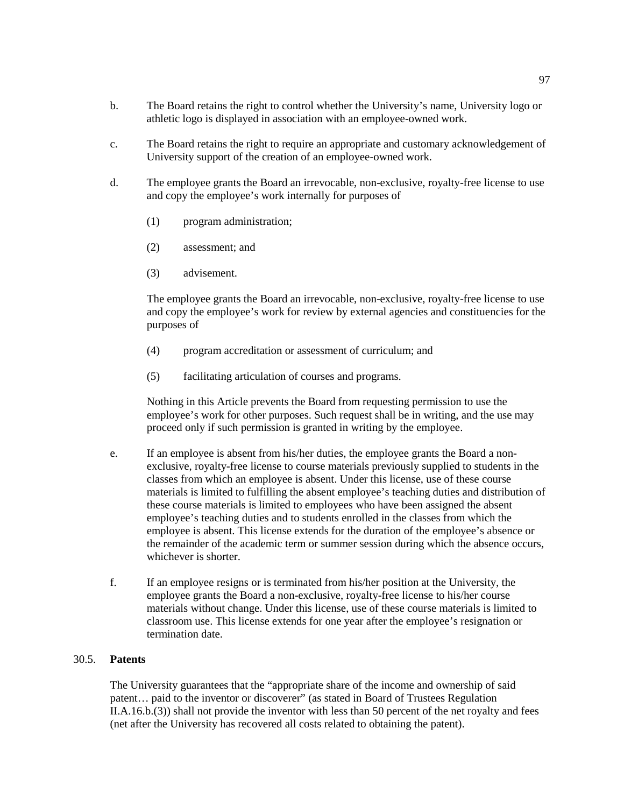- b. The Board retains the right to control whether the University's name, University logo or athletic logo is displayed in association with an employee-owned work.
- c. The Board retains the right to require an appropriate and customary acknowledgement of University support of the creation of an employee-owned work.
- d. The employee grants the Board an irrevocable, non-exclusive, royalty-free license to use and copy the employee's work internally for purposes of
	- (1) program administration;
	- (2) assessment; and
	- (3) advisement.

The employee grants the Board an irrevocable, non-exclusive, royalty-free license to use and copy the employee's work for review by external agencies and constituencies for the purposes of

- (4) program accreditation or assessment of curriculum; and
- (5) facilitating articulation of courses and programs.

Nothing in this Article prevents the Board from requesting permission to use the employee's work for other purposes. Such request shall be in writing, and the use may proceed only if such permission is granted in writing by the employee.

- e. If an employee is absent from his/her duties, the employee grants the Board a nonexclusive, royalty-free license to course materials previously supplied to students in the classes from which an employee is absent. Under this license, use of these course materials is limited to fulfilling the absent employee's teaching duties and distribution of these course materials is limited to employees who have been assigned the absent employee's teaching duties and to students enrolled in the classes from which the employee is absent. This license extends for the duration of the employee's absence or the remainder of the academic term or summer session during which the absence occurs, whichever is shorter.
- f. If an employee resigns or is terminated from his/her position at the University, the employee grants the Board a non-exclusive, royalty-free license to his/her course materials without change. Under this license, use of these course materials is limited to classroom use. This license extends for one year after the employee's resignation or termination date.

#### 30.5. **Patents**

The University guarantees that the "appropriate share of the income and ownership of said patent… paid to the inventor or discoverer" (as stated in Board of Trustees Regulation II.A.16.b.(3)) shall not provide the inventor with less than 50 percent of the net royalty and fees (net after the University has recovered all costs related to obtaining the patent).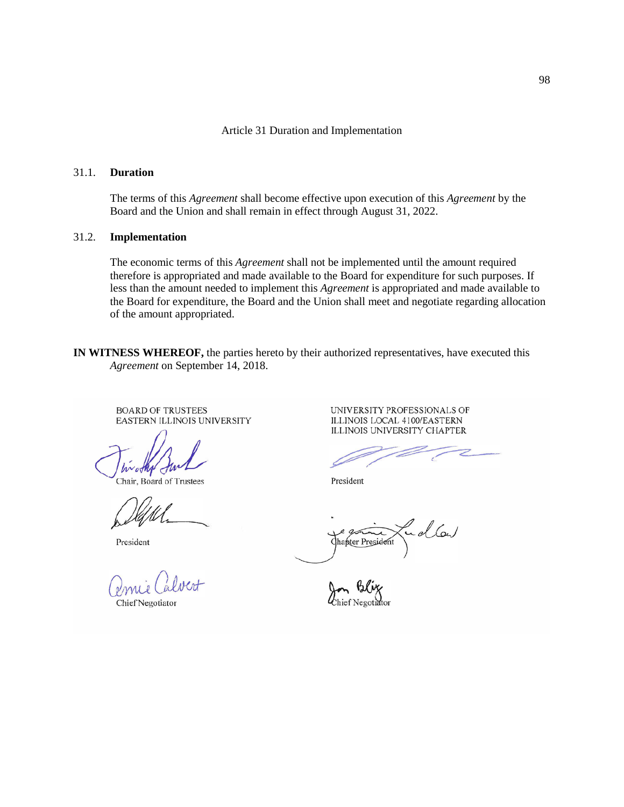Article 31 Duration and Implementation

#### 31.1. **Duration**

The terms of this *Agreement* shall become effective upon execution of this *Agreement* by the Board and the Union and shall remain in effect through August 31, 2022.

#### 31.2. **Implementation**

The economic terms of this *Agreement* shall not be implemented until the amount required therefore is appropriated and made available to the Board for expenditure for such purposes. If less than the amount needed to implement this *Agreement* is appropriated and made available to the Board for expenditure, the Board and the Union shall meet and negotiate regarding allocation of the amount appropriated.

**IN WITNESS WHEREOF,** the parties hereto by their authorized representatives, have executed this *Agreement* on September 14, 2018.

**BOARD OF TRUSTEES** EASTERN ILLINOIS UNIVERSITY

Chair, Board of Trustees

President

Chief Negotiator

UNIVERSITY PROFESSIONALS OF ILLINOIS LOCAL 4100/EASTERN ILLINOIS UNIVERSITY CHAPTER

President

ollow Chapter President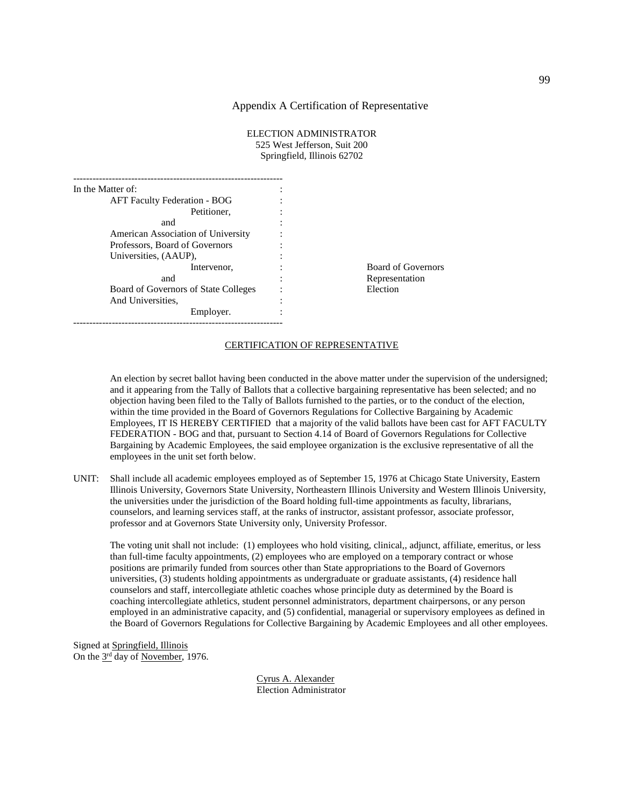#### Appendix A Certification of Representative

| ELECTION ADMINISTRATOR       |
|------------------------------|
| 525 West Jefferson, Suit 200 |
| Springfield, Illinois 62702  |

| In the Matter of:                    |          |
|--------------------------------------|----------|
| <b>AFT Faculty Federation - BOG</b>  |          |
| Petitioner,                          |          |
| and                                  |          |
| American Association of University   |          |
| Professors, Board of Governors       |          |
| Universities, (AAUP),                |          |
| Intervenor,                          | Board of |
| and                                  | Represe: |
| Board of Governors of State Colleges | Election |
| And Universities.                    |          |
| Employer.                            |          |

ard of Governors  $resentation$ 

#### CERTIFICATION OF REPRESENTATIVE

An election by secret ballot having been conducted in the above matter under the supervision of the undersigned; and it appearing from the Tally of Ballots that a collective bargaining representative has been selected; and no objection having been filed to the Tally of Ballots furnished to the parties, or to the conduct of the election, within the time provided in the Board of Governors Regulations for Collective Bargaining by Academic Employees, IT IS HEREBY CERTIFIED that a majority of the valid ballots have been cast for AFT FACULTY FEDERATION - BOG and that, pursuant to Section 4.14 of Board of Governors Regulations for Collective Bargaining by Academic Employees, the said employee organization is the exclusive representative of all the employees in the unit set forth below.

UNIT: Shall include all academic employees employed as of September 15, 1976 at Chicago State University, Eastern Illinois University, Governors State University, Northeastern Illinois University and Western Illinois University, the universities under the jurisdiction of the Board holding full-time appointments as faculty, librarians, counselors, and learning services staff, at the ranks of instructor, assistant professor, associate professor, professor and at Governors State University only, University Professor.

The voting unit shall not include: (1) employees who hold visiting, clinical,, adjunct, affiliate, emeritus, or less than full-time faculty appointments, (2) employees who are employed on a temporary contract or whose positions are primarily funded from sources other than State appropriations to the Board of Governors universities, (3) students holding appointments as undergraduate or graduate assistants, (4) residence hall counselors and staff, intercollegiate athletic coaches whose principle duty as determined by the Board is coaching intercollegiate athletics, student personnel administrators, department chairpersons, or any person employed in an administrative capacity, and (5) confidential, managerial or supervisory employees as defined in the Board of Governors Regulations for Collective Bargaining by Academic Employees and all other employees.

Signed at Springfield, Illinois On the 3rd day of November, 1976.

> Cyrus A. Alexander Election Administrator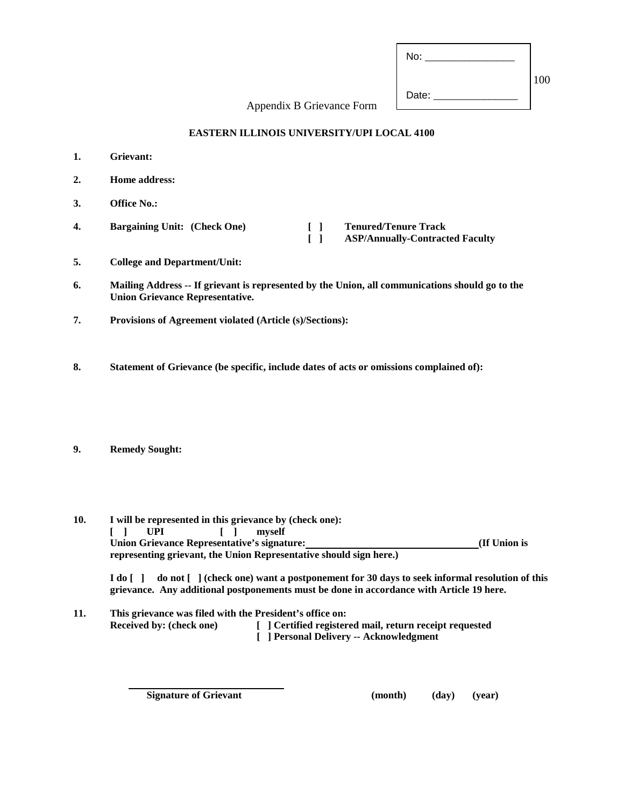| No:   |     |
|-------|-----|
|       | 100 |
| Date: |     |

Appendix B Grievance Form

#### **EASTERN ILLINOIS UNIVERSITY/UPI LOCAL 4100**

- **1. Grievant: 2. Home address: 3. Office No.: 4. Bargaining Unit: (Check One) [ ] Tenured/Tenure Track [ ] ASP/Annually-Contracted Faculty**
- **5. College and Department/Unit:**
- **6. Mailing Address -- If grievant is represented by the Union, all communications should go to the Union Grievance Representative.**
- **7. Provisions of Agreement violated (Article (s)/Sections):**
- **8. Statement of Grievance (be specific, include dates of acts or omissions complained of):**
- **9. Remedy Sought:**

| 10. | I will be represented in this grievance by (check one):                                                                                                                                       |
|-----|-----------------------------------------------------------------------------------------------------------------------------------------------------------------------------------------------|
|     | $\Box$ $\Box$<br>myself<br><b>UPI</b>                                                                                                                                                         |
|     | <b>Union Grievance Representative's signature:</b><br>(If Union is                                                                                                                            |
|     | representing grievant, the Union Representative should sign here.)                                                                                                                            |
|     | I do [] do not [] (check one) want a postponement for 30 days to seek informal resolution of this<br>grievance. Any additional postponements must be done in accordance with Article 19 here. |
| 11. | This grievance was filed with the President's office on:                                                                                                                                      |

| 11. | This grievance was lifed with the President's office on: |                                                         |
|-----|----------------------------------------------------------|---------------------------------------------------------|
|     | <b>Received by: (check one)</b>                          | [ ] Certified registered mail, return receipt requested |
|     |                                                          | [ ] Personal Delivery -- Acknowledgment                 |

**Signature of Grievant (month)** (day) (year)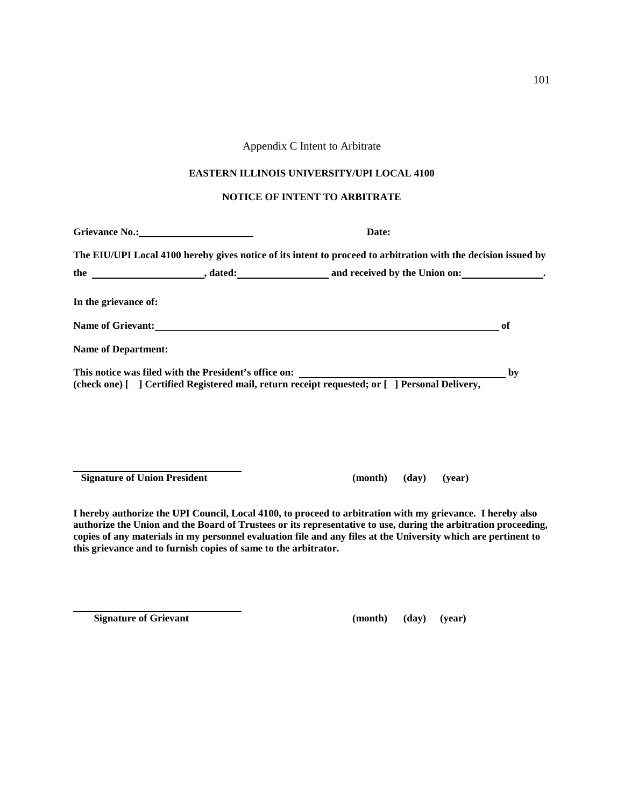# Appendix C Intent to Arbitrate

#### **EASTERN ILLINOIS UNIVERSITY/UPI LOCAL 4100**

#### **NOTICE OF INTENT TO ARBITRATE**

| Grievance No.: No. 2008             | Date:                                                                                                                                                                                                                          |    |
|-------------------------------------|--------------------------------------------------------------------------------------------------------------------------------------------------------------------------------------------------------------------------------|----|
|                                     | The EIU/UPI Local 4100 hereby gives notice of its intent to proceed to arbitration with the decision issued by                                                                                                                 |    |
|                                     |                                                                                                                                                                                                                                |    |
| In the grievance of:                |                                                                                                                                                                                                                                |    |
|                                     | Name of Grievant: Name of Grievant Control of Contract Control of Contract Control of Contract Control of Contract Contract Contract Contract Contract Contract Contract Contract Contract Contract Contract Contract Contract | of |
| <b>Name of Department:</b>          |                                                                                                                                                                                                                                |    |
|                                     | This notice was filed with the President's office on: ___________________________<br>(check one) [ ] Certified Registered mail, return receipt requested; or [ ] Personal Delivery,                                            | by |
|                                     |                                                                                                                                                                                                                                |    |
| <b>Signature of Union President</b> | (month)<br>(day)<br>(vear)                                                                                                                                                                                                     |    |

**I hereby authorize the UPI Council, Local 4100, to proceed to arbitration with my grievance. I hereby also authorize the Union and the Board of Trustees or its representative to use, during the arbitration proceeding, copies of any materials in my personnel evaluation file and any files at the University which are pertinent to this grievance and to furnish copies of same to the arbitrator.**

 **Signature of Grievant (month) (day) (year)**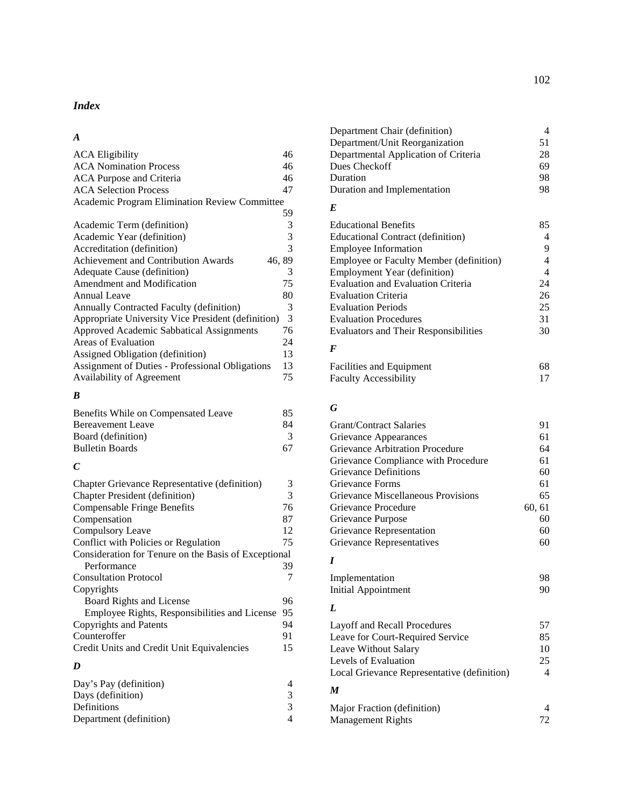# *Index*

# *A*

| <b>ACA Eligibility</b>                               | 46    |
|------------------------------------------------------|-------|
| <b>ACA Nomination Process</b>                        | 46    |
| ACA Purpose and Criteria                             | 46    |
| <b>ACA Selection Process</b>                         | 47    |
| <b>Academic Program Elimination Review Committee</b> |       |
|                                                      | 59    |
| Academic Term (definition)                           | 3     |
| Academic Year (definition)                           | 3     |
| Accreditation (definition)                           | 3     |
| Achievement and Contribution Awards                  | 46,89 |
| Adequate Cause (definition)                          | 3     |
| Amendment and Modification                           | 75    |
| Annual Leave                                         | 80    |
| Annually Contracted Faculty (definition)             | 3     |
| Appropriate University Vice President (definition)   | 3     |
| Approved Academic Sabbatical Assignments             | 76    |
| Areas of Evaluation                                  | 24    |
| Assigned Obligation (definition)                     | 13    |
| Assignment of Duties - Professional Obligations      | 13    |
| <b>Availability of Agreement</b>                     | 75    |
|                                                      |       |

# *B*

| Benefits While on Compensated Leave | 85 |
|-------------------------------------|----|
| <b>Bereavement Leave</b>            | 84 |
| Board (definition)                  | 3  |
| <b>Bulletin Boards</b>              | 67 |
|                                     |    |

# *C*

| Chapter Grievance Representative (definition)        | 3  |
|------------------------------------------------------|----|
| <b>Chapter President (definition)</b>                | 3  |
| <b>Compensable Fringe Benefits</b>                   | 76 |
| Compensation                                         | 87 |
| Compulsory Leave                                     | 12 |
| Conflict with Policies or Regulation                 | 75 |
| Consideration for Tenure on the Basis of Exceptional |    |
| Performance                                          | 39 |
| <b>Consultation Protocol</b>                         | 7  |
| Copyrights                                           |    |
| Board Rights and License                             | 96 |
| Employee Rights, Responsibilities and License        | 95 |
| Copyrights and Patents                               | 94 |
| Counteroffer                                         | 91 |
| Credit Units and Credit Unit Equivalencies           | 15 |
| n                                                    |    |

#### *D*

| Day's Pay (definition)  |  |
|-------------------------|--|
| Days (definition)       |  |
| Definitions             |  |
| Department (definition) |  |

| Department Chair (definition)        |    |
|--------------------------------------|----|
| Department/Unit Reorganization       | 51 |
| Departmental Application of Criteria | 28 |
| Dues Checkoff                        | 69 |
| Duration                             | 98 |
| Duration and Implementation          | 98 |

# *E*

| <b>Educational Benefits</b>                  | 85 |
|----------------------------------------------|----|
| Educational Contract (definition)            |    |
| <b>Employee Information</b>                  | 9  |
| Employee or Faculty Member (definition)      | 4  |
| <b>Employment Year (definition)</b>          | 4  |
| <b>Evaluation and Evaluation Criteria</b>    | 24 |
| <b>Evaluation Criteria</b>                   | 26 |
| <b>Evaluation Periods</b>                    | 25 |
| <b>Evaluation Procedures</b>                 | 31 |
| <b>Evaluators and Their Responsibilities</b> | 30 |
| F                                            |    |

| Facilities and Equipment     | 68 |
|------------------------------|----|
| <b>Faculty Accessibility</b> |    |

# *G*

| <b>Grant/Contract Salaries</b>         | 91     |
|----------------------------------------|--------|
| Grievance Appearances                  | 61     |
| <b>Grievance Arbitration Procedure</b> | 64     |
| Grievance Compliance with Procedure    | 61     |
| <b>Grievance Definitions</b>           | 60     |
| Grievance Forms                        | 61     |
| Grievance Miscellaneous Provisions     | 65     |
| Grievance Procedure                    | 60, 61 |
| Grievance Purpose                      | 60     |
| Grievance Representation               | 60     |
| Grievance Representatives              |        |
|                                        |        |

# *I*

| Implementation      | 98 |
|---------------------|----|
| Initial Appointment | 90 |

# *L*

| Layoff and Recall Procedures                | 57 |
|---------------------------------------------|----|
| Leave for Court-Required Service            | 85 |
| Leave Without Salary                        | 10 |
| Levels of Evaluation                        | 25 |
| Local Grievance Representative (definition) | 4  |
| M                                           |    |

| Major Fraction (definition) |    |
|-----------------------------|----|
| <b>Management Rights</b>    | 72 |